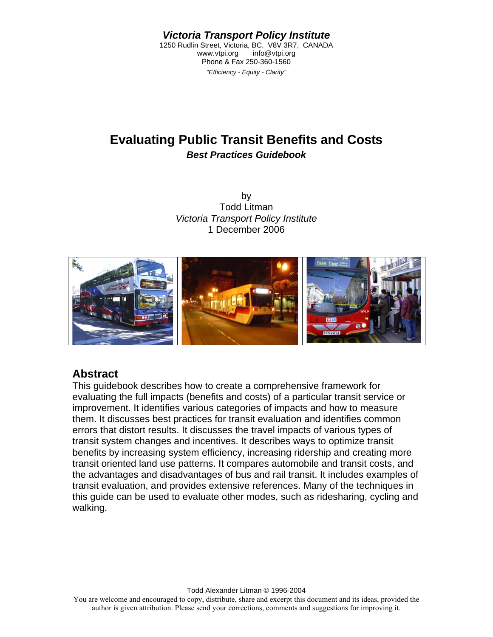*Victoria Transport Policy Institute* 

1250 Rudlin Street, Victoria, BC, V8V 3R7, CANADA<br>www.vtpi.org info@vtpi.org info@vtpi.org Phone & Fax 250-360-1560 *"Efficiency - Equity - Clarity"* 

# **Evaluating Public Transit Benefits and Costs**  *Best Practices Guidebook*

by Todd Litman *Victoria Transport Policy Institute* 1 December 2006



### **Abstract**

This guidebook describes how to create a comprehensive framework for evaluating the full impacts (benefits and costs) of a particular transit service or improvement. It identifies various categories of impacts and how to measure them. It discusses best practices for transit evaluation and identifies common errors that distort results. It discusses the travel impacts of various types of transit system changes and incentives. It describes ways to optimize transit benefits by increasing system efficiency, increasing ridership and creating more transit oriented land use patterns. It compares automobile and transit costs, and the advantages and disadvantages of bus and rail transit. It includes examples of transit evaluation, and provides extensive references. Many of the techniques in this guide can be used to evaluate other modes, such as ridesharing, cycling and walking.

Todd Alexander Litman © 1996-2004

You are welcome and encouraged to copy, distribute, share and excerpt this document and its ideas, provided the author is given attribution. Please send your corrections, comments and suggestions for improving it.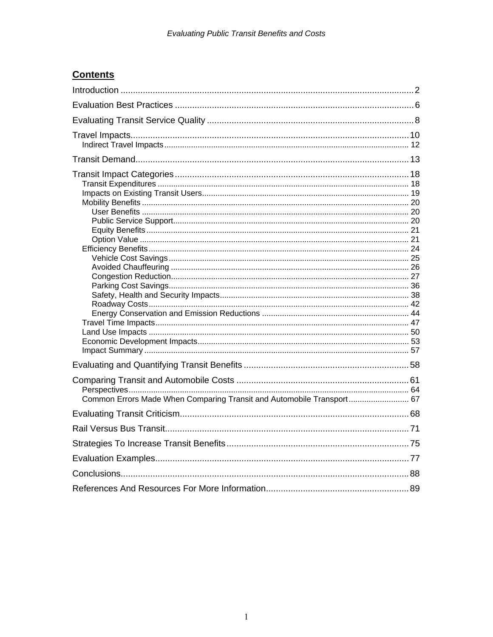## **Contents**

| Common Errors Made When Comparing Transit and Automobile Transport 67 |  |
|-----------------------------------------------------------------------|--|
|                                                                       |  |
|                                                                       |  |
|                                                                       |  |
|                                                                       |  |
|                                                                       |  |
|                                                                       |  |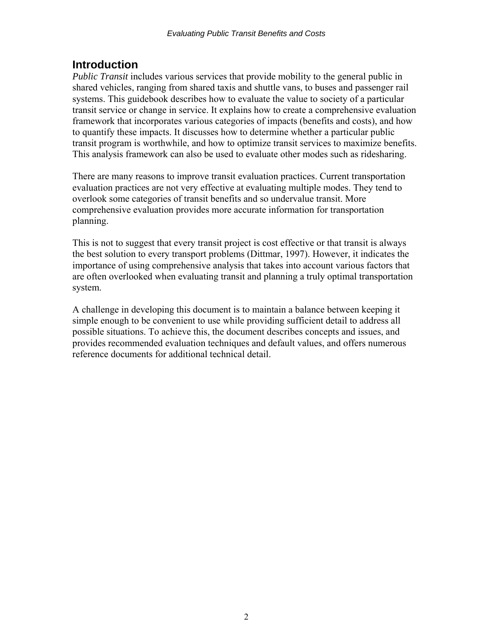## <span id="page-2-0"></span>**Introduction**

*Public Transit* includes various services that provide mobility to the general public in shared vehicles, ranging from shared taxis and shuttle vans, to buses and passenger rail systems. This guidebook describes how to evaluate the value to society of a particular transit service or change in service. It explains how to create a comprehensive evaluation framework that incorporates various categories of impacts (benefits and costs), and how to quantify these impacts. It discusses how to determine whether a particular public transit program is worthwhile, and how to optimize transit services to maximize benefits. This analysis framework can also be used to evaluate other modes such as ridesharing.

There are many reasons to improve transit evaluation practices. Current transportation evaluation practices are not very effective at evaluating multiple modes. They tend to overlook some categories of transit benefits and so undervalue transit. More comprehensive evaluation provides more accurate information for transportation planning.

This is not to suggest that every transit project is cost effective or that transit is always the best solution to every transport problems (Dittmar, 1997). However, it indicates the importance of using comprehensive analysis that takes into account various factors that are often overlooked when evaluating transit and planning a truly optimal transportation system.

A challenge in developing this document is to maintain a balance between keeping it simple enough to be convenient to use while providing sufficient detail to address all possible situations. To achieve this, the document describes concepts and issues, and provides recommended evaluation techniques and default values, and offers numerous reference documents for additional technical detail.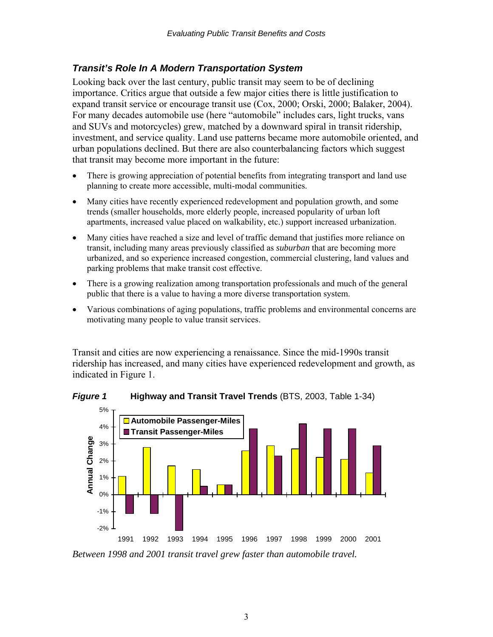### *Transit's Role In A Modern Transportation System*

Looking back over the last century, public transit may seem to be of declining importance. Critics argue that outside a few major cities there is little justification to expand transit service or encourage transit use (Cox, 2000; Orski, 2000; Balaker, 2004). For many decades automobile use (here "automobile" includes cars, light trucks, vans and SUVs and motorcycles) grew, matched by a downward spiral in transit ridership, investment, and service quality. Land use patterns became more automobile oriented, and urban populations declined. But there are also counterbalancing factors which suggest that transit may become more important in the future:

- There is growing appreciation of potential benefits from integrating transport and land use planning to create more accessible, multi-modal communities.
- Many cities have recently experienced redevelopment and population growth, and some trends (smaller households, more elderly people, increased popularity of urban loft apartments, increased value placed on walkability, etc.) support increased urbanization.
- Many cities have reached a size and level of traffic demand that justifies more reliance on transit, including many areas previously classified as *suburban* that are becoming more urbanized, and so experience increased congestion, commercial clustering, land values and parking problems that make transit cost effective.
- There is a growing realization among transportation professionals and much of the general public that there is a value to having a more diverse transportation system.
- Various combinations of aging populations, traffic problems and environmental concerns are motivating many people to value transit services.

Transit and cities are now experiencing a renaissance. Since the mid-1990s transit ridership has increased, and many cities have experienced redevelopment and growth, as indicated in Figure 1.





*Between 1998 and 2001 transit travel grew faster than automobile travel.*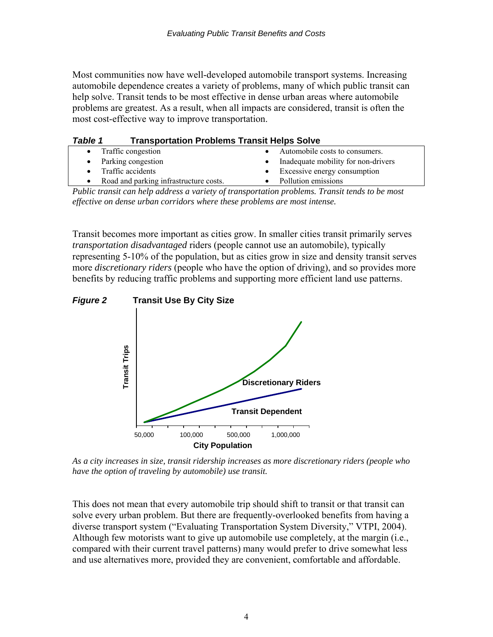Most communities now have well-developed automobile transport systems. Increasing automobile dependence creates a variety of problems, many of which public transit can help solve. Transit tends to be most effective in dense urban areas where automobile problems are greatest. As a result, when all impacts are considered, transit is often the most cost-effective way to improve transportation.

| <b>Table 1</b> | <b>Transportation Problems Transit Helps Solve</b> |                                     |
|----------------|----------------------------------------------------|-------------------------------------|
|                | • Traffic congestion                               | Automobile costs to consumers.      |
|                | • Parking congestion                               | Inadequate mobility for non-drivers |
|                | • Traffic accidents                                | • Excessive energy consumption      |
| $\bullet$      | Road and parking infrastructure costs.             | Pollution emissions                 |

*Public transit can help address a variety of transportation problems. Transit tends to be most effective on dense urban corridors where these problems are most intense.* 

Transit becomes more important as cities grow. In smaller cities transit primarily serves *transportation disadvantaged* riders (people cannot use an automobile), typically representing 5-10% of the population, but as cities grow in size and density transit serves more *discretionary riders* (people who have the option of driving), and so provides more benefits by reducing traffic problems and supporting more efficient land use patterns.



*As a city increases in size, transit ridership increases as more discretionary riders (people who have the option of traveling by automobile) use transit.* 

This does not mean that every automobile trip should shift to transit or that transit can solve every urban problem. But there are frequently-overlooked benefits from having a diverse transport system ("Evaluating Transportation System Diversity," VTPI, 2004). Although few motorists want to give up automobile use completely, at the margin (i.e., compared with their current travel patterns) many would prefer to drive somewhat less and use alternatives more, provided they are convenient, comfortable and affordable.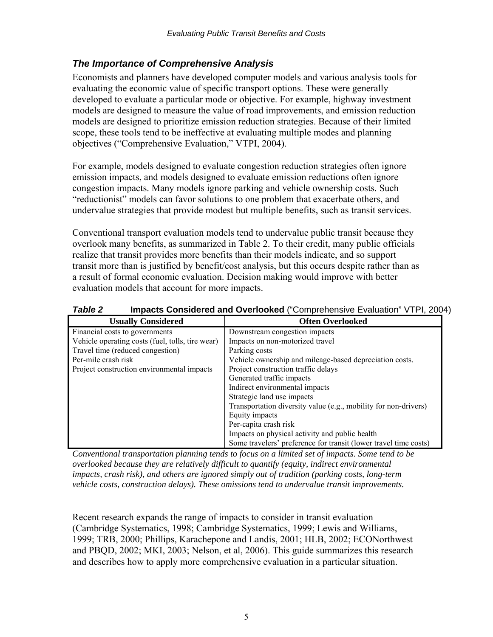### *The Importance of Comprehensive Analysis*

Economists and planners have developed computer models and various analysis tools for evaluating the economic value of specific transport options. These were generally developed to evaluate a particular mode or objective. For example, highway investment models are designed to measure the value of road improvements, and emission reduction models are designed to prioritize emission reduction strategies. Because of their limited scope, these tools tend to be ineffective at evaluating multiple modes and planning objectives ("Comprehensive Evaluation," VTPI, 2004).

For example, models designed to evaluate congestion reduction strategies often ignore emission impacts, and models designed to evaluate emission reductions often ignore congestion impacts. Many models ignore parking and vehicle ownership costs. Such "reductionist" models can favor solutions to one problem that exacerbate others, and undervalue strategies that provide modest but multiple benefits, such as transit services.

Conventional transport evaluation models tend to undervalue public transit because they overlook many benefits, as summarized in Table 2. To their credit, many public officials realize that transit provides more benefits than their models indicate, and so support transit more than is justified by benefit/cost analysis, but this occurs despite rather than as a result of formal economic evaluation. Decision making would improve with better evaluation models that account for more impacts.

*Table 2* **Impacts Considered and Overlooked** ("Comprehensive Evaluation" VTPI, 2004)

| <b>Usually Considered</b>                        | <b>Often Overlooked</b>                                          |
|--------------------------------------------------|------------------------------------------------------------------|
| Financial costs to governments                   | Downstream congestion impacts                                    |
| Vehicle operating costs (fuel, tolls, tire wear) | Impacts on non-motorized travel                                  |
| Travel time (reduced congestion)                 | Parking costs                                                    |
| Per-mile crash risk                              | Vehicle ownership and mileage-based depreciation costs.          |
| Project construction environmental impacts       | Project construction traffic delays                              |
|                                                  | Generated traffic impacts                                        |
|                                                  | Indirect environmental impacts                                   |
|                                                  | Strategic land use impacts                                       |
|                                                  | Transportation diversity value (e.g., mobility for non-drivers)  |
|                                                  | Equity impacts                                                   |
|                                                  | Per-capita crash risk                                            |
|                                                  | Impacts on physical activity and public health                   |
|                                                  | Some travelers' preference for transit (lower travel time costs) |

*Conventional transportation planning tends to focus on a limited set of impacts. Some tend to be overlooked because they are relatively difficult to quantify (equity, indirect environmental impacts, crash risk), and others are ignored simply out of tradition (parking costs, long-term vehicle costs, construction delays). These omissions tend to undervalue transit improvements.* 

Recent research expands the range of impacts to consider in transit evaluation (Cambridge Systematics, 1998; Cambridge Systematics, 1999; Lewis and Williams, 1999; TRB, 2000; Phillips, Karachepone and Landis, 2001; HLB, 2002; ECONorthwest and PBQD, 2002; MKI, 2003; Nelson, et al, 2006). This guide summarizes this research and describes how to apply more comprehensive evaluation in a particular situation.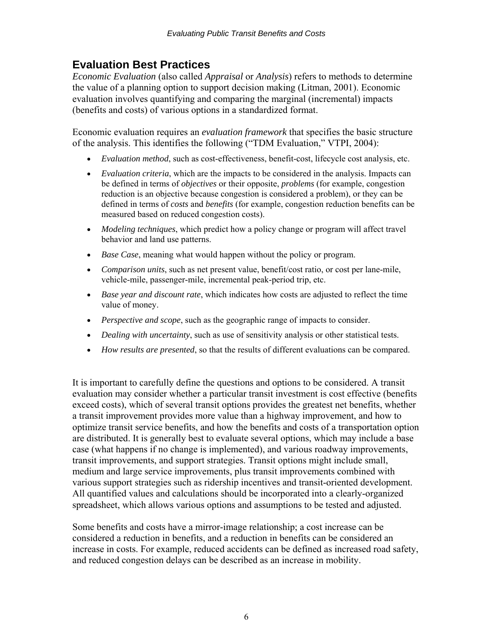# <span id="page-6-0"></span>**Evaluation Best Practices**

*Economic Evaluation* (also called *Appraisal* or *Analysis*) refers to methods to determine the value of a planning option to support decision making (Litman, 2001). Economic evaluation involves quantifying and comparing the marginal (incremental) impacts (benefits and costs) of various options in a standardized format.

Economic evaluation requires an *evaluation framework* that specifies the basic structure of the analysis. This identifies the following ("TDM Evaluation," VTPI, 2004):

- *Evaluation method*, such as cost-effectiveness, benefit-cost, lifecycle cost analysis, etc.
- *Evaluation criteria*, which are the impacts to be considered in the analysis. Impacts can be defined in terms of *objectives* or their opposite, *problems* (for example, congestion reduction is an objective because congestion is considered a problem), or they can be defined in terms of *costs* and *benefits* (for example, congestion reduction benefits can be measured based on reduced congestion costs).
- *Modeling techniques*, which predict how a policy change or program will affect travel behavior and land use patterns.
- *Base Case*, meaning what would happen without the policy or program.
- *Comparison units*, such as net present value, benefit/cost ratio, or cost per lane-mile, vehicle-mile, passenger-mile, incremental peak-period trip, etc.
- *Base year and discount rate*, which indicates how costs are adjusted to reflect the time value of money.
- *Perspective and scope*, such as the geographic range of impacts to consider.
- *Dealing with uncertainty*, such as use of sensitivity analysis or other statistical tests.
- *How results are presented*, so that the results of different evaluations can be compared.

It is important to carefully define the questions and options to be considered. A transit evaluation may consider whether a particular transit investment is cost effective (benefits exceed costs), which of several transit options provides the greatest net benefits, whether a transit improvement provides more value than a highway improvement, and how to optimize transit service benefits, and how the benefits and costs of a transportation option are distributed. It is generally best to evaluate several options, which may include a base case (what happens if no change is implemented), and various roadway improvements, transit improvements, and support strategies. Transit options might include small, medium and large service improvements, plus transit improvements combined with various support strategies such as ridership incentives and transit-oriented development. All quantified values and calculations should be incorporated into a clearly-organized spreadsheet, which allows various options and assumptions to be tested and adjusted.

Some benefits and costs have a mirror-image relationship; a cost increase can be considered a reduction in benefits, and a reduction in benefits can be considered an increase in costs. For example, reduced accidents can be defined as increased road safety, and reduced congestion delays can be described as an increase in mobility.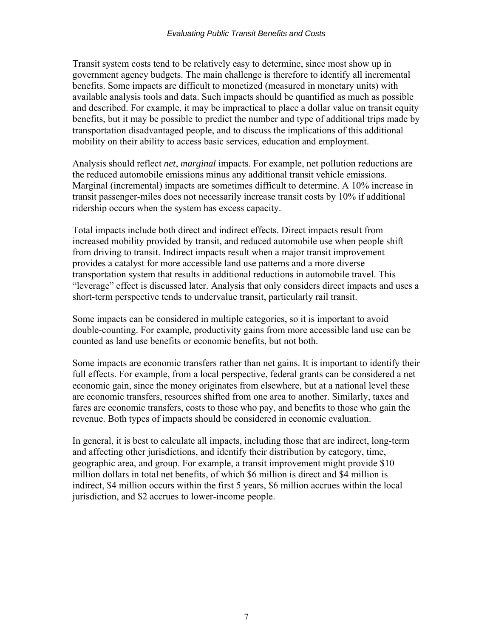Transit system costs tend to be relatively easy to determine, since most show up in government agency budgets. The main challenge is therefore to identify all incremental benefits. Some impacts are difficult to monetized (measured in monetary units) with available analysis tools and data. Such impacts should be quantified as much as possible and described. For example, it may be impractical to place a dollar value on transit equity benefits, but it may be possible to predict the number and type of additional trips made by transportation disadvantaged people, and to discuss the implications of this additional mobility on their ability to access basic services, education and employment.

Analysis should reflect *net*, *marginal* impacts. For example, net pollution reductions are the reduced automobile emissions minus any additional transit vehicle emissions. Marginal (incremental) impacts are sometimes difficult to determine. A 10% increase in transit passenger-miles does not necessarily increase transit costs by 10% if additional ridership occurs when the system has excess capacity.

Total impacts include both direct and indirect effects. Direct impacts result from increased mobility provided by transit, and reduced automobile use when people shift from driving to transit. Indirect impacts result when a major transit improvement provides a catalyst for more accessible land use patterns and a more diverse transportation system that results in additional reductions in automobile travel. This "leverage" effect is discussed later. Analysis that only considers direct impacts and uses a short-term perspective tends to undervalue transit, particularly rail transit.

Some impacts can be considered in multiple categories, so it is important to avoid double-counting. For example, productivity gains from more accessible land use can be counted as land use benefits or economic benefits, but not both.

Some impacts are economic transfers rather than net gains. It is important to identify their full effects. For example, from a local perspective, federal grants can be considered a net economic gain, since the money originates from elsewhere, but at a national level these are economic transfers, resources shifted from one area to another. Similarly, taxes and fares are economic transfers, costs to those who pay, and benefits to those who gain the revenue. Both types of impacts should be considered in economic evaluation.

In general, it is best to calculate all impacts, including those that are indirect, long-term and affecting other jurisdictions, and identify their distribution by category, time, geographic area, and group. For example, a transit improvement might provide \$10 million dollars in total net benefits, of which \$6 million is direct and \$4 million is indirect, \$4 million occurs within the first 5 years, \$6 million accrues within the local jurisdiction, and \$2 accrues to lower-income people.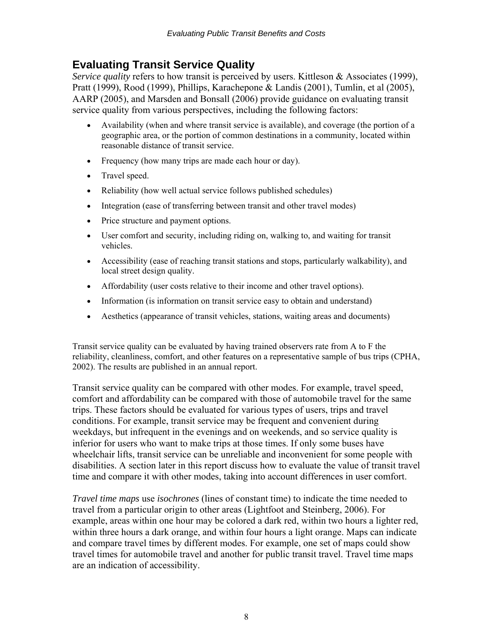# <span id="page-8-0"></span>**Evaluating Transit Service Quality**

*Service quality* refers to how transit is perceived by users. Kittleson & Associates (1999), Pratt (1999), Rood (1999), Phillips, Karachepone & Landis (2001), Tumlin, et al (2005), AARP (2005), and Marsden and Bonsall (2006) provide guidance on evaluating transit service quality from various perspectives, including the following factors:

- Availability (when and where transit service is available), and coverage (the portion of a geographic area, or the portion of common destinations in a community, located within reasonable distance of transit service.
- Frequency (how many trips are made each hour or day).
- Travel speed.
- Reliability (how well actual service follows published schedules)
- Integration (ease of transferring between transit and other travel modes)
- Price structure and payment options.
- User comfort and security, including riding on, walking to, and waiting for transit vehicles.
- Accessibility (ease of reaching transit stations and stops, particularly walkability), and local street design quality.
- Affordability (user costs relative to their income and other travel options).
- Information (is information on transit service easy to obtain and understand)
- Aesthetics (appearance of transit vehicles, stations, waiting areas and documents)

Transit service quality can be evaluated by having trained observers rate from A to F the reliability, cleanliness, comfort, and other features on a representative sample of bus trips (CPHA, 2002). The results are published in an annual report.

Transit service quality can be compared with other modes. For example, travel speed, comfort and affordability can be compared with those of automobile travel for the same trips. These factors should be evaluated for various types of users, trips and travel conditions. For example, transit service may be frequent and convenient during weekdays, but infrequent in the evenings and on weekends, and so service quality is inferior for users who want to make trips at those times. If only some buses have wheelchair lifts, transit service can be unreliable and inconvenient for some people with disabilities. A section later in this report discuss how to evaluate the value of transit travel time and compare it with other modes, taking into account differences in user comfort.

*Travel time maps* use *isochrones* (lines of constant time) to indicate the time needed to travel from a particular origin to other areas (Lightfoot and Steinberg, 2006). For example, areas within one hour may be colored a dark red, within two hours a lighter red, within three hours a dark orange, and within four hours a light orange. Maps can indicate and compare travel times by different modes. For example, one set of maps could show travel times for automobile travel and another for public transit travel. Travel time maps are an indication of accessibility.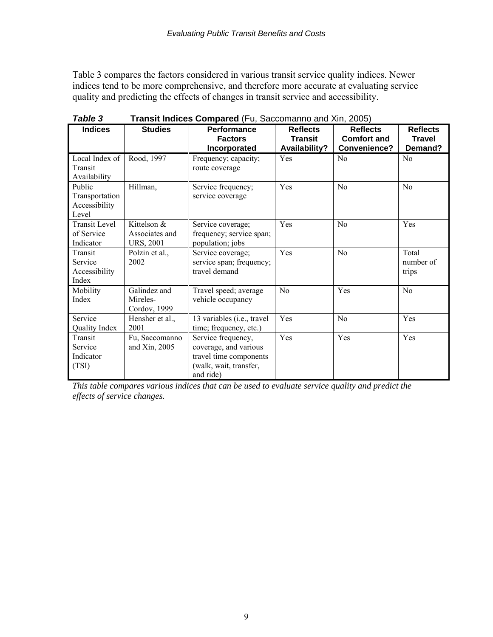Table 3 compares the factors considered in various transit service quality indices. Newer indices tend to be more comprehensive, and therefore more accurate at evaluating service quality and predicting the effects of changes in transit service and accessibility.

| <b>Indices</b>                                     | <b>Studies</b>                                      | Performance<br><b>Factors</b><br>Incorporated                                                                | <b>Reflects</b><br><b>Transit</b><br>Availability? | <b>Reflects</b><br><b>Comfort and</b><br>Convenience? | <b>Reflects</b><br><b>Travel</b><br>Demand? |
|----------------------------------------------------|-----------------------------------------------------|--------------------------------------------------------------------------------------------------------------|----------------------------------------------------|-------------------------------------------------------|---------------------------------------------|
| Local Index of<br>Transit<br>Availability          | Rood, 1997                                          | Frequency; capacity;<br>route coverage                                                                       | Yes                                                | N <sub>0</sub>                                        | N <sub>0</sub>                              |
| Public<br>Transportation<br>Accessibility<br>Level | Hillman,                                            | Service frequency;<br>service coverage                                                                       | Yes                                                | N <sub>0</sub>                                        | N <sub>o</sub>                              |
| <b>Transit Level</b><br>of Service<br>Indicator    | Kittelson $&$<br>Associates and<br><b>URS, 2001</b> | Service coverage;<br>frequency; service span;<br>population; jobs                                            | Yes                                                | No                                                    | Yes                                         |
| Transit<br>Service<br>Accessibility<br>Index       | Polzin et al.,<br>2002                              | Service coverage;<br>service span; frequency;<br>travel demand                                               | Yes                                                | N <sub>0</sub>                                        | Total<br>number of<br>trips                 |
| Mobility<br>Index                                  | Galindez and<br>Mireles-<br>Cordov, 1999            | Travel speed; average<br>vehicle occupancy                                                                   | No                                                 | Yes                                                   | No                                          |
| Service<br>Quality Index                           | Hensher et al.,<br>2001                             | 13 variables (i.e., travel<br>time; frequency, etc.)                                                         | Yes                                                | N <sub>0</sub>                                        | Yes                                         |
| Transit<br>Service<br>Indicator<br>(TSI)           | Fu, Saccomanno<br>and Xin, 2005                     | Service frequency,<br>coverage, and various<br>travel time components<br>(walk, wait, transfer,<br>and ride) | Yes                                                | Yes                                                   | Yes                                         |

**Table 3** Transit Indices Compared (Fu, Saccomanno and Xin, 2005)

*This table compares various indices that can be used to evaluate service quality and predict the effects of service changes.*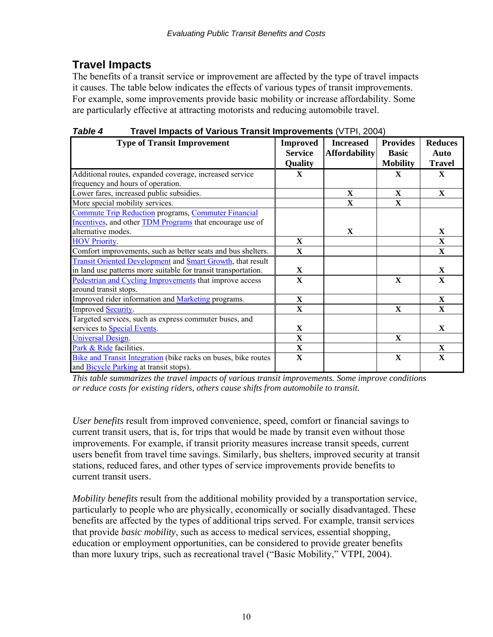# <span id="page-10-0"></span>**Travel Impacts**

The benefits of a transit service or improvement are affected by the type of travel impacts it causes. The table below indicates the effects of various types of transit improvements. For example, some improvements provide basic mobility or increase affordability. Some are particularly effective at attracting motorists and reducing automobile travel.

*Table 4* **Travel Impacts of Various Transit Improvements** (VTPI, 2004)

| <b>Type of Transit Improvement</b>                              | <b>Improved</b>         | <b>Increased</b>        | <b>Provides</b> | <b>Reduces</b> |
|-----------------------------------------------------------------|-------------------------|-------------------------|-----------------|----------------|
|                                                                 | <b>Service</b>          | <b>Affordability</b>    | <b>Basic</b>    | Auto           |
|                                                                 | <b>Quality</b>          |                         | <b>Mobility</b> | <b>Travel</b>  |
| Additional routes, expanded coverage, increased service         | $\mathbf{X}$            |                         | X               | X              |
| frequency and hours of operation.                               |                         |                         |                 |                |
| Lower fares, increased public subsidies.                        |                         | $\mathbf X$             | $\mathbf{X}$    | $\mathbf{X}$   |
| More special mobility services.                                 |                         | $\overline{\mathbf{X}}$ | $\mathbf{X}$    |                |
| <b>Commute Trip Reduction programs, Commuter Financial</b>      |                         |                         |                 |                |
| Incentives, and other <b>TDM</b> Programs that encourage use of |                         |                         |                 |                |
| alternative modes.                                              |                         | $\mathbf{X}$            |                 | $\mathbf{X}$   |
| <b>HOV Priority.</b>                                            | $\mathbf{X}$            |                         |                 | $\mathbf{X}$   |
| Comfort improvements, such as better seats and bus shelters.    | $\mathbf{X}$            |                         |                 | X              |
| Transit Oriented Development and Smart Growth, that result      |                         |                         |                 |                |
| in land use patterns more suitable for transit transportation.  | $\mathbf{X}$            |                         |                 | $\mathbf{x}$   |
| Pedestrian and Cycling Improvements that improve access         | $\mathbf{X}$            |                         | $\mathbf{X}$    | $\mathbf{X}$   |
| around transit stops.                                           |                         |                         |                 |                |
| Improved rider information and Marketing programs.              | $\mathbf{X}$            |                         |                 | $\mathbf{X}$   |
| Improved Security.                                              | $\overline{\mathbf{X}}$ |                         | $\mathbf{X}$    | $\mathbf{X}$   |
| Targeted services, such as express commuter buses, and          |                         |                         |                 |                |
| services to <b>Special Events</b> .                             | $\mathbf{X}$            |                         |                 | X              |
| <b>Universal Design.</b>                                        | $\mathbf{X}$            |                         | $\mathbf{X}$    |                |
| Park & Ride facilities.                                         | $\mathbf X$             |                         |                 | X              |
| Bike and Transit Integration (bike racks on buses, bike routes  | $\mathbf{X}$            |                         | X               | X              |
| and <b>Bicycle Parking</b> at transit stops).                   |                         |                         |                 |                |

*This table summarizes the travel impacts of various transit improvements. Some improve conditions or reduce costs for existing riders, others cause shifts from automobile to transit.* 

*User benefits* result from improved convenience, speed, comfort or financial savings to current transit users, that is, for trips that would be made by transit even without those improvements. For example, if transit priority measures increase transit speeds, current users benefit from travel time savings. Similarly, bus shelters, improved security at transit stations, reduced fares, and other types of service improvements provide benefits to current transit users.

*Mobility benefits* result from the additional mobility provided by a transportation service, particularly to people who are physically, economically or socially disadvantaged. These benefits are affected by the types of additional trips served. For example, transit services that provide *basic mobility*, such as access to medical services, essential shopping, education or employment opportunities, can be considered to provide greater benefits than more luxury trips, such as recreational travel ("Basic Mobility," VTPI, 2004).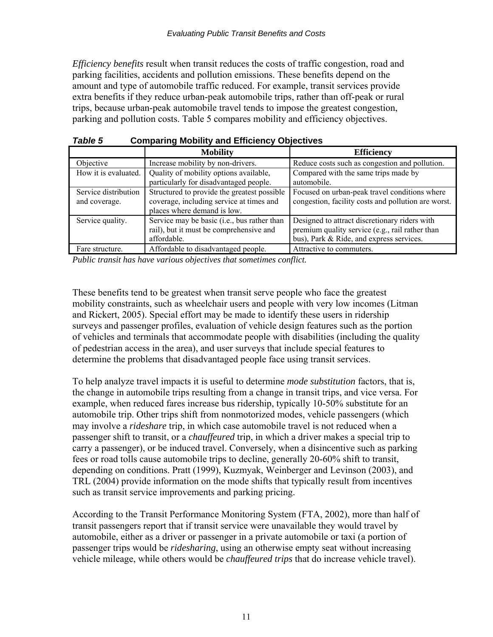*Efficiency benefits* result when transit reduces the costs of traffic congestion, road and parking facilities, accidents and pollution emissions. These benefits depend on the amount and type of automobile traffic reduced. For example, transit services provide extra benefits if they reduce urban-peak automobile trips, rather than off-peak or rural trips, because urban-peak automobile travel tends to impose the greatest congestion, parking and pollution costs. Table 5 compares mobility and efficiency objectives.

| , , , , , , ,        |                                             |                                                     |  |
|----------------------|---------------------------------------------|-----------------------------------------------------|--|
|                      | <b>Mobility</b>                             | <b>Efficiency</b>                                   |  |
| Objective            | Increase mobility by non-drivers.           | Reduce costs such as congestion and pollution.      |  |
| How it is evaluated. | Quality of mobility options available,      | Compared with the same trips made by                |  |
|                      | particularly for disadvantaged people.      | automobile.                                         |  |
| Service distribution | Structured to provide the greatest possible | Focused on urban-peak travel conditions where       |  |
| and coverage.        | coverage, including service at times and    | congestion, facility costs and pollution are worst. |  |
|                      | places where demand is low.                 |                                                     |  |
| Service quality.     | Service may be basic (i.e., bus rather than | Designed to attract discretionary riders with       |  |
|                      | rail), but it must be comprehensive and     | premium quality service (e.g., rail rather than     |  |
|                      | affordable.                                 | bus), Park & Ride, and express services.            |  |
| Fare structure.      | Affordable to disadvantaged people.         | Attractive to commuters.                            |  |

*Table 5* **Comparing Mobility and Efficiency Objectives** 

*Public transit has have various objectives that sometimes conflict.* 

These benefits tend to be greatest when transit serve people who face the greatest mobility constraints, such as wheelchair users and people with very low incomes (Litman and Rickert, 2005). Special effort may be made to identify these users in ridership surveys and passenger profiles, evaluation of vehicle design features such as the portion of vehicles and terminals that accommodate people with disabilities (including the quality of pedestrian access in the area), and user surveys that include special features to determine the problems that disadvantaged people face using transit services.

To help analyze travel impacts it is useful to determine *mode substitution* factors, that is, the change in automobile trips resulting from a change in transit trips, and vice versa. For example, when reduced fares increase bus ridership, typically 10-50% substitute for an automobile trip. Other trips shift from nonmotorized modes, vehicle passengers (which may involve a *rideshare* trip, in which case automobile travel is not reduced when a passenger shift to transit, or a *chauffeured* trip, in which a driver makes a special trip to carry a passenger), or be induced travel. Conversely, when a disincentive such as parking fees or road tolls cause automobile trips to decline, generally 20-60% shift to transit, depending on conditions. Pratt (1999), Kuzmyak, Weinberger and Levinson (2003), and TRL (2004) provide information on the mode shifts that typically result from incentives such as transit service improvements and parking pricing.

According to the Transit Performance Monitoring System (FTA, 2002), more than half of transit passengers report that if transit service were unavailable they would travel by automobile, either as a driver or passenger in a private automobile or taxi (a portion of passenger trips would be *ridesharing*, using an otherwise empty seat without increasing vehicle mileage, while others would be *chauffeured trips* that do increase vehicle travel).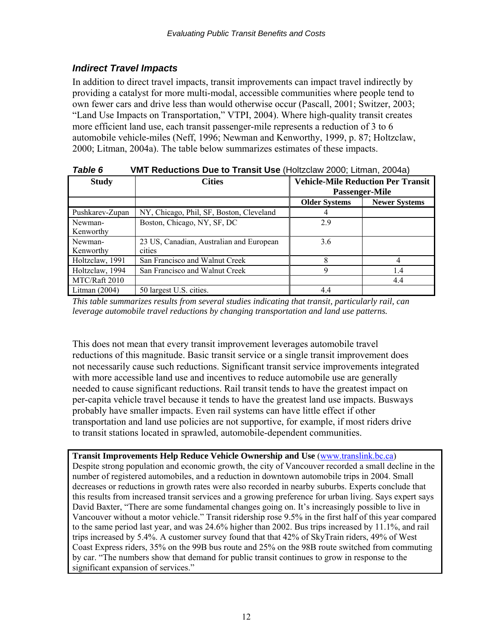### <span id="page-12-0"></span>*Indirect Travel Impacts*

In addition to direct travel impacts, transit improvements can impact travel indirectly by providing a catalyst for more multi-modal, accessible communities where people tend to own fewer cars and drive less than would otherwise occur (Pascall, 2001; Switzer, 2003; "Land Use Impacts on Transportation," VTPI, 2004). Where high-quality transit creates more efficient land use, each transit passenger-mile represents a reduction of 3 to 6 automobile vehicle-miles (Neff, 1996; Newman and Kenworthy, 1999, p. 87; Holtzclaw, 2000; Litman, 2004a). The table below summarizes estimates of these impacts.

| , univ v<br>THE ROUGHOND DUC to HUNDR OOG HORZOGW ZOOG, ERINGH, ZOOHU/ |                                          |                                                             |                      |
|------------------------------------------------------------------------|------------------------------------------|-------------------------------------------------------------|----------------------|
| <b>Study</b>                                                           | <b>Cities</b>                            | <b>Vehicle-Mile Reduction Per Transit</b><br>Passenger-Mile |                      |
|                                                                        |                                          | <b>Older Systems</b>                                        | <b>Newer Systems</b> |
| Pushkarev-Zupan                                                        | NY, Chicago, Phil, SF, Boston, Cleveland | 4                                                           |                      |
| Newman-                                                                | Boston, Chicago, NY, SF, DC              | 2.9                                                         |                      |
| Kenworthy                                                              |                                          |                                                             |                      |
| Newman-                                                                | 23 US, Canadian, Australian and European | 3.6                                                         |                      |
| Kenworthy                                                              | cities                                   |                                                             |                      |
| Holtzclaw, 1991                                                        | San Francisco and Walnut Creek           | 8                                                           |                      |
| Holtzclaw, 1994                                                        | San Francisco and Walnut Creek           | 9                                                           | 1.4                  |
| MTC/Raft 2010                                                          |                                          |                                                             | 4.4                  |
| Litman $(2004)$                                                        | 50 largest U.S. cities.                  | 4.4                                                         |                      |

| <b>Table 6</b><br><b>VMT Reductions Due to Transit Use (Holtzclaw 2000; Litman, 2004a)</b> |
|--------------------------------------------------------------------------------------------|
|--------------------------------------------------------------------------------------------|

*This table summarizes results from several studies indicating that transit, particularly rail, can leverage automobile travel reductions by changing transportation and land use patterns.* 

This does not mean that every transit improvement leverages automobile travel reductions of this magnitude. Basic transit service or a single transit improvement does not necessarily cause such reductions. Significant transit service improvements integrated with more accessible land use and incentives to reduce automobile use are generally needed to cause significant reductions. Rail transit tends to have the greatest impact on per-capita vehicle travel because it tends to have the greatest land use impacts. Busways probably have smaller impacts. Even rail systems can have little effect if other transportation and land use policies are not supportive, for example, if most riders drive to transit stations located in sprawled, automobile-dependent communities.

**Transit Improvements Help Reduce Vehicle Ownership and Use** ([www.translink.bc.ca\)](http://www.translink.bc.ca/) Despite strong population and economic growth, the city of Vancouver recorded a small decline in the number of registered automobiles, and a reduction in downtown automobile trips in 2004. Small decreases or reductions in growth rates were also recorded in nearby suburbs. Experts conclude that this results from increased transit services and a growing preference for urban living. Says expert says David Baxter, "There are some fundamental changes going on. It's increasingly possible to live in Vancouver without a motor vehicle." Transit ridership rose 9.5% in the first half of this year compared to the same period last year, and was 24.6% higher than 2002. Bus trips increased by 11.1%, and rail trips increased by 5.4%. A customer survey found that that 42% of SkyTrain riders, 49% of West Coast Express riders, 35% on the 99B bus route and 25% on the 98B route switched from commuting by car. "The numbers show that demand for public transit continues to grow in response to the significant expansion of services."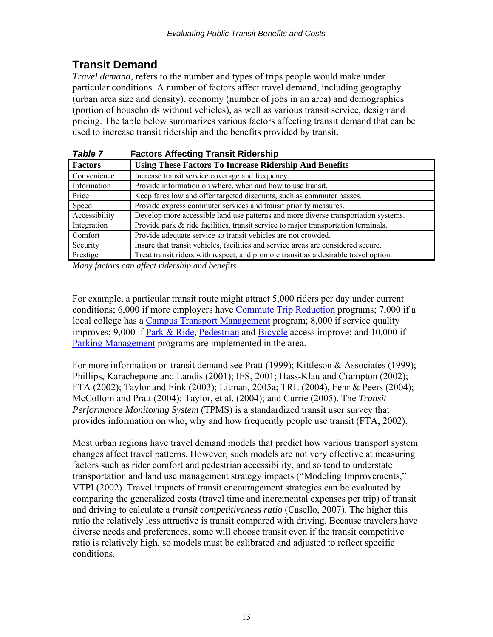# <span id="page-13-0"></span>**Transit Demand**

*Travel demand*, refers to the number and types of trips people would make under particular conditions. A number of factors affect travel demand, including geography (urban area size and density), economy (number of jobs in an area) and demographics (portion of households without vehicles), as well as various transit service, design and pricing. The table below summarizes various factors affecting transit demand that can be used to increase transit ridership and the benefits provided by transit.

| Table 7        | <b>Factors Affecting Transit Ridership</b>                                           |
|----------------|--------------------------------------------------------------------------------------|
| <b>Factors</b> | <b>Using These Factors To Increase Ridership And Benefits</b>                        |
| Convenience    | Increase transit service coverage and frequency.                                     |
| Information    | Provide information on where, when and how to use transit.                           |
| Price          | Keep fares low and offer targeted discounts, such as commuter passes.                |
| Speed.         | Provide express commuter services and transit priority measures.                     |
| Accessibility  | Develop more accessible land use patterns and more diverse transportation systems.   |
| Integration    | Provide park & ride facilities, transit service to major transportation terminals.   |
| Comfort        | Provide adequate service so transit vehicles are not crowded.                        |
| Security       | Insure that transit vehicles, facilities and service areas are considered secure.    |
| Prestige       | Treat transit riders with respect, and promote transit as a desirable travel option. |

*Many factors can affect ridership and benefits.* 

For example, a particular transit route might attract 5,000 riders per day under current conditions; 6,000 if more employers have [Commute Trip Reduction](http://www.vtpi.org/tdm/tdm9.htm) programs; 7,000 if a local college has a [Campus Transport Management](http://www.vtpi.org/tdm/tdm5.htm) program; 8,000 if service quality improves; 9,000 if [Park & Ride](http://www.vtpi.org/tdm/tdm27.htm), [Pedestrian](http://www.vtpi.org/tdm/tdm92.htm) and [Bicycle](http://www.vtpi.org/tdm/tdm2.htm) access improve; and 10,000 if [Parking Management](http://www.vtpi.org/tdm/tdm28.htm) programs are implemented in the area.

For more information on transit demand see Pratt (1999); Kittleson & Associates (1999); Phillips, Karachepone and Landis (2001); IFS, 2001; Hass-Klau and Crampton (2002); FTA (2002); Taylor and Fink (2003); Litman, 2005a; TRL (2004), Fehr & Peers (2004); McCollom and Pratt (2004); Taylor, et al. (2004); and Currie (2005). The *Transit Performance Monitoring System* (TPMS) is a standardized transit user survey that provides information on who, why and how frequently people use transit (FTA, 2002).

Most urban regions have travel demand models that predict how various transport system changes affect travel patterns. However, such models are not very effective at measuring factors such as rider comfort and pedestrian accessibility, and so tend to understate transportation and land use management strategy impacts ("Modeling Improvements," VTPI (2002). Travel impacts of transit encouragement strategies can be evaluated by comparing the generalized costs (travel time and incremental expenses per trip) of transit and driving to calculate a *transit competitiveness ratio* (Casello, 2007). The higher this ratio the relatively less attractive is transit compared with driving. Because travelers have diverse needs and preferences, some will choose transit even if the transit competitive ratio is relatively high, so models must be calibrated and adjusted to reflect specific conditions.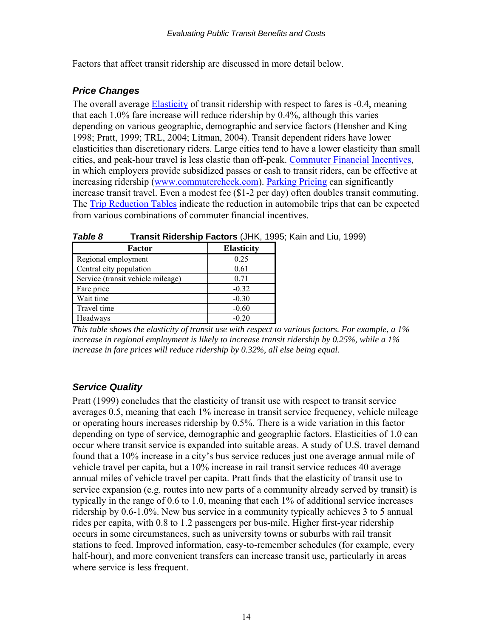Factors that affect transit ridership are discussed in more detail below.

### *Price Changes*

The overall average [Elasticity](http://www.vtpi.org/tdm/tdm11.htm) of transit ridership with respect to fares is -0.4, meaning that each 1.0% fare increase will reduce ridership by 0.4%, although this varies depending on various geographic, demographic and service factors (Hensher and King 1998; Pratt, 1999; TRL, 2004; Litman, 2004). Transit dependent riders have lower elasticities than discretionary riders. Large cities tend to have a lower elasticity than small cities, and peak-hour travel is less elastic than off-peak. [Commuter Financial Incentives,](http://www.vtpi.org/tdm/tdm8.htm) in which employers provide subsidized passes or cash to transit riders, can be effective at increasing ridership ([www.commutercheck.com](http://www.commutercheck.com/)). [Parking Pricing](http://www.vtpi.org/tdm/tdm26.htm) can significantly increase transit travel. Even a modest fee (\$1-2 per day) often doubles transit commuting. The [Trip Reduction Tables](http://www.vtpi.org/tdm/tdm41.htm) indicate the reduction in automobile trips that can be expected from various combinations of commuter financial incentives.

|                                   | ,                 |
|-----------------------------------|-------------------|
| <b>Factor</b>                     | <b>Elasticity</b> |
| Regional employment               | 0.25              |
| Central city population           | 0.61              |
| Service (transit vehicle mileage) | 0.71              |
| Fare price                        | $-0.32$           |
| Wait time                         | $-0.30$           |
| Travel time                       | $-0.60$           |
| Headways                          | $-0.20$           |

| Table 8 | <b>Transit Ridership Factors (JHK, 1995; Kain and Liu, 1999)</b> |
|---------|------------------------------------------------------------------|
|---------|------------------------------------------------------------------|

*This table shows the elasticity of transit use with respect to various factors. For example, a 1% increase in regional employment is likely to increase transit ridership by 0.25%, while a 1% increase in fare prices will reduce ridership by 0.32%, all else being equal.* 

### *Service Quality*

Pratt (1999) concludes that the elasticity of transit use with respect to transit service averages 0.5, meaning that each 1% increase in transit service frequency, vehicle mileage or operating hours increases ridership by 0.5%. There is a wide variation in this factor depending on type of service, demographic and geographic factors. Elasticities of 1.0 can occur where transit service is expanded into suitable areas. A study of U.S. travel demand found that a 10% increase in a city's bus service reduces just one average annual mile of vehicle travel per capita, but a 10% increase in rail transit service reduces 40 average annual miles of vehicle travel per capita. Pratt finds that the elasticity of transit use to service expansion (e.g. routes into new parts of a community already served by transit) is typically in the range of 0.6 to 1.0, meaning that each 1% of additional service increases ridership by 0.6-1.0%. New bus service in a community typically achieves 3 to 5 annual rides per capita, with 0.8 to 1.2 passengers per bus-mile. Higher first-year ridership occurs in some circumstances, such as university towns or suburbs with rail transit stations to feed. Improved information, easy-to-remember schedules (for example, every half-hour), and more convenient transfers can increase transit use, particularly in areas where service is less frequent.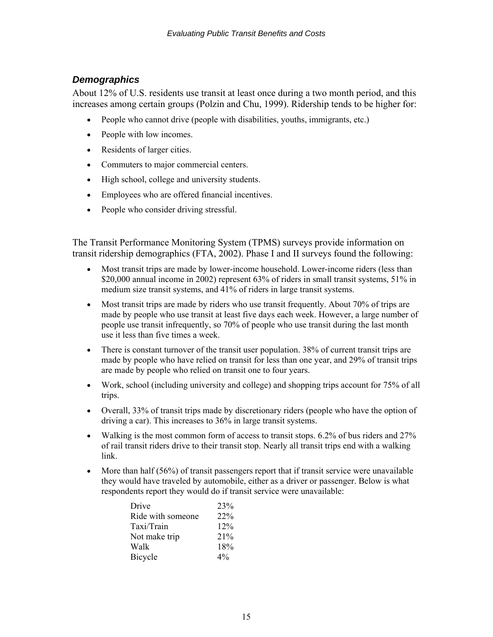### *Demographics*

About 12% of U.S. residents use transit at least once during a two month period, and this increases among certain groups (Polzin and Chu, 1999). Ridership tends to be higher for:

- People who cannot drive (people with disabilities, youths, immigrants, etc.)
- People with low incomes.
- Residents of larger cities.
- Commuters to major commercial centers.
- High school, college and university students.
- Employees who are offered financial incentives.
- People who consider driving stressful.

The Transit Performance Monitoring System (TPMS) surveys provide information on transit ridership demographics (FTA, 2002). Phase I and II surveys found the following:

- Most transit trips are made by lower-income household. Lower-income riders (less than \$20,000 annual income in 2002) represent 63% of riders in small transit systems, 51% in medium size transit systems, and 41% of riders in large transit systems.
- Most transit trips are made by riders who use transit frequently. About 70% of trips are made by people who use transit at least five days each week. However, a large number of people use transit infrequently, so 70% of people who use transit during the last month use it less than five times a week.
- There is constant turnover of the transit user population. 38% of current transit trips are made by people who have relied on transit for less than one year, and 29% of transit trips are made by people who relied on transit one to four years.
- Work, school (including university and college) and shopping trips account for 75% of all trips.
- Overall, 33% of transit trips made by discretionary riders (people who have the option of driving a car). This increases to 36% in large transit systems.
- Walking is the most common form of access to transit stops. 6.2% of bus riders and 27% of rail transit riders drive to their transit stop. Nearly all transit trips end with a walking link.
- More than half (56%) of transit passengers report that if transit service were unavailable they would have traveled by automobile, either as a driver or passenger. Below is what respondents report they would do if transit service were unavailable:

| Drive             | 23%   |
|-------------------|-------|
| Ride with someone | 22%   |
| Taxi/Train        | 12%   |
| Not make trip     | 21%   |
| Walk              | 18%   |
| Bicycle           | $4\%$ |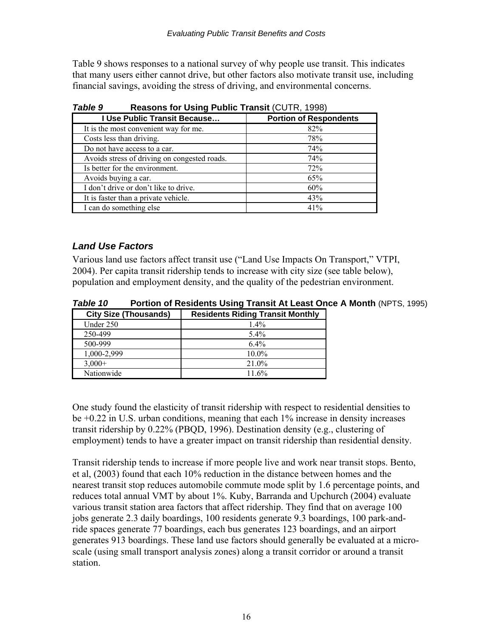Table 9 shows responses to a national survey of why people use transit. This indicates that many users either cannot drive, but other factors also motivate transit use, including financial savings, avoiding the stress of driving, and environmental concerns.

| I Use Public Transit Because                 | <b>Portion of Respondents</b> |
|----------------------------------------------|-------------------------------|
| It is the most convenient way for me.        | 82%                           |
| Costs less than driving.                     | 78%                           |
| Do not have access to a car.                 | 74%                           |
| Avoids stress of driving on congested roads. | 74%                           |
| Is better for the environment.               | 72%                           |
| Avoids buying a car.                         | 65%                           |
| I don't drive or don't like to drive.        | 60%                           |
| It is faster than a private vehicle.         | 43%                           |
| I can do something else                      | 41%                           |

*Table 9* **Reasons for Using Public Transit** (CUTR, 1998)

### *Land Use Factors*

Various land use factors affect transit use ("Land Use Impacts On Transport," VTPI, 2004). Per capita transit ridership tends to increase with city size (see table below), population and employment density, and the quality of the pedestrian environment.

| Table 10 | Portion of Residents Using Transit At Least Once A Month (NPTS, 1995) |  |  |  |
|----------|-----------------------------------------------------------------------|--|--|--|
|          |                                                                       |  |  |  |

| <b>City Size (Thousands)</b> | <b>Residents Riding Transit Monthly</b> |
|------------------------------|-----------------------------------------|
| Under 250                    | 14%                                     |
| 250-499                      | $5.4\%$                                 |
| 500-999                      | 64%                                     |
| 1,000-2,999                  | $10.0\%$                                |
| $3.000+$                     | 21.0%                                   |
| Nationwide                   | 11.6%                                   |

One study found the elasticity of transit ridership with respect to residential densities to be +0.22 in U.S. urban conditions, meaning that each 1% increase in density increases transit ridership by 0.22% (PBQD, 1996). Destination density (e.g., clustering of employment) tends to have a greater impact on transit ridership than residential density.

Transit ridership tends to increase if more people live and work near transit stops. Bento, et al, (2003) found that each 10% reduction in the distance between homes and the nearest transit stop reduces automobile commute mode split by 1.6 percentage points, and reduces total annual VMT by about 1%. Kuby, Barranda and Upchurch (2004) evaluate various transit station area factors that affect ridership. They find that on average 100 jobs generate 2.3 daily boardings, 100 residents generate 9.3 boardings, 100 park-andride spaces generate 77 boardings, each bus generates 123 boardings, and an airport generates 913 boardings. These land use factors should generally be evaluated at a microscale (using small transport analysis zones) along a transit corridor or around a transit station.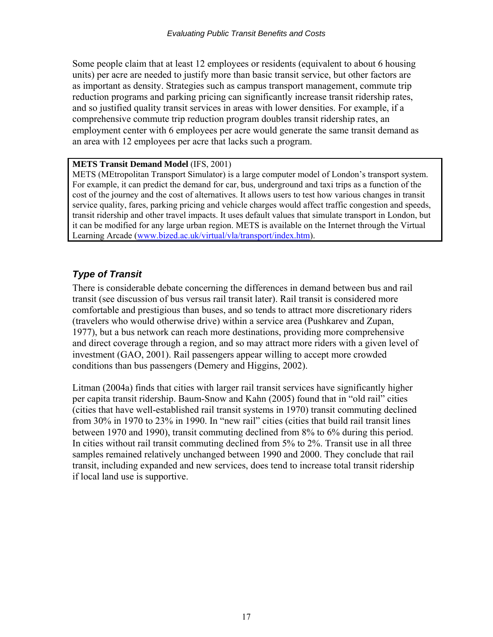Some people claim that at least 12 employees or residents (equivalent to about 6 housing units) per acre are needed to justify more than basic transit service, but other factors are as important as density. Strategies such as campus transport management, commute trip reduction programs and parking pricing can significantly increase transit ridership rates, and so justified quality transit services in areas with lower densities. For example, if a comprehensive commute trip reduction program doubles transit ridership rates, an employment center with 6 employees per acre would generate the same transit demand as an area with 12 employees per acre that lacks such a program.

#### **METS Transit Demand Model** (IFS, 2001)

METS (MEtropolitan Transport Simulator) is a large computer model of London's transport system. For example, it can predict the demand for car, bus, underground and taxi trips as a function of the cost of the journey and the cost of alternatives. It allows users to test how various changes in transit service quality, fares, parking pricing and vehicle charges would affect traffic congestion and speeds, transit ridership and other travel impacts. It uses default values that simulate transport in London, but it can be modified for any large urban region. METS is available on the Internet through the Virtual Learning Arcade ([www.bized.ac.uk/virtual/vla/transport/index.htm](http://www.bized.ac.uk/virtual/vla/transport/index.htm)).

## *Type of Transit*

There is considerable debate concerning the differences in demand between bus and rail transit (see discussion of bus versus rail transit later). Rail transit is considered more comfortable and prestigious than buses, and so tends to attract more discretionary riders (travelers who would otherwise drive) within a service area (Pushkarev and Zupan, 1977), but a bus network can reach more destinations, providing more comprehensive and direct coverage through a region, and so may attract more riders with a given level of investment (GAO, 2001). Rail passengers appear willing to accept more crowded conditions than bus passengers (Demery and Higgins, 2002).

Litman (2004a) finds that cities with larger rail transit services have significantly higher per capita transit ridership. Baum-Snow and Kahn (2005) found that in "old rail" cities (cities that have well-established rail transit systems in 1970) transit commuting declined from 30% in 1970 to 23% in 1990. In "new rail" cities (cities that build rail transit lines between 1970 and 1990), transit commuting declined from 8% to 6% during this period. In cities without rail transit commuting declined from 5% to 2%. Transit use in all three samples remained relatively unchanged between 1990 and 2000. They conclude that rail transit, including expanded and new services, does tend to increase total transit ridership if local land use is supportive.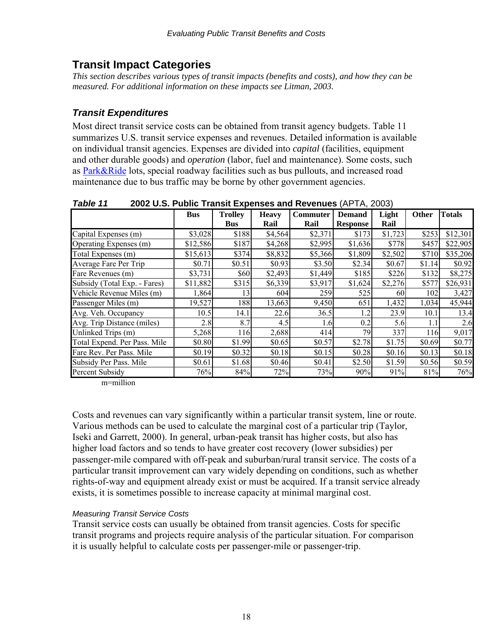# <span id="page-18-0"></span>**Transit Impact Categories**

*This section describes various types of transit impacts (benefits and costs), and how they can be measured. For additional information on these impacts see Litman, 2003.* 

## *Transit Expenditures*

Most direct transit service costs can be obtained from transit agency budgets. Table 11 summarizes U.S. transit service expenses and revenues. Detailed information is available on individual transit agencies. Expenses are divided into *capital* (facilities, equipment and other durable goods) and *operation* (labor, fuel and maintenance). Some costs, such as [Park&Ride](http://www.vtpi.org/tdm/tdm27.htm) lots, special roadway facilities such as bus pullouts, and increased road maintenance due to bus traffic may be borne by other government agencies.

| Tawit Ti                     | <b>2002 0.3. FUDIIG HAISK LAPEIISES AND NEVERIUSS</b> (AF TA, 2003) |                                                             |         |         |                 |                 |        |          |
|------------------------------|---------------------------------------------------------------------|-------------------------------------------------------------|---------|---------|-----------------|-----------------|--------|----------|
|                              | <b>Bus</b>                                                          | <b>Trolley</b><br>Commuter<br><b>Heavy</b><br><b>Demand</b> |         | Light   | <b>Other</b>    | <b>Totals</b>   |        |          |
|                              |                                                                     | <b>Bus</b>                                                  | Rail    | Rail    | <b>Response</b> | Rail            |        |          |
| Capital Expenses (m)         | \$3,028                                                             | \$188                                                       | \$4,564 | \$2,371 | \$173           | \$1,723         | \$253  | \$12,301 |
| Operating Expenses (m)       | \$12,586                                                            | \$187                                                       | \$4,268 | \$2,995 | \$1,636         | \$778           | \$457  | \$22,905 |
| Total Expenses (m)           | \$15,613                                                            | \$374                                                       | \$8,832 | \$5,366 | \$1,809         | \$2,502         | \$710  | \$35,206 |
| Average Fare Per Trip        | \$0.71                                                              | \$0.51                                                      | \$0.93  | \$3.50  | \$2.34          | \$0.67          | \$1.14 | \$0.92   |
| Fare Revenues (m)            | \$3,731                                                             | \$60                                                        | \$2,493 | \$1,449 | \$185           | \$226           | \$132  | \$8,275  |
| Subsidy (Total Exp. - Fares) | \$11,882                                                            | \$315                                                       | \$6,339 | \$3,917 | \$1,624         | \$2,276         | \$577  | \$26,931 |
| Vehicle Revenue Miles (m)    | 1,864                                                               | 13                                                          | 604     | 259     | 525             | 60 <sup>1</sup> | 102    | 3,427    |
| Passenger Miles (m)          | 19,527                                                              | 188                                                         | 13,663  | 9,450   | 651             | 1,432           | 1,034  | 45,944   |
| Avg. Veh. Occupancy          | 10.5                                                                | 14.1                                                        | 22.6    | 36.5    | 1.2             | 23.9            | 10.1   | 13.4     |
| Avg. Trip Distance (miles)   | 2.8                                                                 | 8.7                                                         | 4.5     | 1.6     | 0.2             | 5.6             |        | 2.6      |
| Unlinked Trips (m)           | 5,268                                                               | 116                                                         | 2,688   | 414     | 79              | 337             | 116    | 9,017    |
| Total Expend. Per Pass. Mile | \$0.80                                                              | \$1.99                                                      | \$0.65  | \$0.57  | \$2.78          | \$1.75          | \$0.69 | \$0.77   |
| Fare Rev. Per Pass. Mile     | \$0.19                                                              | \$0.32                                                      | \$0.18  | \$0.15  | \$0.28          | \$0.16          | \$0.13 | \$0.18   |
| Subsidy Per Pass. Mile       | \$0.61                                                              | \$1.68                                                      | \$0.46  | \$0.41  | \$2.50          | \$1.59          | \$0.56 | \$0.59   |
| Percent Subsidy              | 76%                                                                 | 84%                                                         | 72%     | 73%     | 90%             | 91%             | 81%    | 76%      |

*Table 11* **2002 U.S. Public Transit Expenses and Revenues** (APTA, 2003)

m=million

Costs and revenues can vary significantly within a particular transit system, line or route. Various methods can be used to calculate the marginal cost of a particular trip (Taylor, Iseki and Garrett, 2000). In general, urban-peak transit has higher costs, but also has higher load factors and so tends to have greater cost recovery (lower subsidies) per passenger-mile compared with off-peak and suburban/rural transit service. The costs of a particular transit improvement can vary widely depending on conditions, such as whether rights-of-way and equipment already exist or must be acquired. If a transit service already exists, it is sometimes possible to increase capacity at minimal marginal cost.

### *Measuring Transit Service Costs*

Transit service costs can usually be obtained from transit agencies. Costs for specific transit programs and projects require analysis of the particular situation. For comparison it is usually helpful to calculate costs per passenger-mile or passenger-trip.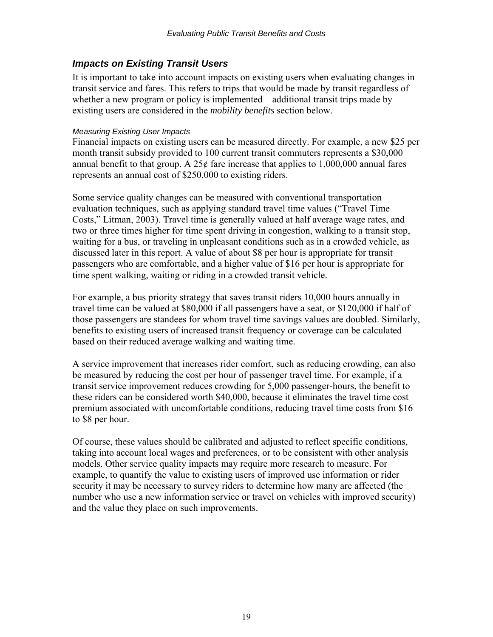### <span id="page-19-0"></span>*Impacts on Existing Transit Users*

It is important to take into account impacts on existing users when evaluating changes in transit service and fares. This refers to trips that would be made by transit regardless of whether a new program or policy is implemented – additional transit trips made by existing users are considered in the *mobility benefits* section below.

### *Measuring Existing User Impacts*

Financial impacts on existing users can be measured directly. For example, a new \$25 per month transit subsidy provided to 100 current transit commuters represents a \$30,000 annual benefit to that group. A  $25¢$  fare increase that applies to  $1,000,000$  annual fares represents an annual cost of \$250,000 to existing riders.

Some service quality changes can be measured with conventional transportation evaluation techniques, such as applying standard travel time values ("Travel Time Costs," Litman, 2003). Travel time is generally valued at half average wage rates, and two or three times higher for time spent driving in congestion, walking to a transit stop, waiting for a bus, or traveling in unpleasant conditions such as in a crowded vehicle, as discussed later in this report. A value of about \$8 per hour is appropriate for transit passengers who are comfortable, and a higher value of \$16 per hour is appropriate for time spent walking, waiting or riding in a crowded transit vehicle.

For example, a bus priority strategy that saves transit riders 10,000 hours annually in travel time can be valued at \$80,000 if all passengers have a seat, or \$120,000 if half of those passengers are standees for whom travel time savings values are doubled. Similarly, benefits to existing users of increased transit frequency or coverage can be calculated based on their reduced average walking and waiting time.

A service improvement that increases rider comfort, such as reducing crowding, can also be measured by reducing the cost per hour of passenger travel time. For example, if a transit service improvement reduces crowding for 5,000 passenger-hours, the benefit to these riders can be considered worth \$40,000, because it eliminates the travel time cost premium associated with uncomfortable conditions, reducing travel time costs from \$16 to \$8 per hour.

Of course, these values should be calibrated and adjusted to reflect specific conditions, taking into account local wages and preferences, or to be consistent with other analysis models. Other service quality impacts may require more research to measure. For example, to quantify the value to existing users of improved use information or rider security it may be necessary to survey riders to determine how many are affected (the number who use a new information service or travel on vehicles with improved security) and the value they place on such improvements.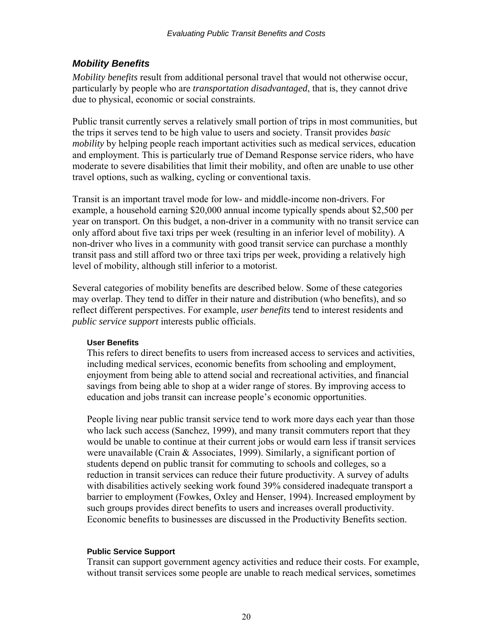### <span id="page-20-0"></span>*Mobility Benefits*

*Mobility benefits* result from additional personal travel that would not otherwise occur, particularly by people who are *transportation disadvantaged*, that is, they cannot drive due to physical, economic or social constraints.

Public transit currently serves a relatively small portion of trips in most communities, but the trips it serves tend to be high value to users and society. Transit provides *basic mobility* by helping people reach important activities such as medical services, education and employment. This is particularly true of Demand Response service riders, who have moderate to severe disabilities that limit their mobility, and often are unable to use other travel options, such as walking, cycling or conventional taxis.

Transit is an important travel mode for low- and middle-income non-drivers. For example, a household earning \$20,000 annual income typically spends about \$2,500 per year on transport. On this budget, a non-driver in a community with no transit service can only afford about five taxi trips per week (resulting in an inferior level of mobility). A non-driver who lives in a community with good transit service can purchase a monthly transit pass and still afford two or three taxi trips per week, providing a relatively high level of mobility, although still inferior to a motorist.

Several categories of mobility benefits are described below. Some of these categories may overlap. They tend to differ in their nature and distribution (who benefits), and so reflect different perspectives. For example, *user benefits* tend to interest residents and *public service support* interests public officials.

#### **User Benefits**

This refers to direct benefits to users from increased access to services and activities, including medical services, economic benefits from schooling and employment, enjoyment from being able to attend social and recreational activities, and financial savings from being able to shop at a wider range of stores. By improving access to education and jobs transit can increase people's economic opportunities.

People living near public transit service tend to work more days each year than those who lack such access (Sanchez, 1999), and many transit commuters report that they would be unable to continue at their current jobs or would earn less if transit services were unavailable (Crain & Associates, 1999). Similarly, a significant portion of students depend on public transit for commuting to schools and colleges, so a reduction in transit services can reduce their future productivity. A survey of adults with disabilities actively seeking work found 39% considered inadequate transport a barrier to employment (Fowkes, Oxley and Henser, 1994). Increased employment by such groups provides direct benefits to users and increases overall productivity. Economic benefits to businesses are discussed in the Productivity Benefits section.

### **Public Service Support**

Transit can support government agency activities and reduce their costs. For example, without transit services some people are unable to reach medical services, sometimes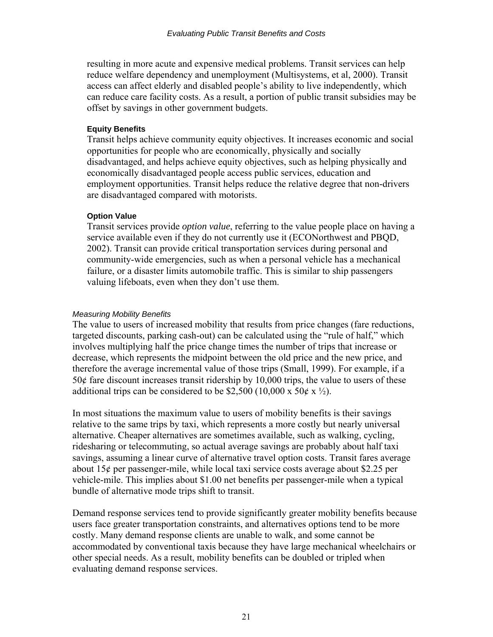<span id="page-21-0"></span>resulting in more acute and expensive medical problems. Transit services can help reduce welfare dependency and unemployment (Multisystems, et al, 2000). Transit access can affect elderly and disabled people's ability to live independently, which can reduce care facility costs. As a result, a portion of public transit subsidies may be offset by savings in other government budgets.

#### **Equity Benefits**

Transit helps achieve community equity objectives. It increases economic and social opportunities for people who are economically, physically and socially disadvantaged, and helps achieve equity objectives, such as helping physically and economically disadvantaged people access public services, education and employment opportunities. Transit helps reduce the relative degree that non-drivers are disadvantaged compared with motorists.

#### **Option Value**

Transit services provide *option value*, referring to the value people place on having a service available even if they do not currently use it (ECONorthwest and PBQD, 2002). Transit can provide critical transportation services during personal and community-wide emergencies, such as when a personal vehicle has a mechanical failure, or a disaster limits automobile traffic. This is similar to ship passengers valuing lifeboats, even when they don't use them.

### *Measuring Mobility Benefits*

The value to users of increased mobility that results from price changes (fare reductions, targeted discounts, parking cash-out) can be calculated using the "rule of half," which involves multiplying half the price change times the number of trips that increase or decrease, which represents the midpoint between the old price and the new price, and therefore the average incremental value of those trips (Small, 1999). For example, if a  $50¢$  fare discount increases transit ridership by 10,000 trips, the value to users of these additional trips can be considered to be \$2,500 (10,000 x 50¢ x  $\frac{1}{2}$ ).

In most situations the maximum value to users of mobility benefits is their savings relative to the same trips by taxi, which represents a more costly but nearly universal alternative. Cheaper alternatives are sometimes available, such as walking, cycling, ridesharing or telecommuting, so actual average savings are probably about half taxi savings, assuming a linear curve of alternative travel option costs. Transit fares average about 15¢ per passenger-mile, while local taxi service costs average about \$2.25 per vehicle-mile. This implies about \$1.00 net benefits per passenger-mile when a typical bundle of alternative mode trips shift to transit.

Demand response services tend to provide significantly greater mobility benefits because users face greater transportation constraints, and alternatives options tend to be more costly. Many demand response clients are unable to walk, and some cannot be accommodated by conventional taxis because they have large mechanical wheelchairs or other special needs. As a result, mobility benefits can be doubled or tripled when evaluating demand response services.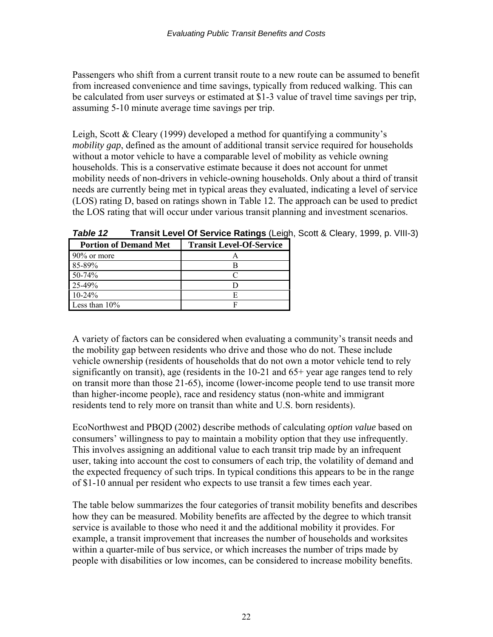Passengers who shift from a current transit route to a new route can be assumed to benefit from increased convenience and time savings, typically from reduced walking. This can be calculated from user surveys or estimated at \$1-3 value of travel time savings per trip, assuming 5-10 minute average time savings per trip.

Leigh, Scott & Cleary (1999) developed a method for quantifying a community's *mobility gap*, defined as the amount of additional transit service required for households without a motor vehicle to have a comparable level of mobility as vehicle owning households. This is a conservative estimate because it does not account for unmet mobility needs of non-drivers in vehicle-owning households. Only about a third of transit needs are currently being met in typical areas they evaluated, indicating a level of service (LOS) rating D, based on ratings shown in Table 12. The approach can be used to predict the LOS rating that will occur under various transit planning and investment scenarios.

| <b>Portion of Demand Met</b> | <b>Transit Level-Of-Service</b> |
|------------------------------|---------------------------------|
| $90\%$ or more               |                                 |
| 85-89%                       |                                 |
| 50-74%                       |                                 |
| 25-49%                       |                                 |
| $10-24%$                     |                                 |
| Less than $10\%$             |                                 |

*Table 12* **Transit Level Of Service Ratings** (Leigh, Scott & Cleary, 1999, p. VIII-3)

A variety of factors can be considered when evaluating a community's transit needs and the mobility gap between residents who drive and those who do not. These include vehicle ownership (residents of households that do not own a motor vehicle tend to rely significantly on transit), age (residents in the 10-21 and 65+ year age ranges tend to rely on transit more than those 21-65), income (lower-income people tend to use transit more than higher-income people), race and residency status (non-white and immigrant residents tend to rely more on transit than white and U.S. born residents).

EcoNorthwest and PBQD (2002) describe methods of calculating *option value* based on consumers' willingness to pay to maintain a mobility option that they use infrequently. This involves assigning an additional value to each transit trip made by an infrequent user, taking into account the cost to consumers of each trip, the volatility of demand and the expected frequency of such trips. In typical conditions this appears to be in the range of \$1-10 annual per resident who expects to use transit a few times each year.

The table below summarizes the four categories of transit mobility benefits and describes how they can be measured. Mobility benefits are affected by the degree to which transit service is available to those who need it and the additional mobility it provides. For example, a transit improvement that increases the number of households and worksites within a quarter-mile of bus service, or which increases the number of trips made by people with disabilities or low incomes, can be considered to increase mobility benefits.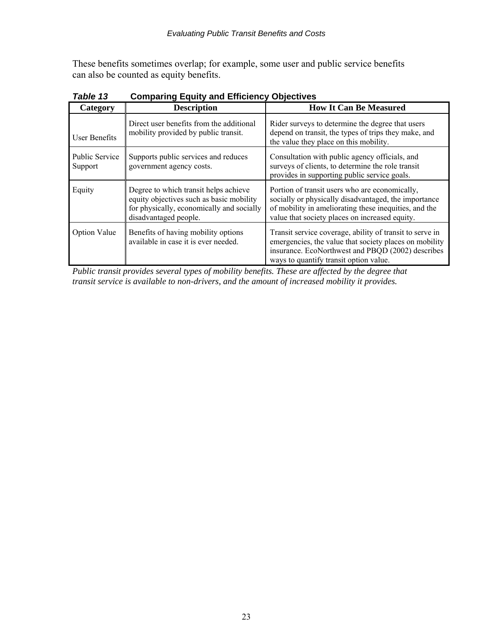These benefits sometimes overlap; for example, some user and public service benefits can also be counted as equity benefits.

| Category                         | <b>Description</b>                                                                                                                                      | <b>How It Can Be Measured</b>                                                                                                                                                                                     |
|----------------------------------|---------------------------------------------------------------------------------------------------------------------------------------------------------|-------------------------------------------------------------------------------------------------------------------------------------------------------------------------------------------------------------------|
| User Benefits                    | Direct user benefits from the additional<br>mobility provided by public transit.                                                                        | Rider surveys to determine the degree that users<br>depend on transit, the types of trips they make, and<br>the value they place on this mobility.                                                                |
| <b>Public Service</b><br>Support | Supports public services and reduces<br>government agency costs.                                                                                        | Consultation with public agency officials, and<br>surveys of clients, to determine the role transit<br>provides in supporting public service goals.                                                               |
| Equity                           | Degree to which transit helps achieve<br>equity objectives such as basic mobility<br>for physically, economically and socially<br>disadvantaged people. | Portion of transit users who are economically,<br>socially or physically disadvantaged, the importance<br>of mobility in ameliorating these inequities, and the<br>value that society places on increased equity. |
| <b>Option Value</b>              | Benefits of having mobility options<br>available in case it is ever needed.                                                                             | Transit service coverage, ability of transit to serve in<br>emergencies, the value that society places on mobility<br>insurance. EcoNorthwest and PBQD (2002) describes<br>ways to quantify transit option value. |

*Table 13* **Comparing Equity and Efficiency Objectives** 

*Public transit provides several types of mobility benefits. These are affected by the degree that transit service is available to non-drivers, and the amount of increased mobility it provides.*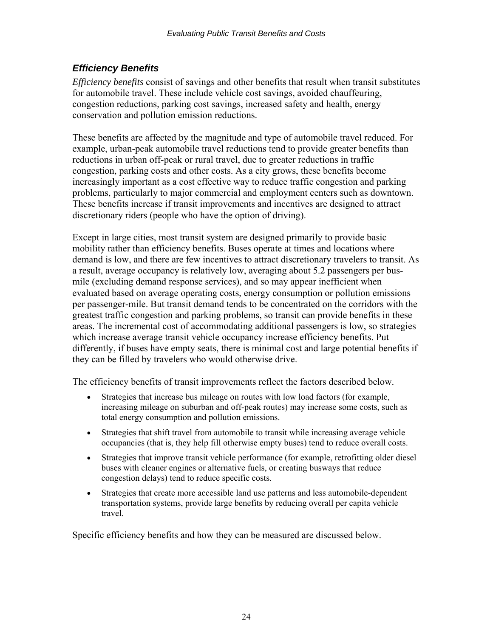### <span id="page-24-0"></span>*Efficiency Benefits*

*Efficiency benefits* consist of savings and other benefits that result when transit substitutes for automobile travel. These include vehicle cost savings, avoided chauffeuring, congestion reductions, parking cost savings, increased safety and health, energy conservation and pollution emission reductions.

These benefits are affected by the magnitude and type of automobile travel reduced. For example, urban-peak automobile travel reductions tend to provide greater benefits than reductions in urban off-peak or rural travel, due to greater reductions in traffic congestion, parking costs and other costs. As a city grows, these benefits become increasingly important as a cost effective way to reduce traffic congestion and parking problems, particularly to major commercial and employment centers such as downtown. These benefits increase if transit improvements and incentives are designed to attract discretionary riders (people who have the option of driving).

Except in large cities, most transit system are designed primarily to provide basic mobility rather than efficiency benefits. Buses operate at times and locations where demand is low, and there are few incentives to attract discretionary travelers to transit. As a result, average occupancy is relatively low, averaging about 5.2 passengers per busmile (excluding demand response services), and so may appear inefficient when evaluated based on average operating costs, energy consumption or pollution emissions per passenger-mile. But transit demand tends to be concentrated on the corridors with the greatest traffic congestion and parking problems, so transit can provide benefits in these areas. The incremental cost of accommodating additional passengers is low, so strategies which increase average transit vehicle occupancy increase efficiency benefits. Put differently, if buses have empty seats, there is minimal cost and large potential benefits if they can be filled by travelers who would otherwise drive.

The efficiency benefits of transit improvements reflect the factors described below.

- Strategies that increase bus mileage on routes with low load factors (for example, increasing mileage on suburban and off-peak routes) may increase some costs, such as total energy consumption and pollution emissions.
- Strategies that shift travel from automobile to transit while increasing average vehicle occupancies (that is, they help fill otherwise empty buses) tend to reduce overall costs.
- Strategies that improve transit vehicle performance (for example, retrofitting older diesel buses with cleaner engines or alternative fuels, or creating busways that reduce congestion delays) tend to reduce specific costs.
- Strategies that create more accessible land use patterns and less automobile-dependent transportation systems, provide large benefits by reducing overall per capita vehicle travel.

Specific efficiency benefits and how they can be measured are discussed below.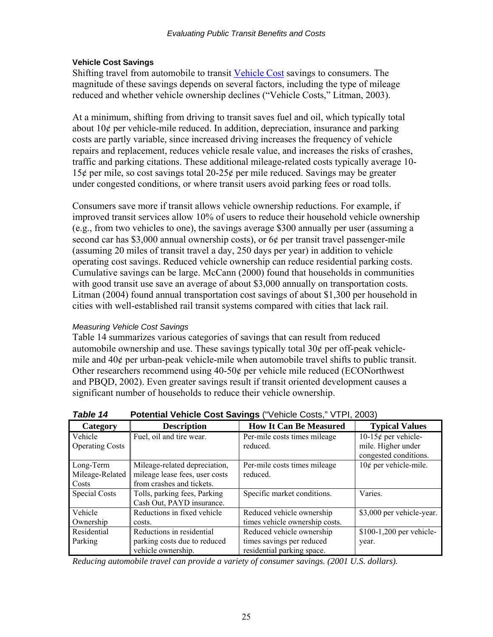#### <span id="page-25-0"></span>**Vehicle Cost Savings**

Shifting travel from automobile to transit [Vehicle Cost](http://www.vtpi.org/tdm/tdm82.htm) savings to consumers. The magnitude of these savings depends on several factors, including the type of mileage reduced and whether vehicle ownership declines ("Vehicle Costs," Litman, 2003).

At a minimum, shifting from driving to transit saves fuel and oil, which typically total about 10¢ per vehicle-mile reduced. In addition, depreciation, insurance and parking costs are partly variable, since increased driving increases the frequency of vehicle repairs and replacement, reduces vehicle resale value, and increases the risks of crashes, traffic and parking citations. These additional mileage-related costs typically average 10- 15¢ per mile, so cost savings total 20-25¢ per mile reduced. Savings may be greater under congested conditions, or where transit users avoid parking fees or road tolls.

Consumers save more if transit allows vehicle ownership reductions. For example, if improved transit services allow 10% of users to reduce their household vehicle ownership (e.g., from two vehicles to one), the savings average \$300 annually per user (assuming a second car has \$3,000 annual ownership costs), or 6¢ per transit travel passenger-mile (assuming 20 miles of transit travel a day, 250 days per year) in addition to vehicle operating cost savings. Reduced vehicle ownership can reduce residential parking costs. Cumulative savings can be large. McCann (2000) found that households in communities with good transit use save an average of about \$3,000 annually on transportation costs. Litman (2004) found annual transportation cost savings of about \$1,300 per household in cities with well-established rail transit systems compared with cities that lack rail.

#### *Measuring Vehicle Cost Savings*

Table 14 summarizes various categories of savings that can result from reduced automobile ownership and use. These savings typically total 30¢ per off-peak vehiclemile and 40¢ per urban-peak vehicle-mile when automobile travel shifts to public transit. Other researchers recommend using  $40-50¢$  per vehicle mile reduced (ECONorthwest) and PBQD, 2002). Even greater savings result if transit oriented development causes a significant number of households to reduce their vehicle ownership.

| Category               | <b>Description</b>             | <b>How It Can Be Measured</b>  | <b>Typical Values</b>     |  |  |
|------------------------|--------------------------------|--------------------------------|---------------------------|--|--|
| Vehicle                | Fuel, oil and tire wear.       | Per-mile costs times mileage   | 10-15 $¢$ per vehicle-    |  |  |
| <b>Operating Costs</b> |                                | reduced.                       | mile. Higher under        |  |  |
|                        |                                |                                | congested conditions.     |  |  |
| Long-Term              | Mileage-related depreciation,  | Per-mile costs times mileage   | $10¢$ per vehicle-mile.   |  |  |
| Mileage-Related        | mileage lease fees, user costs | reduced.                       |                           |  |  |
| Costs                  | from crashes and tickets.      |                                |                           |  |  |
| Special Costs          | Tolls, parking fees, Parking   | Specific market conditions.    | Varies.                   |  |  |
|                        | Cash Out, PAYD insurance.      |                                |                           |  |  |
| Vehicle                | Reductions in fixed vehicle    | Reduced vehicle ownership      | \$3,000 per vehicle-year. |  |  |
| Ownership              | costs.                         | times vehicle ownership costs. |                           |  |  |
| Residential            | Reductions in residential      | Reduced vehicle ownership      | \$100-1,200 per vehicle-  |  |  |
| Parking                | parking costs due to reduced   | times savings per reduced      | year.                     |  |  |
|                        | vehicle ownership.             | residential parking space.     |                           |  |  |

**Table 14** Potential Vehicle Cost Savings ("Vehicle Costs," VTPI, 2003)

*Reducing automobile travel can provide a variety of consumer savings. (2001 U.S. dollars).*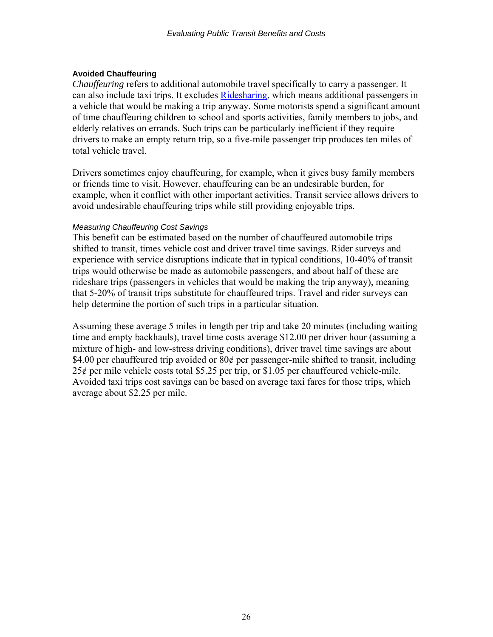#### <span id="page-26-0"></span>**Avoided Chauffeuring**

*Chauffeuring* refers to additional automobile travel specifically to carry a passenger. It can also include taxi trips. It excludes [Ridesharing,](http://www.vtpi.org/tdm/tdm34.htm) which means additional passengers in a vehicle that would be making a trip anyway. Some motorists spend a significant amount of time chauffeuring children to school and sports activities, family members to jobs, and elderly relatives on errands. Such trips can be particularly inefficient if they require drivers to make an empty return trip, so a five-mile passenger trip produces ten miles of total vehicle travel.

Drivers sometimes enjoy chauffeuring, for example, when it gives busy family members or friends time to visit. However, chauffeuring can be an undesirable burden, for example, when it conflict with other important activities. Transit service allows drivers to avoid undesirable chauffeuring trips while still providing enjoyable trips.

#### *Measuring Chauffeuring Cost Savings*

This benefit can be estimated based on the number of chauffeured automobile trips shifted to transit, times vehicle cost and driver travel time savings. Rider surveys and experience with service disruptions indicate that in typical conditions, 10-40% of transit trips would otherwise be made as automobile passengers, and about half of these are rideshare trips (passengers in vehicles that would be making the trip anyway), meaning that 5-20% of transit trips substitute for chauffeured trips. Travel and rider surveys can help determine the portion of such trips in a particular situation.

Assuming these average 5 miles in length per trip and take 20 minutes (including waiting time and empty backhauls), travel time costs average \$12.00 per driver hour (assuming a mixture of high- and low-stress driving conditions), driver travel time savings are about \$4.00 per chauffeured trip avoided or 80¢ per passenger-mile shifted to transit, including 25¢ per mile vehicle costs total \$5.25 per trip, or \$1.05 per chauffeured vehicle-mile. Avoided taxi trips cost savings can be based on average taxi fares for those trips, which average about \$2.25 per mile.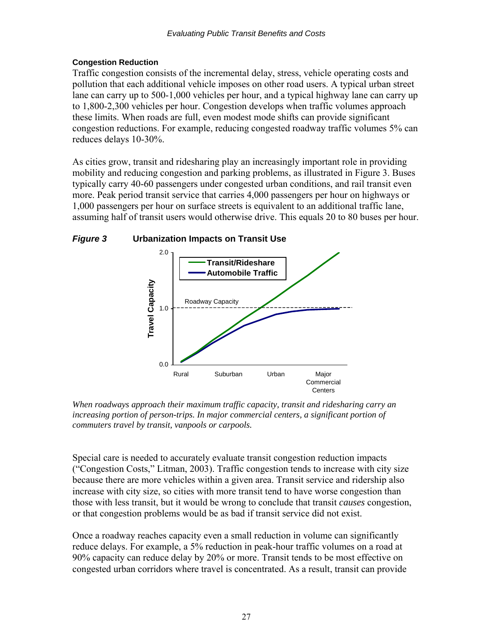### <span id="page-27-0"></span>**Congestion Reduction**

Traffic congestion consists of the incremental delay, stress, vehicle operating costs and pollution that each additional vehicle imposes on other road users. A typical urban street lane can carry up to 500-1,000 vehicles per hour, and a typical highway lane can carry up to 1,800-2,300 vehicles per hour. Congestion develops when traffic volumes approach these limits. When roads are full, even modest mode shifts can provide significant congestion reductions. For example, reducing congested roadway traffic volumes 5% can reduces delays 10-30%.

As cities grow, transit and ridesharing play an increasingly important role in providing mobility and reducing congestion and parking problems, as illustrated in Figure 3. Buses typically carry 40-60 passengers under congested urban conditions, and rail transit even more. Peak period transit service that carries 4,000 passengers per hour on highways or 1,000 passengers per hour on surface streets is equivalent to an additional traffic lane, assuming half of transit users would otherwise drive. This equals 20 to 80 buses per hour.



*When roadways approach their maximum traffic capacity, transit and ridesharing carry an*  increasing portion of person-trips. In major commercial centers, a significant portion of *commuters travel by transit, vanpools or carpools.* 

Special care is needed to accurately evaluate transit congestion reduction impacts ("Congestion Costs," Litman, 2003). Traffic congestion tends to increase with city size because there are more vehicles within a given area. Transit service and ridership also increase with city size, so cities with more transit tend to have worse congestion than those with less transit, but it would be wrong to conclude that transit *causes* congestion, or that congestion problems would be as bad if transit service did not exist.

Once a roadway reaches capacity even a small reduction in volume can significantly reduce delays. For example, a 5% reduction in peak-hour traffic volumes on a road at 90% capacity can reduce delay by 20% or more. Transit tends to be most effective on congested urban corridors where travel is concentrated. As a result, transit can provide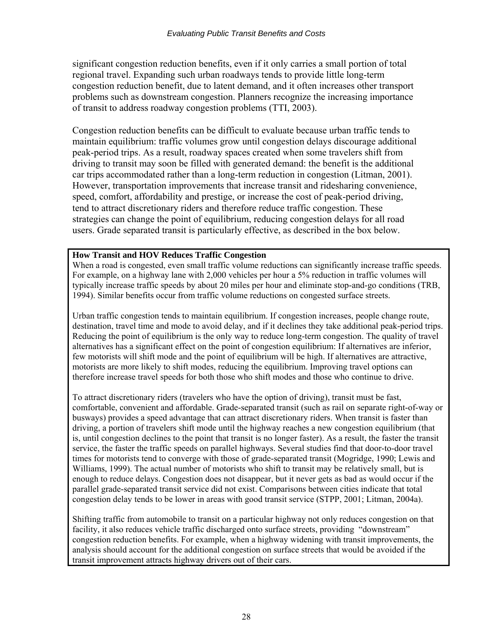significant congestion reduction benefits, even if it only carries a small portion of total regional travel. Expanding such urban roadways tends to provide little long-term congestion reduction benefit, due to latent demand, and it often increases other transport problems such as downstream congestion. Planners recognize the increasing importance of transit to address roadway congestion problems (TTI, 2003).

Congestion reduction benefits can be difficult to evaluate because urban traffic tends to maintain equilibrium: traffic volumes grow until congestion delays discourage additional peak-period trips. As a result, roadway spaces created when some travelers shift from driving to transit may soon be filled with generated demand: the benefit is the additional car trips accommodated rather than a long-term reduction in congestion (Litman, 2001). However, transportation improvements that increase transit and ridesharing convenience, speed, comfort, affordability and prestige, or increase the cost of peak-period driving, tend to attract discretionary riders and therefore reduce traffic congestion. These strategies can change the point of equilibrium, reducing congestion delays for all road users. Grade separated transit is particularly effective, as described in the box below.

#### **How Transit and HOV Reduces Traffic Congestion**

When a road is congested, even small traffic volume reductions can significantly increase traffic speeds. For example, on a highway lane with 2,000 vehicles per hour a 5% reduction in traffic volumes will typically increase traffic speeds by about 20 miles per hour and eliminate stop-and-go conditions (TRB, 1994). Similar benefits occur from traffic volume reductions on congested surface streets.

Urban traffic congestion tends to maintain equilibrium. If congestion increases, people change route, destination, travel time and mode to avoid delay, and if it declines they take additional peak-period trips. Reducing the point of equilibrium is the only way to reduce long-term congestion. The quality of travel alternatives has a significant effect on the point of congestion equilibrium: If alternatives are inferior, few motorists will shift mode and the point of equilibrium will be high. If alternatives are attractive, motorists are more likely to shift modes, reducing the equilibrium. Improving travel options can therefore increase travel speeds for both those who shift modes and those who continue to drive.

To attract discretionary riders (travelers who have the option of driving), transit must be fast, comfortable, convenient and affordable. Grade-separated transit (such as rail on separate right-of-way or busways) provides a speed advantage that can attract discretionary riders. When transit is faster than driving, a portion of travelers shift mode until the highway reaches a new congestion equilibrium (that is, until congestion declines to the point that transit is no longer faster). As a result, the faster the transit service, the faster the traffic speeds on parallel highways. Several studies find that door-to-door travel times for motorists tend to converge with those of grade-separated transit (Mogridge, 1990; Lewis and Williams, 1999). The actual number of motorists who shift to transit may be relatively small, but is enough to reduce delays. Congestion does not disappear, but it never gets as bad as would occur if the parallel grade-separated transit service did not exist. Comparisons between cities indicate that total congestion delay tends to be lower in areas with good transit service (STPP, 2001; Litman, 2004a).

Shifting traffic from automobile to transit on a particular highway not only reduces congestion on that facility, it also reduces vehicle traffic discharged onto surface streets, providing "downstream" congestion reduction benefits. For example, when a highway widening with transit improvements, the analysis should account for the additional congestion on surface streets that would be avoided if the transit improvement attracts highway drivers out of their cars.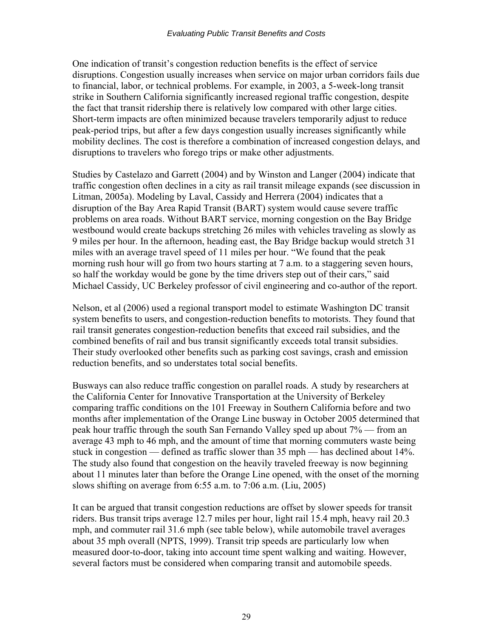One indication of transit's congestion reduction benefits is the effect of service disruptions. Congestion usually increases when service on major urban corridors fails due to financial, labor, or technical problems. For example, in 2003, a 5-week-long transit strike in Southern California significantly increased regional traffic congestion, despite the fact that transit ridership there is relatively low compared with other large cities. Short-term impacts are often minimized because travelers temporarily adjust to reduce peak-period trips, but after a few days congestion usually increases significantly while mobility declines. The cost is therefore a combination of increased congestion delays, and disruptions to travelers who forego trips or make other adjustments.

Studies by Castelazo and Garrett (2004) and by Winston and Langer (2004) indicate that traffic congestion often declines in a city as rail transit mileage expands (see discussion in Litman, 2005a). Modeling by Laval, Cassidy and Herrera (2004) indicates that a disruption of the Bay Area Rapid Transit (BART) system would cause severe traffic problems on area roads. Without BART service, morning congestion on the Bay Bridge westbound would create backups stretching 26 miles with vehicles traveling as slowly as 9 miles per hour. In the afternoon, heading east, the Bay Bridge backup would stretch 31 miles with an average travel speed of 11 miles per hour. "We found that the peak morning rush hour will go from two hours starting at 7 a.m. to a staggering seven hours, so half the workday would be gone by the time drivers step out of their cars," said Michael Cassidy, UC Berkeley professor of civil engineering and co-author of the report.

Nelson, et al (2006) used a regional transport model to estimate Washington DC transit system benefits to users, and congestion-reduction benefits to motorists. They found that rail transit generates congestion-reduction benefits that exceed rail subsidies, and the combined benefits of rail and bus transit significantly exceeds total transit subsidies. Their study overlooked other benefits such as parking cost savings, crash and emission reduction benefits, and so understates total social benefits.

Busways can also reduce traffic congestion on parallel roads. A study by researchers at the California Center for Innovative Transportation at the University of Berkeley comparing traffic conditions on the 101 Freeway in Southern California before and two months after implementation of the Orange Line busway in October 2005 determined that peak hour traffic through the south San Fernando Valley sped up about 7% — from an average 43 mph to 46 mph, and the amount of time that morning commuters waste being stuck in congestion — defined as traffic slower than 35 mph — has declined about 14%. The study also found that congestion on the heavily traveled freeway is now beginning about 11 minutes later than before the Orange Line opened, with the onset of the morning slows shifting on average from 6:55 a.m. to 7:06 a.m. (Liu, 2005)

It can be argued that transit congestion reductions are offset by slower speeds for transit riders. Bus transit trips average 12.7 miles per hour, light rail 15.4 mph, heavy rail 20.3 mph, and commuter rail 31.6 mph (see table below), while automobile travel averages about 35 mph overall (NPTS, 1999). Transit trip speeds are particularly low when measured door-to-door, taking into account time spent walking and waiting. However, several factors must be considered when comparing transit and automobile speeds.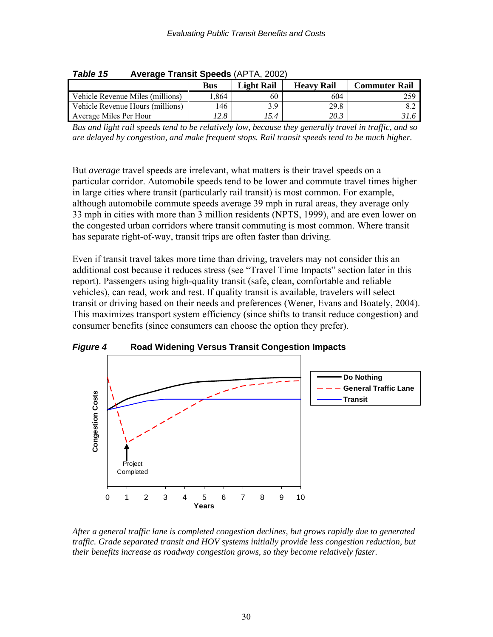| ravie tu<br>Aveiage Trailsh Speeds (APTA, 2002) |      |            |                   |                      |  |  |
|-------------------------------------------------|------|------------|-------------------|----------------------|--|--|
|                                                 | Bus  | Light Rail | <b>Heavy Rail</b> | <b>Commuter Rail</b> |  |  |
| Vehicle Revenue Miles (millions)                | .864 | 60         | 604               | 259                  |  |  |
| Vehicle Revenue Hours (millions)                | 146  | 3.9        | 29.8              |                      |  |  |
| Average Miles Per Hour                          | 12.8 | 15.4       | 20.3              |                      |  |  |

*Table 15* **Average Transit Speeds** (APTA, 2002)

*Bus and light rail speeds tend to be relatively low, because they generally travel in traffic, and so are delayed by congestion, and make frequent stops. Rail transit speeds tend to be much higher.* 

But *average* travel speeds are irrelevant, what matters is their travel speeds on a particular corridor. Automobile speeds tend to be lower and commute travel times higher in large cities where transit (particularly rail transit) is most common. For example, although automobile commute speeds average 39 mph in rural areas, they average only 33 mph in cities with more than 3 million residents (NPTS, 1999), and are even lower on the congested urban corridors where transit commuting is most common. Where transit has separate right-of-way, transit trips are often faster than driving.

Even if transit travel takes more time than driving, travelers may not consider this an additional cost because it reduces stress (see "Travel Time Impacts" section later in this report). Passengers using high-quality transit (safe, clean, comfortable and reliable vehicles), can read, work and rest. If quality transit is available, travelers will select transit or driving based on their needs and preferences (Wener, Evans and Boately, 2004). This maximizes transport system efficiency (since shifts to transit reduce congestion) and consumer benefits (since consumers can choose the option they prefer).



*Figure 4* **Road Widening Versus Transit Congestion Impacts** 

*After a general traffic lane is completed congestion declines, but grows rapidly due to generated traffic. Grade separated transit and HOV systems initially provide less congestion reduction, but their benefits increase as roadway congestion grows, so they become relatively faster.*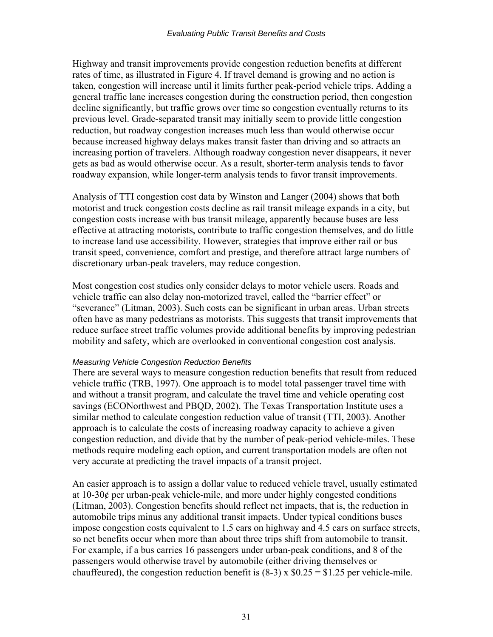Highway and transit improvements provide congestion reduction benefits at different rates of time, as illustrated in Figure 4. If travel demand is growing and no action is taken, congestion will increase until it limits further peak-period vehicle trips. Adding a general traffic lane increases congestion during the construction period, then congestion decline significantly, but traffic grows over time so congestion eventually returns to its previous level. Grade-separated transit may initially seem to provide little congestion reduction, but roadway congestion increases much less than would otherwise occur because increased highway delays makes transit faster than driving and so attracts an increasing portion of travelers. Although roadway congestion never disappears, it never gets as bad as would otherwise occur. As a result, shorter-term analysis tends to favor roadway expansion, while longer-term analysis tends to favor transit improvements.

Analysis of TTI congestion cost data by Winston and Langer (2004) shows that both motorist and truck congestion costs decline as rail transit mileage expands in a city, but congestion costs increase with bus transit mileage, apparently because buses are less effective at attracting motorists, contribute to traffic congestion themselves, and do little to increase land use accessibility. However, strategies that improve either rail or bus transit speed, convenience, comfort and prestige, and therefore attract large numbers of discretionary urban-peak travelers, may reduce congestion.

Most congestion cost studies only consider delays to motor vehicle users. Roads and vehicle traffic can also delay non-motorized travel, called the "barrier effect" or "severance" (Litman, 2003). Such costs can be significant in urban areas. Urban streets often have as many pedestrians as motorists. This suggests that transit improvements that reduce surface street traffic volumes provide additional benefits by improving pedestrian mobility and safety, which are overlooked in conventional congestion cost analysis.

#### *Measuring Vehicle Congestion Reduction Benefits*

There are several ways to measure congestion reduction benefits that result from reduced vehicle traffic (TRB, 1997). One approach is to model total passenger travel time with and without a transit program, and calculate the travel time and vehicle operating cost savings (ECONorthwest and PBQD, 2002). The Texas Transportation Institute uses a similar method to calculate congestion reduction value of transit (TTI, 2003). Another approach is to calculate the costs of increasing roadway capacity to achieve a given congestion reduction, and divide that by the number of peak-period vehicle-miles. These methods require modeling each option, and current transportation models are often not very accurate at predicting the travel impacts of a transit project.

An easier approach is to assign a dollar value to reduced vehicle travel, usually estimated at  $10-30¢$  per urban-peak vehicle-mile, and more under highly congested conditions (Litman, 2003). Congestion benefits should reflect net impacts, that is, the reduction in automobile trips minus any additional transit impacts. Under typical conditions buses impose congestion costs equivalent to 1.5 cars on highway and 4.5 cars on surface streets, so net benefits occur when more than about three trips shift from automobile to transit. For example, if a bus carries 16 passengers under urban-peak conditions, and 8 of the passengers would otherwise travel by automobile (either driving themselves or chauffeured), the congestion reduction benefit is  $(8-3) \times 0.25 = 1.25$  per vehicle-mile.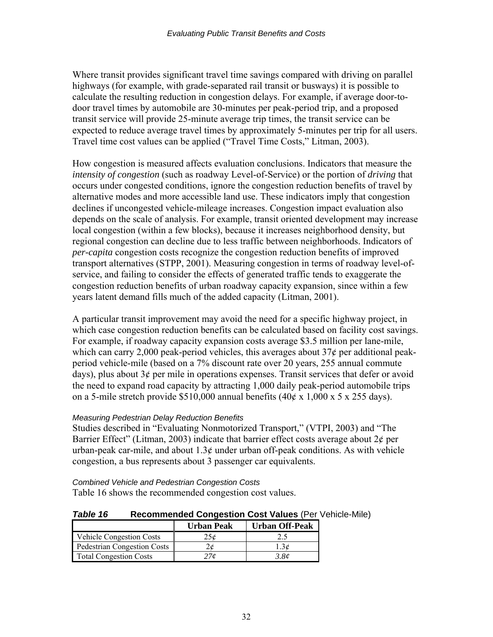Where transit provides significant travel time savings compared with driving on parallel highways (for example, with grade-separated rail transit or busways) it is possible to calculate the resulting reduction in congestion delays. For example, if average door-todoor travel times by automobile are 30-minutes per peak-period trip, and a proposed transit service will provide 25-minute average trip times, the transit service can be expected to reduce average travel times by approximately 5-minutes per trip for all users. Travel time cost values can be applied ("Travel Time Costs," Litman, 2003).

How congestion is measured affects evaluation conclusions. Indicators that measure the *intensity of congestion* (such as roadway Level-of-Service) or the portion of *driving* that occurs under congested conditions, ignore the congestion reduction benefits of travel by alternative modes and more accessible land use. These indicators imply that congestion declines if uncongested vehicle-mileage increases. Congestion impact evaluation also depends on the scale of analysis. For example, transit oriented development may increase local congestion (within a few blocks), because it increases neighborhood density, but regional congestion can decline due to less traffic between neighborhoods. Indicators of *per-capita* congestion costs recognize the congestion reduction benefits of improved transport alternatives (STPP, 2001). Measuring congestion in terms of roadway level-ofservice, and failing to consider the effects of generated traffic tends to exaggerate the congestion reduction benefits of urban roadway capacity expansion, since within a few years latent demand fills much of the added capacity (Litman, 2001).

A particular transit improvement may avoid the need for a specific highway project, in which case congestion reduction benefits can be calculated based on facility cost savings. For example, if roadway capacity expansion costs average \$3.5 million per lane-mile, which can carry 2,000 peak-period vehicles, this averages about 37¢ per additional peakperiod vehicle-mile (based on a 7% discount rate over 20 years, 255 annual commute days), plus about  $3¢$  per mile in operations expenses. Transit services that defer or avoid the need to expand road capacity by attracting 1,000 daily peak-period automobile trips on a 5-mile stretch provide \$510,000 annual benefits  $(40¢ \times 1,000 \times 5 \times 255$  days).

#### *Measuring Pedestrian Delay Reduction Benefits*

Studies described in "Evaluating Nonmotorized Transport," (VTPI, 2003) and "The Barrier Effect" (Litman, 2003) indicate that barrier effect costs average about  $2\phi$  per urban-peak car-mile, and about  $1.3¢$  under urban off-peak conditions. As with vehicle congestion, a bus represents about 3 passenger car equivalents.

*Combined Vehicle and Pedestrian Congestion Costs*  Table 16 shows the recommended congestion cost values.

| Table 16 | <b>Recommended Congestion Cost Values (Per Vehicle-Mile)</b> |  |
|----------|--------------------------------------------------------------|--|
|----------|--------------------------------------------------------------|--|

|                                 | <b>Urban Peak</b> | <b>Urban Off-Peak</b> |
|---------------------------------|-------------------|-----------------------|
| <b>Vehicle Congestion Costs</b> | 25¢               | 2.5                   |
| Pedestrian Congestion Costs     |                   |                       |
| <b>Total Congestion Costs</b>   | $\prime$ or       | 3.8¢                  |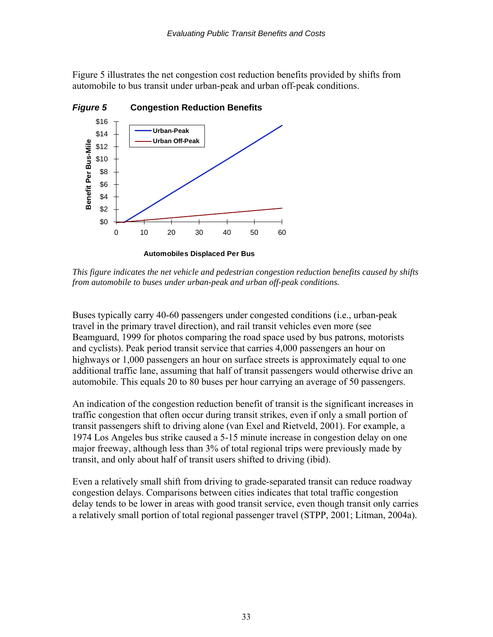Figure 5 illustrates the net congestion cost reduction benefits provided by shifts from automobile to bus transit under urban-peak and urban off-peak conditions.



*This figure indicates the net vehicle and pedestrian congestion reduction benefits caused by shifts from automobile to buses under urban-peak and urban off-peak conditions.* 

Buses typically carry 40-60 passengers under congested conditions (i.e., urban-peak travel in the primary travel direction), and rail transit vehicles even more (see Beamguard, 1999 for photos comparing the road space used by bus patrons, motorists and cyclists). Peak period transit service that carries 4,000 passengers an hour on highways or 1,000 passengers an hour on surface streets is approximately equal to one additional traffic lane, assuming that half of transit passengers would otherwise drive an automobile. This equals 20 to 80 buses per hour carrying an average of 50 passengers.

An indication of the congestion reduction benefit of transit is the significant increases in traffic congestion that often occur during transit strikes, even if only a small portion of transit passengers shift to driving alone (van Exel and Rietveld, 2001). For example, a 1974 Los Angeles bus strike caused a 5-15 minute increase in congestion delay on one major freeway, although less than 3% of total regional trips were previously made by transit, and only about half of transit users shifted to driving (ibid).

Even a relatively small shift from driving to grade-separated transit can reduce roadway congestion delays. Comparisons between cities indicates that total traffic congestion delay tends to be lower in areas with good transit service, even though transit only carries a relatively small portion of total regional passenger travel (STPP, 2001; Litman, 2004a).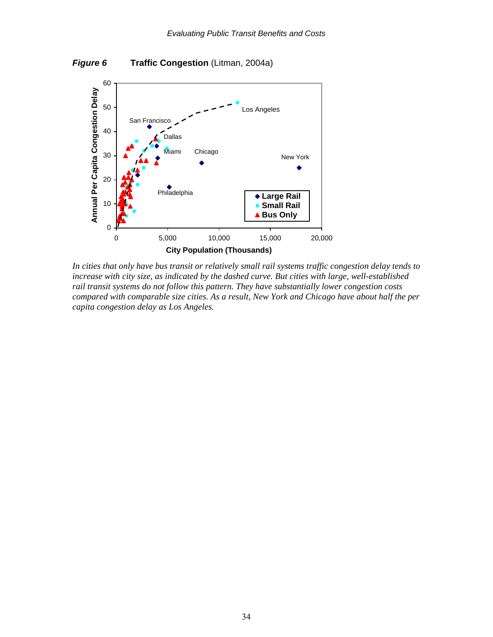



*In cities that only have bus transit or relatively small rail systems traffic congestion delay tends to increase with city size, as indicated by the dashed curve. But cities with large, well-established rail transit systems do not follow this pattern. They have substantially lower congestion costs compared with comparable size cities. As a result, New York and Chicago have about half the per capita congestion delay as Los Angeles.*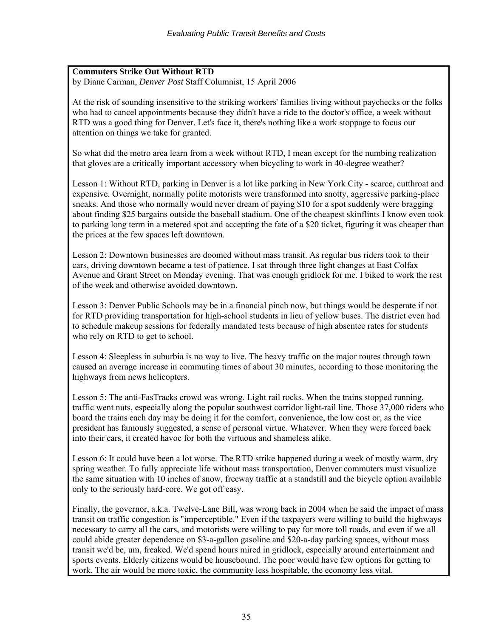### **Commuters Strike Out Without RTD**

by Diane Carman, *Denver Post* Staff Columnist, 15 April 2006

At the risk of sounding insensitive to the striking workers' families living without paychecks or the folks who had to cancel appointments because they didn't have a ride to the doctor's office, a week without RTD was a good thing for Denver. Let's face it, there's nothing like a work stoppage to focus our attention on things we take for granted.

So what did the metro area learn from a week without RTD, I mean except for the numbing realization that gloves are a critically important accessory when bicycling to work in 40-degree weather?

Lesson 1: Without RTD, parking in Denver is a lot like parking in New York City - scarce, cutthroat and expensive. Overnight, normally polite motorists were transformed into snotty, aggressive parking-place sneaks. And those who normally would never dream of paying \$10 for a spot suddenly were bragging about finding \$25 bargains outside the baseball stadium. One of the cheapest skinflints I know even took to parking long term in a metered spot and accepting the fate of a \$20 ticket, figuring it was cheaper than the prices at the few spaces left downtown.

Lesson 2: Downtown businesses are doomed without mass transit. As regular bus riders took to their cars, driving downtown became a test of patience. I sat through three light changes at East Colfax Avenue and Grant Street on Monday evening. That was enough gridlock for me. I biked to work the rest of the week and otherwise avoided downtown.

Lesson 3: Denver Public Schools may be in a financial pinch now, but things would be desperate if not for RTD providing transportation for high-school students in lieu of yellow buses. The district even had to schedule makeup sessions for federally mandated tests because of high absentee rates for students who rely on RTD to get to school.

Lesson 4: Sleepless in suburbia is no way to live. The heavy traffic on the major routes through town caused an average increase in commuting times of about 30 minutes, according to those monitoring the highways from news helicopters.

Lesson 5: The anti-FasTracks crowd was wrong. Light rail rocks. When the trains stopped running, traffic went nuts, especially along the popular southwest corridor light-rail line. Those 37,000 riders who board the trains each day may be doing it for the comfort, convenience, the low cost or, as the vice president has famously suggested, a sense of personal virtue. Whatever. When they were forced back into their cars, it created havoc for both the virtuous and shameless alike.

Lesson 6: It could have been a lot worse. The RTD strike happened during a week of mostly warm, dry spring weather. To fully appreciate life without mass transportation, Denver commuters must visualize the same situation with 10 inches of snow, freeway traffic at a standstill and the bicycle option available only to the seriously hard-core. We got off easy.

Finally, the governor, a.k.a. Twelve-Lane Bill, was wrong back in 2004 when he said the impact of mass transit on traffic congestion is "imperceptible." Even if the taxpayers were willing to build the highways necessary to carry all the cars, and motorists were willing to pay for more toll roads, and even if we all could abide greater dependence on \$3-a-gallon gasoline and \$20-a-day parking spaces, without mass transit we'd be, um, freaked. We'd spend hours mired in gridlock, especially around entertainment and sports events. Elderly citizens would be housebound. The poor would have few options for getting to work. The air would be more toxic, the community less hospitable, the economy less vital.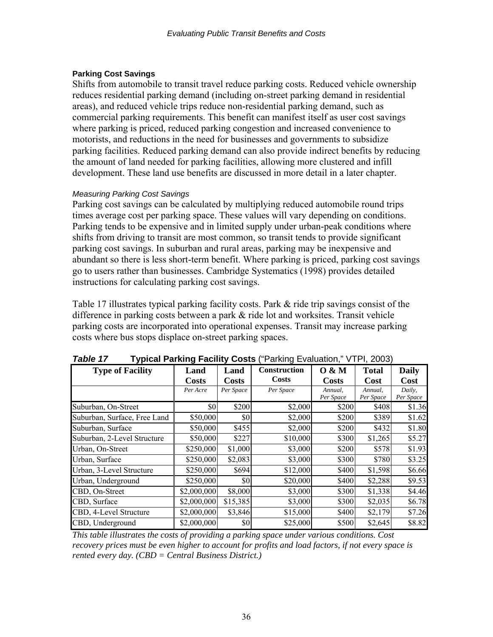### **Parking Cost Savings**

Shifts from automobile to transit travel reduce parking costs. Reduced vehicle ownership reduces residential parking demand (including on-street parking demand in residential areas), and reduced vehicle trips reduce non-residential parking demand, such as commercial parking requirements. This benefit can manifest itself as user cost savings where parking is priced, reduced parking congestion and increased convenience to motorists, and reductions in the need for businesses and governments to subsidize parking facilities. Reduced parking demand can also provide indirect benefits by reducing the amount of land needed for parking facilities, allowing more clustered and infill development. These land use benefits are discussed in more detail in a later chapter.

### *Measuring Parking Cost Savings*

Parking cost savings can be calculated by multiplying reduced automobile round trips times average cost per parking space. These values will vary depending on conditions. Parking tends to be expensive and in limited supply under urban-peak conditions where shifts from driving to transit are most common, so transit tends to provide significant parking cost savings. In suburban and rural areas, parking may be inexpensive and abundant so there is less short-term benefit. Where parking is priced, parking cost savings go to users rather than businesses. Cambridge Systematics (1998) provides detailed instructions for calculating parking cost savings.

Table 17 illustrates typical parking facility costs. Park & ride trip savings consist of the difference in parking costs between a park & ride lot and worksites. Transit vehicle parking costs are incorporated into operational expenses. Transit may increase parking costs where bus stops displace on-street parking spaces.

| <b>Type of Facility</b>      | Land         | Land         | Construction | 0 & M        | <b>Total</b> | Daily     |
|------------------------------|--------------|--------------|--------------|--------------|--------------|-----------|
|                              | <b>Costs</b> | <b>Costs</b> | Costs        | <b>Costs</b> | Cost         | Cost      |
|                              | Per Acre     | Per Space    | Per Space    | Annual,      | Annual,      | Daily,    |
|                              |              |              |              | Per Space    | Per Space    | Per Space |
| Suburban, On-Street          | \$0          | \$200        | \$2,000      | \$200        | \$408        | \$1.36    |
| Suburban, Surface, Free Land | \$50,000     | \$0          | \$2,000      | \$200        | \$389        | \$1.62    |
| Suburban, Surface            | \$50,000     | \$455        | \$2,000      | \$200        | \$432        | \$1.80    |
| Suburban, 2-Level Structure  | \$50,000     | \$227        | \$10,000     | \$300        | \$1,265      | \$5.27    |
| Urban, On-Street             | \$250,000    | \$1,000      | \$3,000      | \$200        | \$578        | \$1.93    |
| Urban, Surface               | \$250,000    | \$2,083      | \$3,000      | \$300        | \$780        | \$3.25    |
| Urban, 3-Level Structure     | \$250,000    | \$694        | \$12,000     | \$400        | \$1,598      | \$6.66    |
| Urban, Underground           | \$250,000    | \$0          | \$20,000     | \$400        | \$2,288      | \$9.53    |
| CBD, On-Street               | \$2,000,000  | \$8,000      | \$3,000      | \$300        | \$1,338      | \$4.46    |
| CBD, Surface                 | \$2,000,000  | \$15,385     | \$3,000      | \$300        | \$2,035      | \$6.78    |
| CBD, 4-Level Structure       | \$2,000,000  | \$3,846      | \$15,000     | \$400        | \$2,179      | \$7.26    |
| CBD, Underground             | \$2,000,000  | \$0          | \$25,000     | \$500        | \$2,645      | \$8.82    |

*Table 17* **Typical Parking Facility Costs** ("Parking Evaluation," VTPI, 2003)

*This table illustrates the costs of providing a parking space under various conditions. Cost recovery prices must be even higher to account for profits and load factors, if not every space is rented every day. (CBD = Central Business District.)*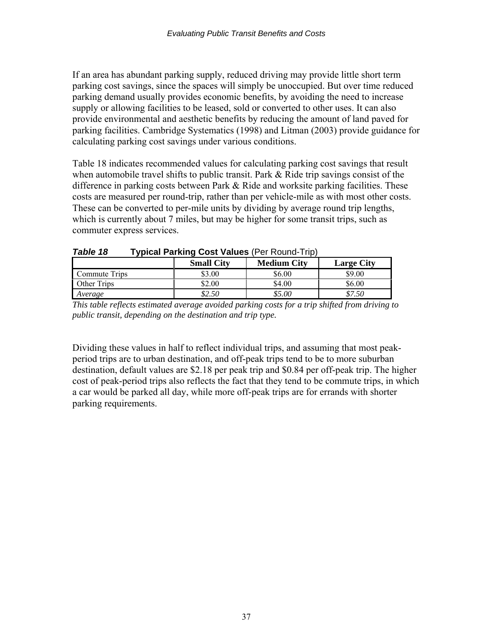If an area has abundant parking supply, reduced driving may provide little short term parking cost savings, since the spaces will simply be unoccupied. But over time reduced parking demand usually provides economic benefits, by avoiding the need to increase supply or allowing facilities to be leased, sold or converted to other uses. It can also provide environmental and aesthetic benefits by reducing the amount of land paved for parking facilities. Cambridge Systematics (1998) and Litman (2003) provide guidance for calculating parking cost savings under various conditions.

Table 18 indicates recommended values for calculating parking cost savings that result when automobile travel shifts to public transit. Park & Ride trip savings consist of the difference in parking costs between Park & Ride and worksite parking facilities. These costs are measured per round-trip, rather than per vehicle-mile as with most other costs. These can be converted to per-mile units by dividing by average round trip lengths, which is currently about 7 miles, but may be higher for some transit trips, such as commuter express services.

|               | <b>Small City</b> | <b>Medium City</b> | <b>Large City</b> |
|---------------|-------------------|--------------------|-------------------|
| Commute Trips | \$3.00            | \$6.00             | \$9.00            |
| Other Trips   | \$2.00            | \$4.00             | \$6.00            |
| Average       | \$2.50            | \$5.00             | \$7.50            |

| Table 18 | <b>Typical Parking Cost Values (Per Round-Trip)</b> |  |
|----------|-----------------------------------------------------|--|
|          |                                                     |  |

*This table reflects estimated average avoided parking costs for a trip shifted from driving to public transit, depending on the destination and trip type.* 

Dividing these values in half to reflect individual trips, and assuming that most peakperiod trips are to urban destination, and off-peak trips tend to be to more suburban destination, default values are \$2.18 per peak trip and \$0.84 per off-peak trip. The higher cost of peak-period trips also reflects the fact that they tend to be commute trips, in which a car would be parked all day, while more off-peak trips are for errands with shorter parking requirements.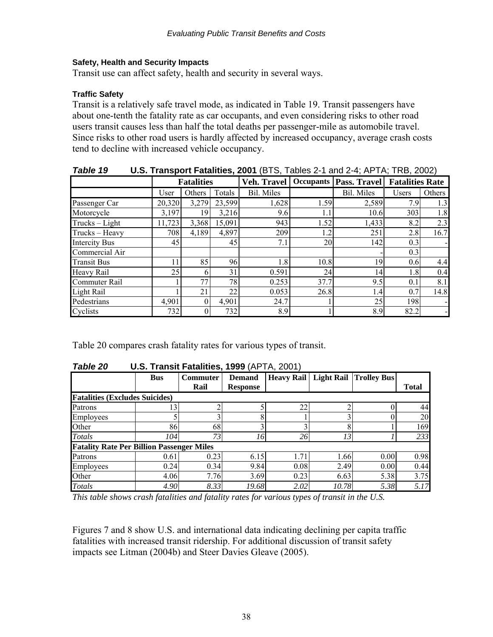### **Safety, Health and Security Impacts**

Transit use can affect safety, health and security in several ways.

### **Traffic Safety**

Transit is a relatively safe travel mode, as indicated in Table 19. Transit passengers have about one-tenth the fatality rate as car occupants, and even considering risks to other road users transit causes less than half the total deaths per passenger-mile as automobile travel. Since risks to other road users is hardly affected by increased occupancy, average crash costs tend to decline with increased vehicle occupancy.

| IUNIG IJ             | <b>U.U.</b> Transport Fatames, 2001 (DTO, Tables 21 and 21, AT TA, TIND, 2002) |        |        |             |      |                                            |              |                              |
|----------------------|--------------------------------------------------------------------------------|--------|--------|-------------|------|--------------------------------------------|--------------|------------------------------|
|                      | <b>Fatalities</b>                                                              |        |        | Veh. Travel |      | Occupants   Pass. Travel   Fatalities Rate |              |                              |
|                      | User                                                                           | Others | Totals | Bil. Miles  |      | Bil. Miles                                 | <b>Users</b> | Others                       |
| Passenger Car        | 20,320                                                                         | 3,279  | 23,599 | 1,628       | 1.59 | 2,589                                      | 7.9          | 1.3                          |
| Motorcycle           | 3,197                                                                          | 19     | 3,216  | 9.6         | 1.1  | 10.6                                       | 303          | 1.8                          |
| $Trucks - Light$     | 11,723                                                                         | 3,368  | 15,091 | 943         | 1.52 | 1,433                                      | 8.2          | 2.3                          |
| Trucks - Heavy       | 708                                                                            | 4,189  | 4,897  | 209         | 1.2  | 251                                        | 2.8          | 16.7                         |
| <b>Intercity Bus</b> | 45                                                                             |        | 45     | 7.1         | 20   | 142                                        | 0.3          | $\qquad \qquad \blacksquare$ |
| Commercial Air       |                                                                                |        |        |             |      |                                            | 0.3          |                              |
| <b>Transit Bus</b>   | 11                                                                             | 85     | 96     | 1.8         | 10.8 | 19                                         | 0.6          | 4.4                          |
| Heavy Rail           | 25                                                                             | 6      | 31     | 0.591       | 24   | 14                                         | 1.8          | 0.4                          |
| Commuter Rail        |                                                                                | 77     | 78     | 0.253       | 37.7 | 9.5                                        | 0.1          | 8.1                          |
| Light Rail           |                                                                                | 21     | 22     | 0.053       | 26.8 | 1.4                                        | 0.7          | 14.8                         |
| Pedestrians          | 4,901                                                                          |        | 4,901  | 24.7        |      | 25                                         | 198          | -                            |
| Cyclists             | 732                                                                            |        | 732    | 8.9         |      | 8.9                                        | 82.2         | $\blacksquare$               |

*Table 19* **U.S. Transport Fatalities, 2001** (BTS, Tables 2-1 and 2-4; APTA; TRB, 2002)

Table 20 compares crash fatality rates for various types of transit.

|                                                  | <b>Bus</b> | <b>Commuter</b> | <b>Demand</b>   | <b>Heavy Rail</b> | <b>Light Rail</b> | <b>Trolley Bus</b> |              |
|--------------------------------------------------|------------|-----------------|-----------------|-------------------|-------------------|--------------------|--------------|
|                                                  |            | Rail            | <b>Response</b> |                   |                   |                    | <b>Total</b> |
| <b>Fatalities (Excludes Suicides)</b>            |            |                 |                 |                   |                   |                    |              |
| Patrons                                          | 3          |                 |                 | 22                |                   |                    | 44           |
| Employees                                        |            |                 |                 |                   |                   |                    | 20           |
| Other                                            | 86         | 68              |                 |                   | 8                 |                    | 169          |
| <b>Totals</b>                                    | 104        | 73              | 16              | 26                | 13                |                    | 233          |
| <b>Fatality Rate Per Billion Passenger Miles</b> |            |                 |                 |                   |                   |                    |              |
| Patrons                                          | 0.61       | 0.23            | 6.15            | 71                | 1.66              | 0.00               | 0.98         |
| Employees                                        | 0.24       | 0.34            | 9.84            | 0.08              | 2.49              | 0.00               | 0.44         |
| Other                                            | 4.06       | 7.76            | 3.69            | 0.23              | 6.63              | 5.38               | 3.75         |
| Totals                                           | 4.90       | 8.33            | 19.68           | 2.02              | 10.78             | 5.38               | 5.17         |

*Table 20* **U.S. Transit Fatalities, 1999** (APTA, 2001)

*This table shows crash fatalities and fatality rates for various types of transit in the U.S.* 

Figures 7 and 8 show U.S. and international data indicating declining per capita traffic fatalities with increased transit ridership. For additional discussion of transit safety impacts see Litman (2004b) and Steer Davies Gleave (2005).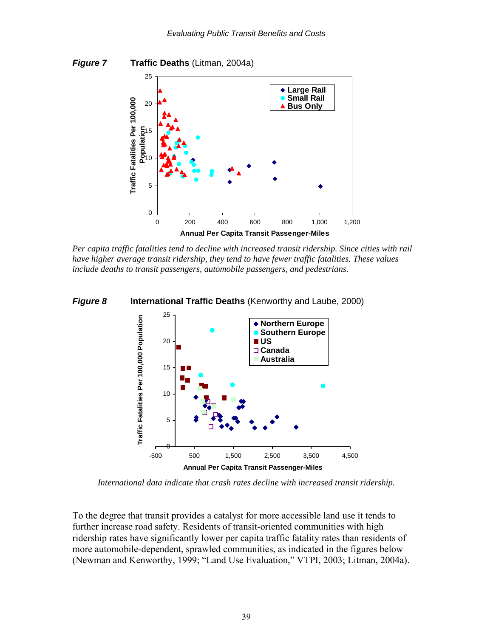



*Per capita traffic fatalities tend to decline with increased transit ridership. Since cities with rail have higher average transit ridership, they tend to have fewer traffic fatalities. These values include deaths to transit passengers, automobile passengers, and pedestrians.* 



*International data indicate that crash rates decline with increased transit ridership.* 

To the degree that transit provides a catalyst for more accessible land use it tends to further increase road safety. Residents of transit-oriented communities with high ridership rates have significantly lower per capita traffic fatality rates than residents of more automobile-dependent, sprawled communities, as indicated in the figures below (Newman and Kenworthy, 1999; "Land Use Evaluation," VTPI, 2003; Litman, 2004a).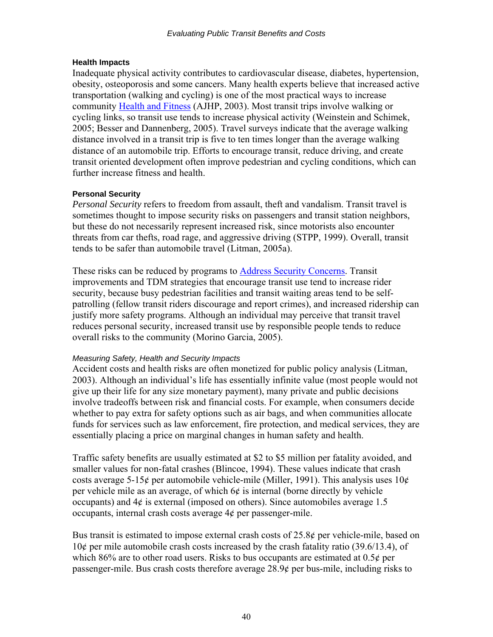### **Health Impacts**

Inadequate physical activity contributes to cardiovascular disease, diabetes, hypertension, obesity, osteoporosis and some cancers. Many health experts believe that increased active transportation (walking and cycling) is one of the most practical ways to increase community [Health and Fitness](http://www.vtpi.org/tdm/tdm102.htm) (AJHP, 2003). Most transit trips involve walking or cycling links, so transit use tends to increase physical activity (Weinstein and Schimek, 2005; Besser and Dannenberg, 2005). Travel surveys indicate that the average walking distance involved in a transit trip is five to ten times longer than the average walking distance of an automobile trip. Efforts to encourage transit, reduce driving, and create transit oriented development often improve pedestrian and cycling conditions, which can further increase fitness and health.

### **Personal Security**

*Personal Security* refers to freedom from assault, theft and vandalism. Transit travel is sometimes thought to impose security risks on passengers and transit station neighbors, but these do not necessarily represent increased risk, since motorists also encounter threats from car thefts, road rage, and aggressive driving (STPP, 1999). Overall, transit tends to be safer than automobile travel (Litman, 2005a).

These risks can be reduced by programs to [Address Security Concerns.](http://www.vtpi.org/tdm/tdm37.htm) Transit improvements and TDM strategies that encourage transit use tend to increase rider security, because busy pedestrian facilities and transit waiting areas tend to be selfpatrolling (fellow transit riders discourage and report crimes), and increased ridership can justify more safety programs. Although an individual may perceive that transit travel reduces personal security, increased transit use by responsible people tends to reduce overall risks to the community (Morino Garcia, 2005).

### *Measuring Safety, Health and Security Impacts*

Accident costs and health risks are often monetized for public policy analysis (Litman, 2003). Although an individual's life has essentially infinite value (most people would not give up their life for any size monetary payment), many private and public decisions involve tradeoffs between risk and financial costs. For example, when consumers decide whether to pay extra for safety options such as air bags, and when communities allocate funds for services such as law enforcement, fire protection, and medical services, they are essentially placing a price on marginal changes in human safety and health.

Traffic safety benefits are usually estimated at \$2 to \$5 million per fatality avoided, and smaller values for non-fatal crashes (Blincoe, 1994). These values indicate that crash costs average 5-15¢ per automobile vehicle-mile (Miller, 1991). This analysis uses  $10¢$ per vehicle mile as an average, of which  $6¢$  is internal (borne directly by vehicle occupants) and  $4¢$  is external (imposed on others). Since automobiles average 1.5 occupants, internal crash costs average 4¢ per passenger-mile.

Bus transit is estimated to impose external crash costs of 25.8¢ per vehicle-mile, based on 10¢ per mile automobile crash costs increased by the crash fatality ratio (39.6/13.4), of which 86% are to other road users. Risks to bus occupants are estimated at  $0.5¢$  per passenger-mile. Bus crash costs therefore average 28.9¢ per bus-mile, including risks to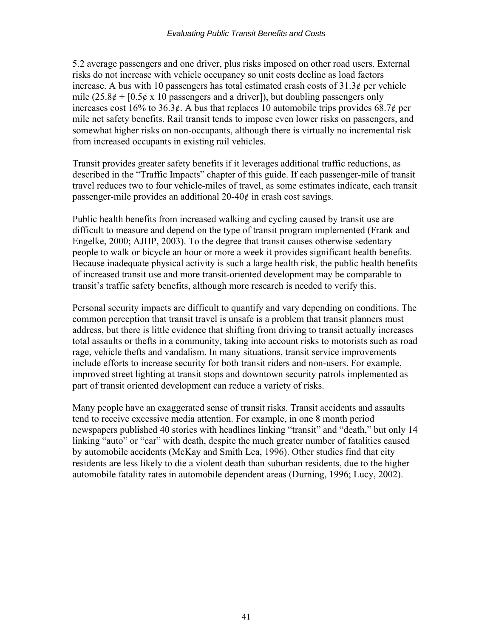5.2 average passengers and one driver, plus risks imposed on other road users. External risks do not increase with vehicle occupancy so unit costs decline as load factors increase. A bus with 10 passengers has total estimated crash costs of  $31.3¢$  per vehicle mile  $(25.8¢ + [0.5¢ \times 10$  passengers and a driver]), but doubling passengers only increases cost 16% to 36.3¢. A bus that replaces 10 automobile trips provides 68.7¢ per mile net safety benefits. Rail transit tends to impose even lower risks on passengers, and somewhat higher risks on non-occupants, although there is virtually no incremental risk from increased occupants in existing rail vehicles.

Transit provides greater safety benefits if it leverages additional traffic reductions, as described in the "Traffic Impacts" chapter of this guide. If each passenger-mile of transit travel reduces two to four vehicle-miles of travel, as some estimates indicate, each transit passenger-mile provides an additional  $20-40¢$  in crash cost savings.

Public health benefits from increased walking and cycling caused by transit use are difficult to measure and depend on the type of transit program implemented (Frank and Engelke, 2000; AJHP, 2003). To the degree that transit causes otherwise sedentary people to walk or bicycle an hour or more a week it provides significant health benefits. Because inadequate physical activity is such a large health risk, the public health benefits of increased transit use and more transit-oriented development may be comparable to transit's traffic safety benefits, although more research is needed to verify this.

Personal security impacts are difficult to quantify and vary depending on conditions. The common perception that transit travel is unsafe is a problem that transit planners must address, but there is little evidence that shifting from driving to transit actually increases total assaults or thefts in a community, taking into account risks to motorists such as road rage, vehicle thefts and vandalism. In many situations, transit service improvements include efforts to increase security for both transit riders and non-users. For example, improved street lighting at transit stops and downtown security patrols implemented as part of transit oriented development can reduce a variety of risks.

Many people have an exaggerated sense of transit risks. Transit accidents and assaults tend to receive excessive media attention. For example, in one 8 month period newspapers published 40 stories with headlines linking "transit" and "death," but only 14 linking "auto" or "car" with death, despite the much greater number of fatalities caused by automobile accidents (McKay and Smith Lea, 1996). Other studies find that city residents are less likely to die a violent death than suburban residents, due to the higher automobile fatality rates in automobile dependent areas (Durning, 1996; Lucy, 2002).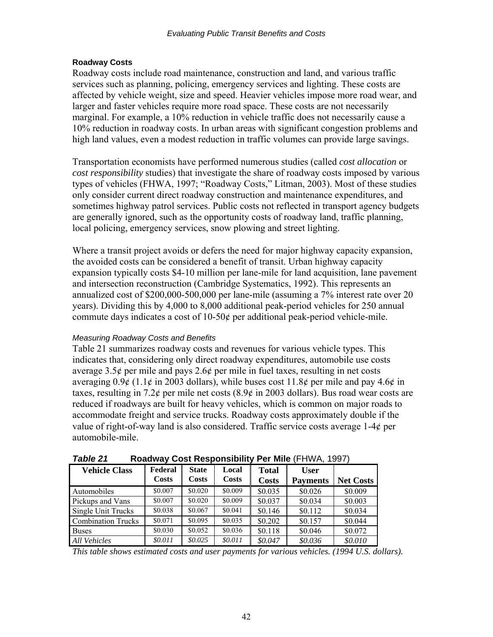### **Roadway Costs**

Roadway costs include road maintenance, construction and land, and various traffic services such as planning, policing, emergency services and lighting. These costs are affected by vehicle weight, size and speed. Heavier vehicles impose more road wear, and larger and faster vehicles require more road space. These costs are not necessarily marginal. For example, a 10% reduction in vehicle traffic does not necessarily cause a 10% reduction in roadway costs. In urban areas with significant congestion problems and high land values, even a modest reduction in traffic volumes can provide large savings.

Transportation economists have performed numerous studies (called *cost allocation* or *cost responsibility* studies) that investigate the share of roadway costs imposed by various types of vehicles (FHWA, 1997; "Roadway Costs," Litman, 2003). Most of these studies only consider current direct roadway construction and maintenance expenditures, and sometimes highway patrol services. Public costs not reflected in transport agency budgets are generally ignored, such as the opportunity costs of roadway land, traffic planning, local policing, emergency services, snow plowing and street lighting.

Where a transit project avoids or defers the need for major highway capacity expansion, the avoided costs can be considered a benefit of transit. Urban highway capacity expansion typically costs \$4-10 million per lane-mile for land acquisition, lane pavement and intersection reconstruction (Cambridge Systematics, 1992). This represents an annualized cost of \$200,000-500,000 per lane-mile (assuming a 7% interest rate over 20 years). Dividing this by 4,000 to 8,000 additional peak-period vehicles for 250 annual commute days indicates a cost of 10-50¢ per additional peak-period vehicle-mile.

### *Measuring Roadway Costs and Benefits*

Table 21 summarizes roadway costs and revenues for various vehicle types. This indicates that, considering only direct roadway expenditures, automobile use costs average 3.5¢ per mile and pays 2.6¢ per mile in fuel taxes, resulting in net costs averaging  $0.9\ell$  (1.1 $\ell$  in 2003 dollars), while buses cost 11.8 $\ell$  per mile and pay 4.6 $\ell$  in taxes, resulting in 7.2 $\epsilon$  per mile net costs (8.9 $\epsilon$  in 2003 dollars). Bus road wear costs are reduced if roadways are built for heavy vehicles, which is common on major roads to accommodate freight and service trucks. Roadway costs approximately double if the value of right-of-way land is also considered. Traffic service costs average 1-4¢ per automobile-mile.

| Table Z I                 |              |              |              |              | <b>NUGUWAY COST RESPONSIBILITY FEL IVINE (FITYVA, 1997)</b> |                  |
|---------------------------|--------------|--------------|--------------|--------------|-------------------------------------------------------------|------------------|
| <b>Vehicle Class</b>      | Federal      | <b>State</b> | Local        | <b>Total</b> | <b>User</b>                                                 |                  |
|                           | <b>Costs</b> | <b>Costs</b> | <b>Costs</b> | <b>Costs</b> | <b>Payments</b>                                             | <b>Net Costs</b> |
| Automobiles               | \$0.007      | \$0.020      | \$0.009      | \$0.035      | \$0.026                                                     | \$0.009          |
| Pickups and Vans          | \$0.007      | \$0.020      | \$0.009      | \$0.037      | \$0.034                                                     | \$0.003          |
| Single Unit Trucks        | \$0.038      | \$0.067      | \$0.041      | \$0.146      | \$0.112                                                     | \$0.034          |
| <b>Combination Trucks</b> | \$0.071      | \$0.095      | \$0.035      | \$0.202      | \$0.157                                                     | \$0.044          |
| <b>Buses</b>              | \$0.030      | \$0.052      | \$0.036      | \$0.118      | \$0.046                                                     | \$0.072          |
| <b>All Vehicles</b>       | \$0.011      | \$0.025      | \$0.011      | \$0.047      | \$0.036                                                     | \$0.010          |

*Table 21* **Roadway Cost Responsibility Per Mile** (FHWA, 1997)

*This table shows estimated costs and user payments for various vehicles. (1994 U.S. dollars).*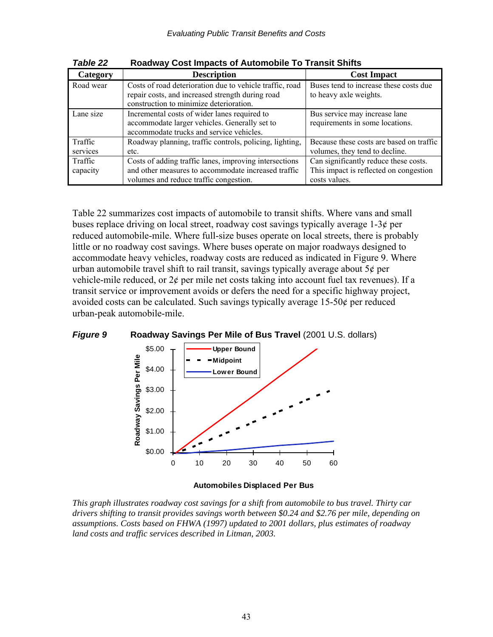| Category  | <b>Description</b>                                                                          | <b>Cost Impact</b>                       |
|-----------|---------------------------------------------------------------------------------------------|------------------------------------------|
| Road wear | Costs of road deterioration due to vehicle traffic, road                                    | Buses tend to increase these costs due   |
|           | repair costs, and increased strength during road<br>construction to minimize deterioration. | to heavy axle weights.                   |
| Lane size | Incremental costs of wider lanes required to                                                | Bus service may increase lane            |
|           | accommodate larger vehicles. Generally set to                                               | requirements in some locations.          |
|           | accommodate trucks and service vehicles.                                                    |                                          |
| Traffic   | Roadway planning, traffic controls, policing, lighting,                                     | Because these costs are based on traffic |
| services  | etc.                                                                                        | volumes, they tend to decline.           |
| Traffic   | Costs of adding traffic lanes, improving intersections                                      | Can significantly reduce these costs.    |
| capacity  | and other measures to accommodate increased traffic                                         | This impact is reflected on congestion   |
|           | volumes and reduce traffic congestion.                                                      | costs values.                            |

*Table 22* **Roadway Cost Impacts of Automobile To Transit Shifts** 

Table 22 summarizes cost impacts of automobile to transit shifts. Where vans and small buses replace driving on local street, roadway cost savings typically average  $1-3¢$  per reduced automobile-mile. Where full-size buses operate on local streets, there is probably little or no roadway cost savings. Where buses operate on major roadways designed to accommodate heavy vehicles, roadway costs are reduced as indicated in Figure 9. Where urban automobile travel shift to rail transit, savings typically average about  $5¢$  per vehicle-mile reduced, or 2¢ per mile net costs taking into account fuel tax revenues). If a transit service or improvement avoids or defers the need for a specific highway project, avoided costs can be calculated. Such savings typically average 15-50¢ per reduced urban-peak automobile-mile.





#### **Automobiles Displaced Per Bus**

*This graph illustrates roadway cost savings for a shift from automobile to bus travel. Thirty car drivers shifting to transit provides savings worth between \$0.24 and \$2.76 per mile, depending on assumptions. Costs based on FHWA (1997) updated to 2001 dollars, plus estimates of roadway land costs and traffic services described in Litman, 2003.*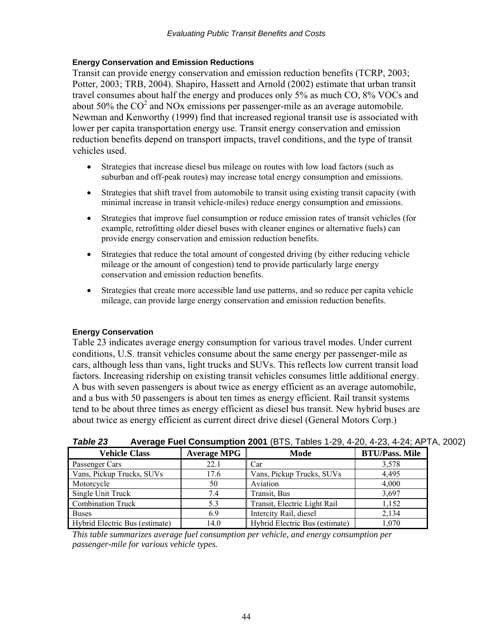### **Energy Conservation and Emission Reductions**

Transit can provide energy conservation and emission reduction benefits (TCRP, 2003; Potter, 2003; TRB, 2004). Shapiro, Hassett and Arnold (2002) estimate that urban transit travel consumes about half the energy and produces only 5% as much CO, 8% VOCs and about 50% the  $CO<sup>2</sup>$  and NOx emissions per passenger-mile as an average automobile. Newman and Kenworthy (1999) find that increased regional transit use is associated with lower per capita transportation energy use. Transit energy conservation and emission reduction benefits depend on transport impacts, travel conditions, and the type of transit vehicles used.

- Strategies that increase diesel bus mileage on routes with low load factors (such as suburban and off-peak routes) may increase total energy consumption and emissions.
- Strategies that shift travel from automobile to transit using existing transit capacity (with minimal increase in transit vehicle-miles) reduce energy consumption and emissions.
- Strategies that improve fuel consumption or reduce emission rates of transit vehicles (for example, retrofitting older diesel buses with cleaner engines or alternative fuels) can provide energy conservation and emission reduction benefits.
- Strategies that reduce the total amount of congested driving (by either reducing vehicle mileage or the amount of congestion) tend to provide particularly large energy conservation and emission reduction benefits.
- Strategies that create more accessible land use patterns, and so reduce per capita vehicle mileage, can provide large energy conservation and emission reduction benefits.

### **Energy Conservation**

Table 23 indicates average energy consumption for various travel modes. Under current conditions, U.S. transit vehicles consume about the same energy per passenger-mile as cars, although less than vans, light trucks and SUVs. This reflects low current transit load factors. Increasing ridership on existing transit vehicles consumes little additional energy. A bus with seven passengers is about twice as energy efficient as an average automobile, and a bus with 50 passengers is about ten times as energy efficient. Rail transit systems tend to be about three times as energy efficient as diesel bus transit. New hybrid buses are about twice as energy efficient as current direct drive diesel (General Motors Corp.)

| <b>Vehicle Class</b>           | <b>Average MPG</b> | Mode                           | <b>BTU/Pass. Mile</b> |
|--------------------------------|--------------------|--------------------------------|-----------------------|
| Passenger Cars                 | 22.1               | Car                            | 3,578                 |
| Vans, Pickup Trucks, SUVs      | 17.6               | Vans, Pickup Trucks, SUVs      | 4,495                 |
| Motorcycle                     | 50                 | Aviation                       | 4,000                 |
| Single Unit Truck              | 7.4                | Transit, Bus                   | 3,697                 |
| <b>Combination Truck</b>       | 5.3                | Transit, Electric Light Rail   | 1,152                 |
| <b>Buses</b>                   | 6.9                | Intercity Rail, diesel         | 2,134                 |
| Hybrid Electric Bus (estimate) | 14.0               | Hybrid Electric Bus (estimate) | 1.070                 |

*Table 23* **Average Fuel Consumption 2001** (BTS, Tables 1-29, 4-20, 4-23, 4-24; APTA, 2002)

*This table summarizes average fuel consumption per vehicle, and energy consumption per passenger-mile for various vehicle types.*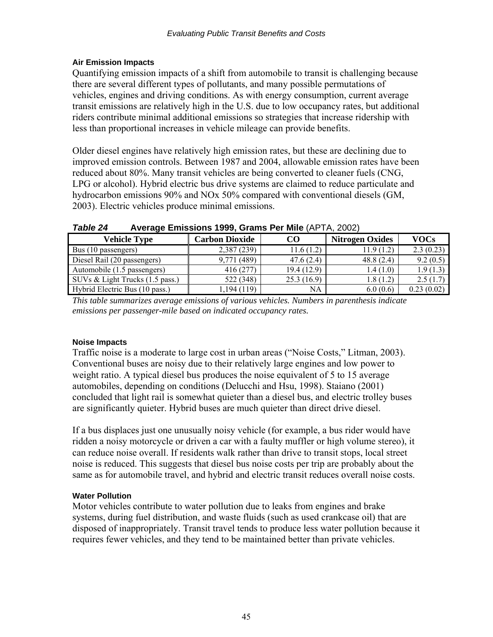### **Air Emission Impacts**

Quantifying emission impacts of a shift from automobile to transit is challenging because there are several different types of pollutants, and many possible permutations of vehicles, engines and driving conditions. As with energy consumption, current average transit emissions are relatively high in the U.S. due to low occupancy rates, but additional riders contribute minimal additional emissions so strategies that increase ridership with less than proportional increases in vehicle mileage can provide benefits.

Older diesel engines have relatively high emission rates, but these are declining due to improved emission controls. Between 1987 and 2004, allowable emission rates have been reduced about 80%. Many transit vehicles are being converted to cleaner fuels (CNG, LPG or alcohol). Hybrid electric bus drive systems are claimed to reduce particulate and hydrocarbon emissions 90% and NOx 50% compared with conventional diesels (GM, 2003). Electric vehicles produce minimal emissions.

| Vehicle Type                    | <b>Carbon Dioxide</b> | CO         | <b>Nitrogen Oxides</b> | <b>VOCs</b> |
|---------------------------------|-----------------------|------------|------------------------|-------------|
| Bus (10 passengers)             | 2,387 (239)           | 11.6(1.2)  | 11.9(1.2)              | 2.3(0.23)   |
| Diesel Rail (20 passengers)     | 9,771 (489)           | 47.6(2.4)  | 48.8(2.4)              | 9.2(0.5)    |
| Automobile (1.5 passengers)     | 416 (277)             | 19.4(12.9) | 1.4(1.0)               | 1.9(1.3)    |
| SUVs & Light Trucks (1.5 pass.) | 522 (348)             | 25.3(16.9) | 1.8(1.2)               | 2.5(1.7)    |
| Hybrid Electric Bus (10 pass.)  | 1,194 (119)           | NA         | 6.0(0.6)               | 0.23(0.02)  |

*Table 24* **Average Emissions 1999, Grams Per Mile** (APTA, 2002)

*This table summarizes average emissions of various vehicles. Numbers in parenthesis indicate emissions per passenger-mile based on indicated occupancy rates.* 

### **Noise Impacts**

Traffic noise is a moderate to large cost in urban areas ("Noise Costs," Litman, 2003). Conventional buses are noisy due to their relatively large engines and low power to weight ratio. A typical diesel bus produces the noise equivalent of 5 to 15 average automobiles, depending on conditions (Delucchi and Hsu, 1998). Staiano (2001) concluded that light rail is somewhat quieter than a diesel bus, and electric trolley buses are significantly quieter. Hybrid buses are much quieter than direct drive diesel.

If a bus displaces just one unusually noisy vehicle (for example, a bus rider would have ridden a noisy motorcycle or driven a car with a faulty muffler or high volume stereo), it can reduce noise overall. If residents walk rather than drive to transit stops, local street noise is reduced. This suggests that diesel bus noise costs per trip are probably about the same as for automobile travel, and hybrid and electric transit reduces overall noise costs.

### **Water Pollution**

Motor vehicles contribute to water pollution due to leaks from engines and brake systems, during fuel distribution, and waste fluids (such as used crankcase oil) that are disposed of inappropriately. Transit travel tends to produce less water pollution because it requires fewer vehicles, and they tend to be maintained better than private vehicles.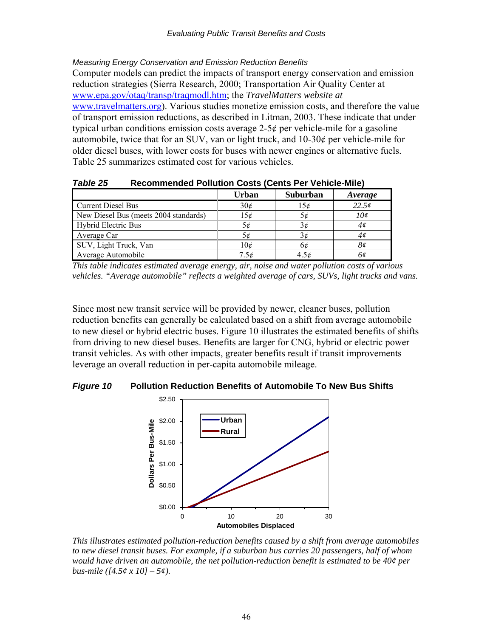*Measuring Energy Conservation and Emission Reduction Benefits* 

Computer models can predict the impacts of transport energy conservation and emission reduction strategies (Sierra Research, 2000; Transportation Air Quality Center at [www.epa.gov/otaq/transp/traqmodl.htm;](http://www.epa.gov/otaq/transp/traqmodl.htm) the *TravelMatters website at*  [www.travelmatters.org\)](http://www.travelmatters.org/). Various studies monetize emission costs, and therefore the value of transport emission reductions, as described in Litman, 2003. These indicate that under typical urban conditions emission costs average  $2-5¢$  per vehicle-mile for a gasoline automobile, twice that for an SUV, van or light truck, and 10-30¢ per vehicle-mile for older diesel buses, with lower costs for buses with newer engines or alternative fuels. Table 25 summarizes estimated cost for various vehicles.

|                                       | <b>Urban</b> | Suburban  | Average |  |  |
|---------------------------------------|--------------|-----------|---------|--|--|
| <b>Current Diesel Bus</b>             | 30¢          | 15¢       | 22.5c   |  |  |
| New Diesel Bus (meets 2004 standards) | 15¢          | 5¢        | 10¢     |  |  |
| <b>Hybrid Electric Bus</b>            | 5¢           | 3¢        | 4¢      |  |  |
| Average Car                           |              | 3¢        | 4¢      |  |  |
| SUV, Light Truck, Van                 | 10¢          | 6¢        | 8¢      |  |  |
| Average Automobile                    | 7.5¢         | $4.5\phi$ | oe      |  |  |

*Table 25* **Recommended Pollution Costs (Cents Per Vehicle-Mile)** 

*This table indicates estimated average energy, air, noise and water pollution costs of various vehicles. "Average automobile" reflects a weighted average of cars, SUVs, light trucks and vans.* 

Since most new transit service will be provided by newer, cleaner buses, pollution reduction benefits can generally be calculated based on a shift from average automobile to new diesel or hybrid electric buses. Figure 10 illustrates the estimated benefits of shifts from driving to new diesel buses. Benefits are larger for CNG, hybrid or electric power transit vehicles. As with other impacts, greater benefits result if transit improvements leverage an overall reduction in per-capita automobile mileage.

*Figure 10* **Pollution Reduction Benefits of Automobile To New Bus Shifts** 



*This illustrates estimated pollution-reduction benefits caused by a shift from average automobiles to new diesel transit buses. For example, if a suburban bus carries 20 passengers, half of whom would have driven an automobile, the net pollution-reduction benefit is estimated to be 40¢ per bus-mile ([4.5¢ x 10] – 5¢).*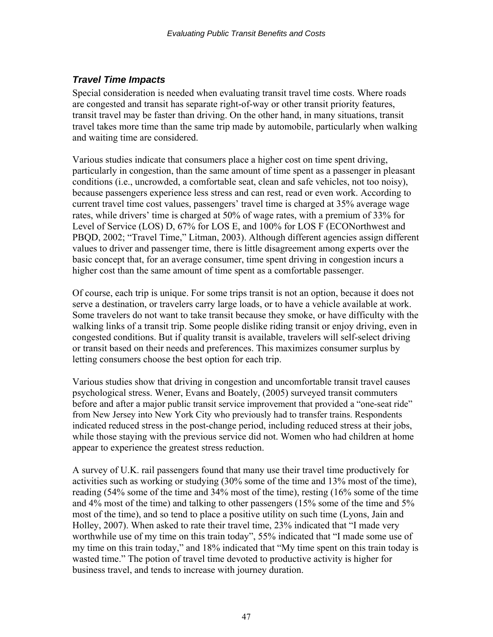# *Travel Time Impacts*

Special consideration is needed when evaluating transit travel time costs. Where roads are congested and transit has separate right-of-way or other transit priority features, transit travel may be faster than driving. On the other hand, in many situations, transit travel takes more time than the same trip made by automobile, particularly when walking and waiting time are considered.

Various studies indicate that consumers place a higher cost on time spent driving, particularly in congestion, than the same amount of time spent as a passenger in pleasant conditions (i.e., uncrowded, a comfortable seat, clean and safe vehicles, not too noisy), because passengers experience less stress and can rest, read or even work. According to current travel time cost values, passengers' travel time is charged at 35% average wage rates, while drivers' time is charged at 50% of wage rates, with a premium of 33% for Level of Service (LOS) D, 67% for LOS E, and 100% for LOS F (ECONorthwest and PBQD, 2002; "Travel Time," Litman, 2003). Although different agencies assign different values to driver and passenger time, there is little disagreement among experts over the basic concept that, for an average consumer, time spent driving in congestion incurs a higher cost than the same amount of time spent as a comfortable passenger.

Of course, each trip is unique. For some trips transit is not an option, because it does not serve a destination, or travelers carry large loads, or to have a vehicle available at work. Some travelers do not want to take transit because they smoke, or have difficulty with the walking links of a transit trip. Some people dislike riding transit or enjoy driving, even in congested conditions. But if quality transit is available, travelers will self-select driving or transit based on their needs and preferences. This maximizes consumer surplus by letting consumers choose the best option for each trip.

Various studies show that driving in congestion and uncomfortable transit travel causes psychological stress. Wener, Evans and Boately, (2005) surveyed transit commuters before and after a major public transit service improvement that provided a "one-seat ride" from New Jersey into New York City who previously had to transfer trains. Respondents indicated reduced stress in the post-change period, including reduced stress at their jobs, while those staying with the previous service did not. Women who had children at home appear to experience the greatest stress reduction.

A survey of U.K. rail passengers found that many use their travel time productively for activities such as working or studying (30% some of the time and 13% most of the time), reading (54% some of the time and 34% most of the time), resting (16% some of the time and 4% most of the time) and talking to other passengers (15% some of the time and 5% most of the time), and so tend to place a positive utility on such time (Lyons, Jain and Holley, 2007). When asked to rate their travel time, 23% indicated that "I made very worthwhile use of my time on this train today", 55% indicated that "I made some use of my time on this train today," and 18% indicated that "My time spent on this train today is wasted time." The potion of travel time devoted to productive activity is higher for business travel, and tends to increase with journey duration.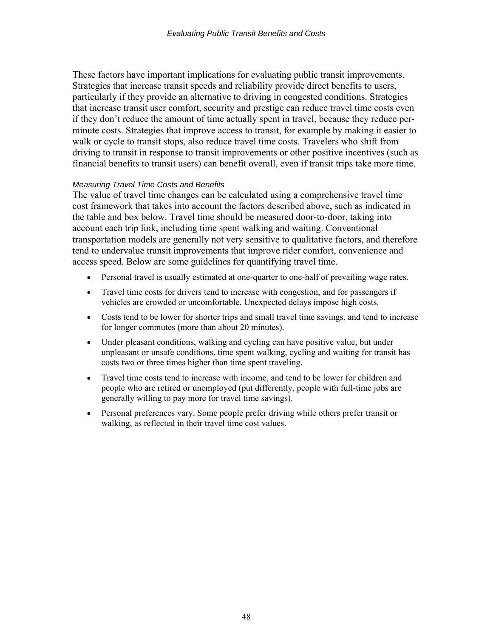These factors have important implications for evaluating public transit improvements. Strategies that increase transit speeds and reliability provide direct benefits to users, particularly if they provide an alternative to driving in congested conditions. Strategies that increase transit user comfort, security and prestige can reduce travel time costs even if they don't reduce the amount of time actually spent in travel, because they reduce perminute costs. Strategies that improve access to transit, for example by making it easier to walk or cycle to transit stops, also reduce travel time costs. Travelers who shift from driving to transit in response to transit improvements or other positive incentives (such as financial benefits to transit users) can benefit overall, even if transit trips take more time.

#### *Measuring Travel Time Costs and Benefits*

The value of travel time changes can be calculated using a comprehensive travel time cost framework that takes into account the factors described above, such as indicated in the table and box below. Travel time should be measured door-to-door, taking into account each trip link, including time spent walking and waiting. Conventional transportation models are generally not very sensitive to qualitative factors, and therefore tend to undervalue transit improvements that improve rider comfort, convenience and access speed. Below are some guidelines for quantifying travel time.

- Personal travel is usually estimated at one-quarter to one-half of prevailing wage rates.
- Travel time costs for drivers tend to increase with congestion, and for passengers if vehicles are crowded or uncomfortable. Unexpected delays impose high costs.
- Costs tend to be lower for shorter trips and small travel time savings, and tend to increase for longer commutes (more than about 20 minutes).
- Under pleasant conditions, walking and cycling can have positive value, but under unpleasant or unsafe conditions, time spent walking, cycling and waiting for transit has costs two or three times higher than time spent traveling.
- Travel time costs tend to increase with income, and tend to be lower for children and people who are retired or unemployed (put differently, people with full-time jobs are generally willing to pay more for travel time savings).
- Personal preferences vary. Some people prefer driving while others prefer transit or walking, as reflected in their travel time cost values.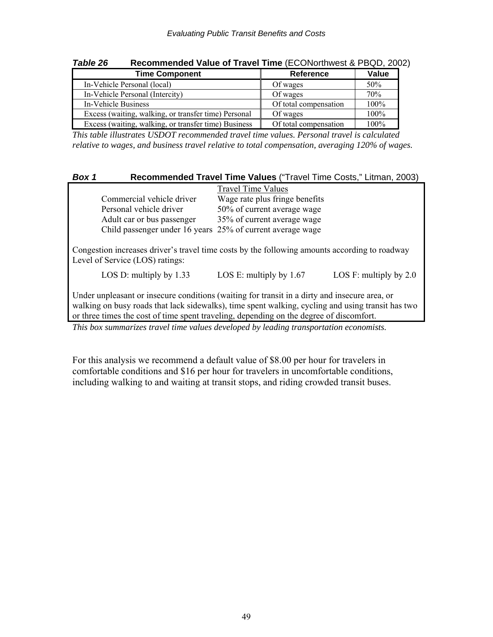| Table zo<br>Recommended value of Travel Time (ECONORMORSI & PBQD, 2007 |                       |       |  |  |  |
|------------------------------------------------------------------------|-----------------------|-------|--|--|--|
| <b>Time Component</b>                                                  | Reference             | Value |  |  |  |
| In-Vehicle Personal (local)                                            | Of wages              | 50%   |  |  |  |
| In-Vehicle Personal (Intercity)                                        | Of wages              | 70%   |  |  |  |
| In-Vehicle Business                                                    | Of total compensation | 100%  |  |  |  |
| Excess (waiting, walking, or transfer time) Personal                   | Of wages              | 100%  |  |  |  |
| Excess (waiting, walking, or transfer time) Business                   | Of total compensation | 100%  |  |  |  |

*Table 26* **Recommended Value of Travel Time** (ECONorthwest & PBQD, 2002)

*This table illustrates USDOT recommended travel time values. Personal travel is calculated relative to wages, and business travel relative to total compensation, averaging 120% of wages.* 

| Box 1                                                                                                                                                                                                                                                                                         |                                                                                                                                  | Recommended Travel Time Values ("Travel Time Costs," Litman, 2003) |                          |  |  |
|-----------------------------------------------------------------------------------------------------------------------------------------------------------------------------------------------------------------------------------------------------------------------------------------------|----------------------------------------------------------------------------------------------------------------------------------|--------------------------------------------------------------------|--------------------------|--|--|
|                                                                                                                                                                                                                                                                                               |                                                                                                                                  | <b>Travel Time Values</b>                                          |                          |  |  |
|                                                                                                                                                                                                                                                                                               | Commercial vehicle driver                                                                                                        | Wage rate plus fringe benefits                                     |                          |  |  |
|                                                                                                                                                                                                                                                                                               | Personal vehicle driver                                                                                                          | 50% of current average wage                                        |                          |  |  |
|                                                                                                                                                                                                                                                                                               | Adult car or bus passenger                                                                                                       | 35% of current average wage                                        |                          |  |  |
|                                                                                                                                                                                                                                                                                               | Child passenger under 16 years 25% of current average wage                                                                       |                                                                    |                          |  |  |
|                                                                                                                                                                                                                                                                                               | Congestion increases driver's travel time costs by the following amounts according to roadway<br>Level of Service (LOS) ratings: |                                                                    |                          |  |  |
|                                                                                                                                                                                                                                                                                               | LOS D: multiply by $1.33$                                                                                                        | LOS E: multiply by $1.67$                                          | LOS F: multiply by $2.0$ |  |  |
| Under unpleasant or insecure conditions (waiting for transit in a dirty and insecure area, or<br>walking on busy roads that lack sidewalks), time spent walking, cycling and using transit has two<br>or three times the cost of time spent traveling, depending on the degree of discomfort. |                                                                                                                                  |                                                                    |                          |  |  |

*This box summarizes travel time values developed by leading transportation economists.* 

For this analysis we recommend a default value of \$8.00 per hour for travelers in comfortable conditions and \$16 per hour for travelers in uncomfortable conditions, including walking to and waiting at transit stops, and riding crowded transit buses.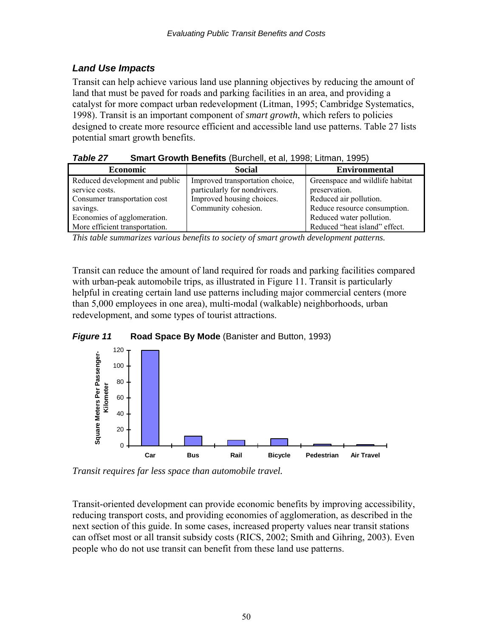# *Land Use Impacts*

Transit can help achieve various land use planning objectives by reducing the amount of land that must be paved for roads and parking facilities in an area, and providing a catalyst for more compact urban redevelopment (Litman, 1995; Cambridge Systematics, 1998). Transit is an important component of *smart growth*, which refers to policies designed to create more resource efficient and accessible land use patterns. Table 27 lists potential smart growth benefits.

*Table 27* **Smart Growth Benefits** (Burchell, et al, 1998; Litman, 1995)

| <b>Economic</b>                | <b>Social</b>                   | <b>Environmental</b>            |
|--------------------------------|---------------------------------|---------------------------------|
| Reduced development and public | Improved transportation choice, | Greenspace and wildlife habitat |
| service costs.                 | particularly for nondrivers.    | preservation.                   |
| Consumer transportation cost   | Improved housing choices.       | Reduced air pollution.          |
| savings.                       | Community cohesion.             | Reduce resource consumption.    |
| Economies of agglomeration.    |                                 | Reduced water pollution.        |
| More efficient transportation. |                                 | Reduced "heat island" effect.   |

*This table summarizes various benefits to society of smart growth development patterns.* 

Transit can reduce the amount of land required for roads and parking facilities compared with urban-peak automobile trips, as illustrated in Figure 11. Transit is particularly helpful in creating certain land use patterns including major commercial centers (more than 5,000 employees in one area), multi-modal (walkable) neighborhoods, urban redevelopment, and some types of tourist attractions.





*Transit requires far less space than automobile travel.*

Transit-oriented development can provide economic benefits by improving accessibility, reducing transport costs, and providing economies of agglomeration, as described in the next section of this guide. In some cases, increased property values near transit stations can offset most or all transit subsidy costs (RICS, 2002; Smith and Gihring, 2003). Even people who do not use transit can benefit from these land use patterns.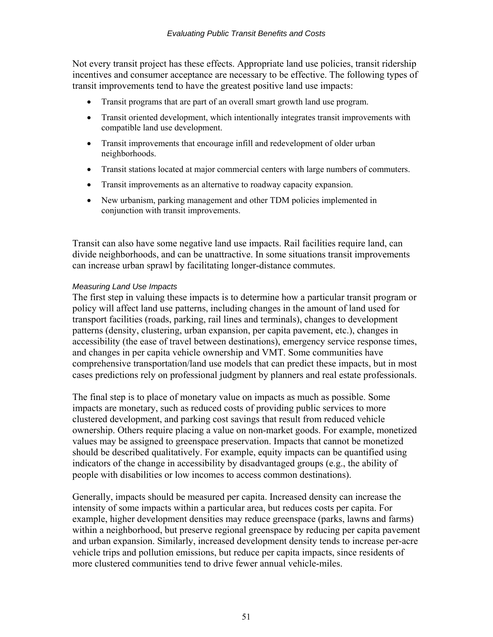Not every transit project has these effects. Appropriate land use policies, transit ridership incentives and consumer acceptance are necessary to be effective. The following types of transit improvements tend to have the greatest positive land use impacts:

- Transit programs that are part of an overall smart growth land use program.
- Transit oriented development, which intentionally integrates transit improvements with compatible land use development.
- Transit improvements that encourage infill and redevelopment of older urban neighborhoods.
- Transit stations located at major commercial centers with large numbers of commuters.
- Transit improvements as an alternative to roadway capacity expansion.
- New urbanism, parking management and other TDM policies implemented in conjunction with transit improvements.

Transit can also have some negative land use impacts. Rail facilities require land, can divide neighborhoods, and can be unattractive. In some situations transit improvements can increase urban sprawl by facilitating longer-distance commutes.

#### *Measuring Land Use Impacts*

The first step in valuing these impacts is to determine how a particular transit program or policy will affect land use patterns, including changes in the amount of land used for transport facilities (roads, parking, rail lines and terminals), changes to development patterns (density, clustering, urban expansion, per capita pavement, etc.), changes in accessibility (the ease of travel between destinations), emergency service response times, and changes in per capita vehicle ownership and VMT. Some communities have comprehensive transportation/land use models that can predict these impacts, but in most cases predictions rely on professional judgment by planners and real estate professionals.

The final step is to place of monetary value on impacts as much as possible. Some impacts are monetary, such as reduced costs of providing public services to more clustered development, and parking cost savings that result from reduced vehicle ownership. Others require placing a value on non-market goods. For example, monetized values may be assigned to greenspace preservation. Impacts that cannot be monetized should be described qualitatively. For example, equity impacts can be quantified using indicators of the change in accessibility by disadvantaged groups (e.g., the ability of people with disabilities or low incomes to access common destinations).

Generally, impacts should be measured per capita. Increased density can increase the intensity of some impacts within a particular area, but reduces costs per capita. For example, higher development densities may reduce greenspace (parks, lawns and farms) within a neighborhood, but preserve regional greenspace by reducing per capita pavement and urban expansion. Similarly, increased development density tends to increase per-acre vehicle trips and pollution emissions, but reduce per capita impacts, since residents of more clustered communities tend to drive fewer annual vehicle-miles.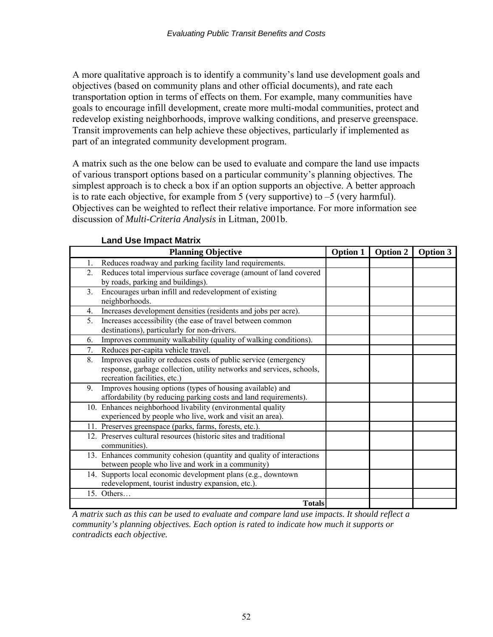A more qualitative approach is to identify a community's land use development goals and objectives (based on community plans and other official documents), and rate each transportation option in terms of effects on them. For example, many communities have goals to encourage infill development, create more multi-modal communities, protect and redevelop existing neighborhoods, improve walking conditions, and preserve greenspace. Transit improvements can help achieve these objectives, particularly if implemented as part of an integrated community development program.

A matrix such as the one below can be used to evaluate and compare the land use impacts of various transport options based on a particular community's planning objectives. The simplest approach is to check a box if an option supports an objective. A better approach is to rate each objective, for example from 5 (very supportive) to  $-5$  (very harmful). Objectives can be weighted to reflect their relative importance. For more information see discussion of *Multi-Criteria Analysis* in Litman, 2001b.

| <b>Planning Objective</b>                                                                                                                                                     | <b>Option 1</b> | Option 2 | <b>Option 3</b> |
|-------------------------------------------------------------------------------------------------------------------------------------------------------------------------------|-----------------|----------|-----------------|
| Reduces roadway and parking facility land requirements.<br>1.                                                                                                                 |                 |          |                 |
| Reduces total impervious surface coverage (amount of land covered<br>$\overline{2}$ .<br>by roads, parking and buildings).                                                    |                 |          |                 |
| Encourages urban infill and redevelopment of existing<br>3.<br>neighborhoods.                                                                                                 |                 |          |                 |
| Increases development densities (residents and jobs per acre).<br>4.                                                                                                          |                 |          |                 |
| Increases accessibility (the ease of travel between common<br>5.<br>destinations), particularly for non-drivers.                                                              |                 |          |                 |
| Improves community walkability (quality of walking conditions).<br>6.                                                                                                         |                 |          |                 |
| Reduces per-capita vehicle travel.<br>7.                                                                                                                                      |                 |          |                 |
| Improves quality or reduces costs of public service (emergency<br>8.<br>response, garbage collection, utility networks and services, schools,<br>recreation facilities, etc.) |                 |          |                 |
| Improves housing options (types of housing available) and<br>9.<br>affordability (by reducing parking costs and land requirements).                                           |                 |          |                 |
| 10. Enhances neighborhood livability (environmental quality<br>experienced by people who live, work and visit an area).                                                       |                 |          |                 |
| 11. Preserves greenspace (parks, farms, forests, etc.).                                                                                                                       |                 |          |                 |
| 12. Preserves cultural resources (historic sites and traditional<br>communities).                                                                                             |                 |          |                 |
| 13. Enhances community cohesion (quantity and quality of interactions<br>between people who live and work in a community)                                                     |                 |          |                 |
| 14. Supports local economic development plans (e.g., downtown<br>redevelopment, tourist industry expansion, etc.).                                                            |                 |          |                 |
| 15. Others                                                                                                                                                                    |                 |          |                 |
| <b>Totals</b>                                                                                                                                                                 |                 |          |                 |

**Land Use Impact Matrix** 

*A matrix such as this can be used to evaluate and compare land use impacts. It should reflect a community's planning objectives. Each option is rated to indicate how much it supports or contradicts each objective.*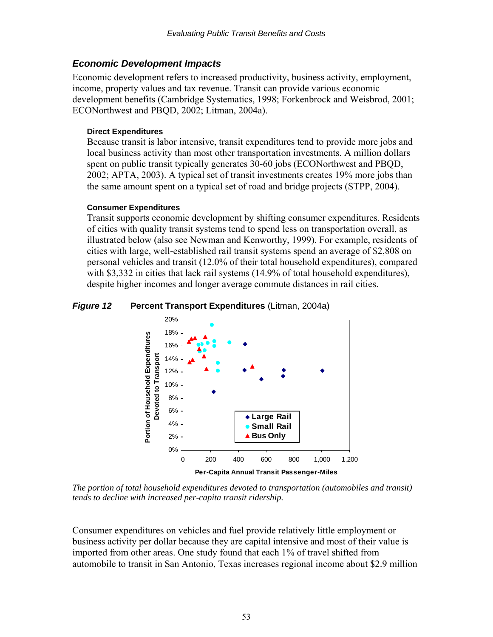## *Economic Development Impacts*

Economic development refers to increased productivity, business activity, employment, income, property values and tax revenue. Transit can provide various economic development benefits (Cambridge Systematics, 1998; Forkenbrock and Weisbrod, 2001; ECONorthwest and PBQD, 2002; Litman, 2004a).

### **Direct Expenditures**

Because transit is labor intensive, transit expenditures tend to provide more jobs and local business activity than most other transportation investments. A million dollars spent on public transit typically generates 30-60 jobs (ECONorthwest and PBQD, 2002; APTA, 2003). A typical set of transit investments creates 19% more jobs than the same amount spent on a typical set of road and bridge projects (STPP, 2004).

### **Consumer Expenditures**

Transit supports economic development by shifting consumer expenditures. Residents of cities with quality transit systems tend to spend less on transportation overall, as illustrated below (also see Newman and Kenworthy, 1999). For example, residents of cities with large, well-established rail transit systems spend an average of \$2,808 on personal vehicles and transit (12.0% of their total household expenditures), compared with \$3,332 in cities that lack rail systems (14.9% of total household expenditures), despite higher incomes and longer average commute distances in rail cities.

### *Figure 12* **Percent Transport Expenditures** (Litman, 2004a)



*The portion of total household expenditures devoted to transportation (automobiles and transit) tends to decline with increased per-capita transit ridership.* 

Consumer expenditures on vehicles and fuel provide relatively little employment or business activity per dollar because they are capital intensive and most of their value is imported from other areas. One study found that each 1% of travel shifted from automobile to transit in San Antonio, Texas increases regional income about \$2.9 million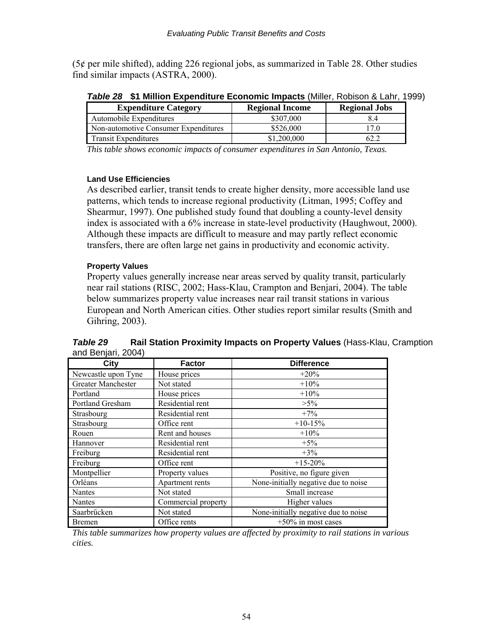(5¢ per mile shifted), adding 226 regional jobs, as summarized in Table 28. Other studies find similar impacts (ASTRA, 2000).

| <b>Expenditure Category</b>          | <b>Regional Income</b> | <b>Regional Jobs</b> |
|--------------------------------------|------------------------|----------------------|
| Automobile Expenditures              | \$307,000              | 8.4                  |
| Non-automotive Consumer Expenditures | \$526,000              | 7.0                  |
| <b>Transit Expenditures</b>          | \$1,200,000            | 62.2                 |

*Table 28* **\$1 Million Expenditure Economic Impacts** (Miller, Robison & Lahr, 1999)

*This table shows economic impacts of consumer expenditures in San Antonio, Texas.* 

#### **Land Use Efficiencies**

As described earlier, transit tends to create higher density, more accessible land use patterns, which tends to increase regional productivity (Litman, 1995; Coffey and Shearmur, 1997). One published study found that doubling a county-level density index is associated with a 6% increase in state-level productivity (Haughwout, 2000). Although these impacts are difficult to measure and may partly reflect economic transfers, there are often large net gains in productivity and economic activity.

### **Property Values**

Property values generally increase near areas served by quality transit, particularly near rail stations (RISC, 2002; Hass-Klau, Crampton and Benjari, 2004). The table below summarizes property value increases near rail transit stations in various European and North American cities. Other studies report similar results (Smith and Gihring, 2003).

| City                | <b>Factor</b>       | <b>Difference</b>                    |
|---------------------|---------------------|--------------------------------------|
| Newcastle upon Tyne | House prices        | $+20%$                               |
| Greater Manchester  | Not stated          | $+10%$                               |
| Portland            | House prices        | $+10%$                               |
| Portland Gresham    | Residential rent    | $>5\%$                               |
| Strasbourg          | Residential rent    | $+7%$                                |
| Strasbourg          | Office rent         | $+10-15%$                            |
| Rouen               | Rent and houses     | $+10%$                               |
| Hannover            | Residential rent    | $+5%$                                |
| Freiburg            | Residential rent    | $+3%$                                |
| Freiburg            | Office rent         | $+15-20%$                            |
| Montpellier         | Property values     | Positive, no figure given            |
| Orléans             | Apartment rents     | None-initially negative due to noise |
| Nantes              | Not stated          | Small increase                       |
| Nantes              | Commercial property | Higher values                        |
| Saarbrücken         | Not stated          | None-initially negative due to noise |
| Bremen              | Office rents        | $+50\%$ in most cases                |

*Table 29* **Rail Station Proximity Impacts on Property Values** (Hass-Klau, Cramption and Benjari, 2004)

*This table summarizes how property values are affected by proximity to rail stations in various cities.*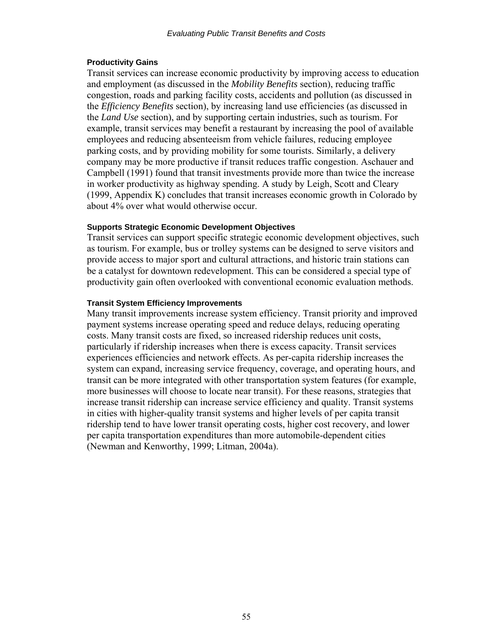#### **Productivity Gains**

Transit services can increase economic productivity by improving access to education and employment (as discussed in the *Mobility Benefits* section), reducing traffic congestion, roads and parking facility costs, accidents and pollution (as discussed in the *Efficiency Benefits* section), by increasing land use efficiencies (as discussed in the *Land Use* section), and by supporting certain industries, such as tourism. For example, transit services may benefit a restaurant by increasing the pool of available employees and reducing absenteeism from vehicle failures, reducing employee parking costs, and by providing mobility for some tourists. Similarly, a delivery company may be more productive if transit reduces traffic congestion. Aschauer and Campbell (1991) found that transit investments provide more than twice the increase in worker productivity as highway spending. A study by Leigh, Scott and Cleary (1999, Appendix K) concludes that transit increases economic growth in Colorado by about 4% over what would otherwise occur.

#### **Supports Strategic Economic Development Objectives**

Transit services can support specific strategic economic development objectives, such as tourism. For example, bus or trolley systems can be designed to serve visitors and provide access to major sport and cultural attractions, and historic train stations can be a catalyst for downtown redevelopment. This can be considered a special type of productivity gain often overlooked with conventional economic evaluation methods.

#### **Transit System Efficiency Improvements**

Many transit improvements increase system efficiency. Transit priority and improved payment systems increase operating speed and reduce delays, reducing operating costs. Many transit costs are fixed, so increased ridership reduces unit costs, particularly if ridership increases when there is excess capacity. Transit services experiences efficiencies and network effects. As per-capita ridership increases the system can expand, increasing service frequency, coverage, and operating hours, and transit can be more integrated with other transportation system features (for example, more businesses will choose to locate near transit). For these reasons, strategies that increase transit ridership can increase service efficiency and quality. Transit systems in cities with higher-quality transit systems and higher levels of per capita transit ridership tend to have lower transit operating costs, higher cost recovery, and lower per capita transportation expenditures than more automobile-dependent cities (Newman and Kenworthy, 1999; Litman, 2004a).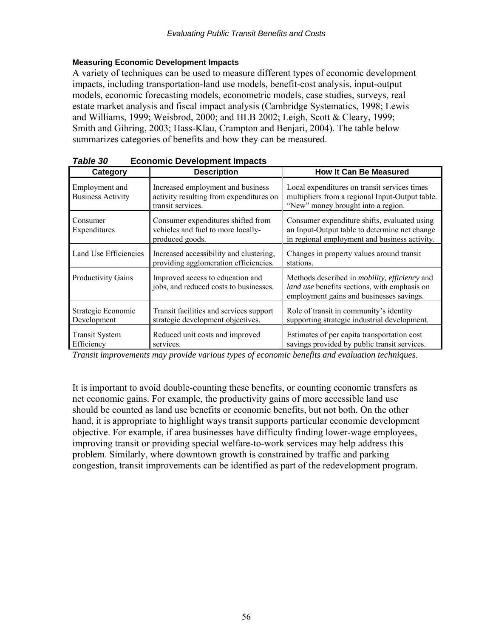### **Measuring Economic Development Impacts**

A variety of techniques can be used to measure different types of economic development impacts, including transportation-land use models, benefit-cost analysis, input-output models, economic forecasting models, econometric models, case studies, surveys, real estate market analysis and fiscal impact analysis (Cambridge Systematics, 1998; Lewis and Williams, 1999; Weisbrod, 2000; and HLB 2002; Leigh, Scott & Cleary, 1999; Smith and Gihring, 2003; Hass-Klau, Crampton and Benjari, 2004). The table below summarizes categories of benefits and how they can be measured.

| , uniu vv<br>LUUIIUIIIIU DUVUIUUIIIUIII IIIIpaulu |                                                                                                   |                                                                                                                                                          |  |  |
|---------------------------------------------------|---------------------------------------------------------------------------------------------------|----------------------------------------------------------------------------------------------------------------------------------------------------------|--|--|
| Category                                          | <b>Description</b>                                                                                | <b>How It Can Be Measured</b>                                                                                                                            |  |  |
| Employment and<br><b>Business Activity</b>        | Increased employment and business<br>activity resulting from expenditures on<br>transit services. | Local expenditures on transit services times<br>multipliers from a regional Input-Output table.<br>"New" money brought into a region.                    |  |  |
| Consumer<br>Expenditures                          | Consumer expenditures shifted from<br>vehicles and fuel to more locally-<br>produced goods.       | Consumer expenditure shifts, evaluated using<br>an Input-Output table to determine net change<br>in regional employment and business activity.           |  |  |
| Land Use Efficiencies                             | Increased accessibility and clustering,<br>providing agglomeration efficiencies.                  | Changes in property values around transit<br>stations.                                                                                                   |  |  |
| Productivity Gains                                | Improved access to education and<br>jobs, and reduced costs to businesses.                        | Methods described in <i>mobility</i> , <i>efficiency</i> and<br>land use benefits sections, with emphasis on<br>employment gains and businesses savings. |  |  |
| Strategic Economic<br>Development                 | Transit facilities and services support<br>strategic development objectives.                      | Role of transit in community's identity<br>supporting strategic industrial development.                                                                  |  |  |
| <b>Transit System</b><br>Efficiency               | Reduced unit costs and improved<br>services.                                                      | Estimates of per capita transportation cost<br>savings provided by public transit services.                                                              |  |  |

*Table 30* **Economic Development Impacts** 

*Transit improvements may provide various types of economic benefits and evaluation techniques.* 

It is important to avoid double-counting these benefits, or counting economic transfers as net economic gains. For example, the productivity gains of more accessible land use should be counted as land use benefits or economic benefits, but not both. On the other hand, it is appropriate to highlight ways transit supports particular economic development objective. For example, if area businesses have difficulty finding lower-wage employees, improving transit or providing special welfare-to-work services may help address this problem. Similarly, where downtown growth is constrained by traffic and parking congestion, transit improvements can be identified as part of the redevelopment program.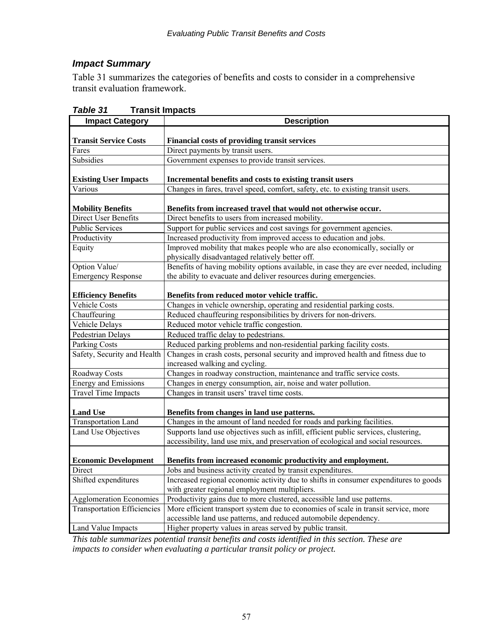# *Impact Summary*

Table 31 summarizes the categories of benefits and costs to consider in a comprehensive transit evaluation framework.

| <b>Impact Category</b>             | <b>Description</b>                                                                     |
|------------------------------------|----------------------------------------------------------------------------------------|
|                                    |                                                                                        |
| <b>Transit Service Costs</b>       | Financial costs of providing transit services                                          |
| Fares                              | Direct payments by transit users.                                                      |
| Subsidies                          | Government expenses to provide transit services.                                       |
|                                    |                                                                                        |
| <b>Existing User Impacts</b>       | Incremental benefits and costs to existing transit users                               |
| Various                            | Changes in fares, travel speed, comfort, safety, etc. to existing transit users.       |
| <b>Mobility Benefits</b>           | Benefits from increased travel that would not otherwise occur.                         |
| <b>Direct User Benefits</b>        | Direct benefits to users from increased mobility.                                      |
| <b>Public Services</b>             | Support for public services and cost savings for government agencies.                  |
| Productivity                       | Increased productivity from improved access to education and jobs.                     |
| Equity                             | Improved mobility that makes people who are also economically, socially or             |
|                                    | physically disadvantaged relatively better off.                                        |
| Option Value/                      | Benefits of having mobility options available, in case they are ever needed, including |
| <b>Emergency Response</b>          | the ability to evacuate and deliver resources during emergencies.                      |
|                                    |                                                                                        |
| <b>Efficiency Benefits</b>         | Benefits from reduced motor vehicle traffic.                                           |
| Vehicle Costs                      | Changes in vehicle ownership, operating and residential parking costs.                 |
| Chauffeuring                       | Reduced chauffeuring responsibilities by drivers for non-drivers.                      |
| Vehicle Delays                     | Reduced motor vehicle traffic congestion.                                              |
| <b>Pedestrian Delays</b>           | Reduced traffic delay to pedestrians.                                                  |
| <b>Parking Costs</b>               | Reduced parking problems and non-residential parking facility costs.                   |
| Safety, Security and Health        | Changes in crash costs, personal security and improved health and fitness due to       |
|                                    | increased walking and cycling.                                                         |
| Roadway Costs                      | Changes in roadway construction, maintenance and traffic service costs.                |
| <b>Energy and Emissions</b>        | Changes in energy consumption, air, noise and water pollution.                         |
| <b>Travel Time Impacts</b>         | Changes in transit users' travel time costs.                                           |
| <b>Land Use</b>                    | Benefits from changes in land use patterns.                                            |
| <b>Transportation Land</b>         | Changes in the amount of land needed for roads and parking facilities.                 |
| Land Use Objectives                | Supports land use objectives such as infill, efficient public services, clustering,    |
|                                    | accessibility, land use mix, and preservation of ecological and social resources.      |
|                                    |                                                                                        |
| <b>Economic Development</b>        | Benefits from increased economic productivity and employment.                          |
| Direct                             | Jobs and business activity created by transit expenditures.                            |
| Shifted expenditures               | Increased regional economic activity due to shifts in consumer expenditures to goods   |
|                                    | with greater regional employment multipliers.                                          |
| <b>Agglomeration Economies</b>     | Productivity gains due to more clustered, accessible land use patterns.                |
| <b>Transportation Efficiencies</b> | More efficient transport system due to economies of scale in transit service, more     |
|                                    | accessible land use patterns, and reduced automobile dependency.                       |
| Land Value Impacts                 | Higher property values in areas served by public transit.                              |

*Table 31* **Transit Impacts** 

*This table summarizes potential transit benefits and costs identified in this section. These are impacts to consider when evaluating a particular transit policy or project.*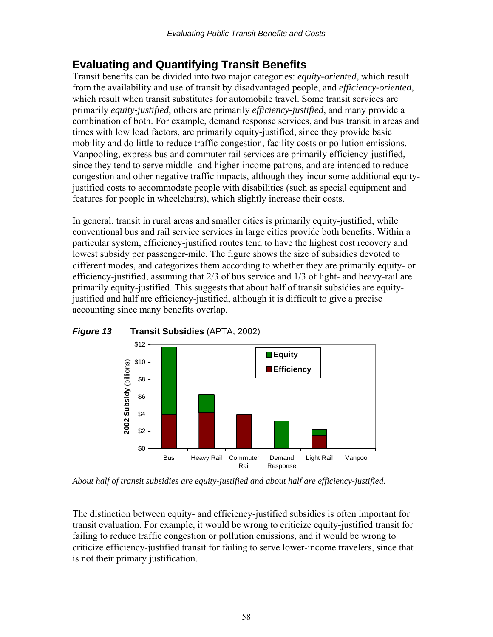# **Evaluating and Quantifying Transit Benefits**

Transit benefits can be divided into two major categories: *equity-oriented*, which result from the availability and use of transit by disadvantaged people, and *efficiency-oriented*, which result when transit substitutes for automobile travel. Some transit services are primarily *equity-justified*, others are primarily *efficiency-justified*, and many provide a combination of both. For example, demand response services, and bus transit in areas and times with low load factors, are primarily equity-justified, since they provide basic mobility and do little to reduce traffic congestion, facility costs or pollution emissions. Vanpooling, express bus and commuter rail services are primarily efficiency-justified, since they tend to serve middle- and higher-income patrons, and are intended to reduce congestion and other negative traffic impacts, although they incur some additional equityjustified costs to accommodate people with disabilities (such as special equipment and features for people in wheelchairs), which slightly increase their costs.

In general, transit in rural areas and smaller cities is primarily equity-justified, while conventional bus and rail service services in large cities provide both benefits. Within a particular system, efficiency-justified routes tend to have the highest cost recovery and lowest subsidy per passenger-mile. The figure shows the size of subsidies devoted to different modes, and categorizes them according to whether they are primarily equity- or efficiency-justified, assuming that 2/3 of bus service and 1/3 of light- and heavy-rail are primarily equity-justified. This suggests that about half of transit subsidies are equityjustified and half are efficiency-justified, although it is difficult to give a precise accounting since many benefits overlap.



*Figure 13* **Transit Subsidies** (APTA, 2002)

*About half of transit subsidies are equity-justified and about half are efficiency-justified.* 

The distinction between equity- and efficiency-justified subsidies is often important for transit evaluation. For example, it would be wrong to criticize equity-justified transit for failing to reduce traffic congestion or pollution emissions, and it would be wrong to criticize efficiency-justified transit for failing to serve lower-income travelers, since that is not their primary justification.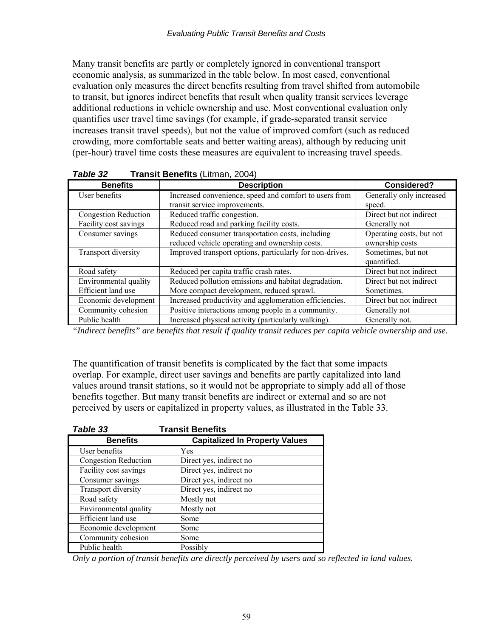Many transit benefits are partly or completely ignored in conventional transport economic analysis, as summarized in the table below. In most cased, conventional evaluation only measures the direct benefits resulting from travel shifted from automobile to transit, but ignores indirect benefits that result when quality transit services leverage additional reductions in vehicle ownership and use. Most conventional evaluation only quantifies user travel time savings (for example, if grade-separated transit service increases transit travel speeds), but not the value of improved comfort (such as reduced crowding, more comfortable seats and better waiting areas), although by reducing unit (per-hour) travel time costs these measures are equivalent to increasing travel speeds.

| <b>Benefits</b>             | <b>Description</b>                                                                                 | <b>Considered?</b>                          |
|-----------------------------|----------------------------------------------------------------------------------------------------|---------------------------------------------|
| User benefits               | Increased convenience, speed and comfort to users from                                             | Generally only increased                    |
|                             | transit service improvements.                                                                      | speed.                                      |
| <b>Congestion Reduction</b> | Reduced traffic congestion.                                                                        | Direct but not indirect                     |
| Facility cost savings       | Reduced road and parking facility costs.                                                           | Generally not                               |
| Consumer savings            | Reduced consumer transportation costs, including<br>reduced vehicle operating and ownership costs. | Operating costs, but not<br>ownership costs |
| Transport diversity         | Improved transport options, particularly for non-drives.                                           | Sometimes, but not<br>quantified.           |
| Road safety                 | Reduced per capita traffic crash rates.                                                            | Direct but not indirect                     |
| Environmental quality       | Reduced pollution emissions and habitat degradation.                                               | Direct but not indirect                     |
| Efficient land use          | More compact development, reduced sprawl.                                                          | Sometimes.                                  |
| Economic development        | Increased productivity and agglomeration efficiencies.                                             | Direct but not indirect                     |
| Community cohesion          | Positive interactions among people in a community.                                                 | Generally not                               |
| Public health               | Increased physical activity (particularly walking).                                                | Generally not.                              |

*Table 32* **Transit Benefits** (Litman, 2004)

*"Indirect benefits" are benefits that result if quality transit reduces per capita vehicle ownership and use.* 

The quantification of transit benefits is complicated by the fact that some impacts overlap. For example, direct user savings and benefits are partly capitalized into land values around transit stations, so it would not be appropriate to simply add all of those benefits together. But many transit benefits are indirect or external and so are not perceived by users or capitalized in property values, as illustrated in the Table 33.

| Table 33                    | <b>Transit Benefits</b>               |
|-----------------------------|---------------------------------------|
| <b>Benefits</b>             | <b>Capitalized In Property Values</b> |
| User benefits               | Yes                                   |
| <b>Congestion Reduction</b> | Direct yes, indirect no               |
| Facility cost savings       | Direct yes, indirect no               |
| Consumer savings            | Direct yes, indirect no               |
| Transport diversity         | Direct yes, indirect no               |
| Road safety                 | Mostly not                            |
| Environmental quality       | Mostly not                            |
| Efficient land use          | Some                                  |
| Economic development        | Some                                  |
| Community cohesion          | Some                                  |
| Public health               | Possibly                              |

*Only a portion of transit benefits are directly perceived by users and so reflected in land values.*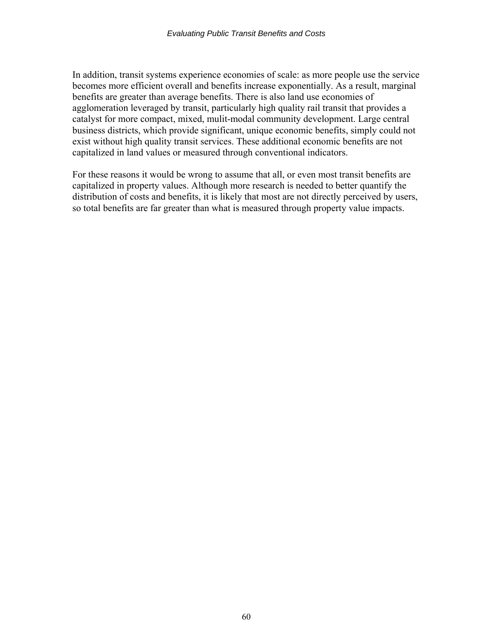In addition, transit systems experience economies of scale: as more people use the service becomes more efficient overall and benefits increase exponentially. As a result, marginal benefits are greater than average benefits. There is also land use economies of agglomeration leveraged by transit, particularly high quality rail transit that provides a catalyst for more compact, mixed, mulit-modal community development. Large central business districts, which provide significant, unique economic benefits, simply could not exist without high quality transit services. These additional economic benefits are not capitalized in land values or measured through conventional indicators.

For these reasons it would be wrong to assume that all, or even most transit benefits are capitalized in property values. Although more research is needed to better quantify the distribution of costs and benefits, it is likely that most are not directly perceived by users, so total benefits are far greater than what is measured through property value impacts.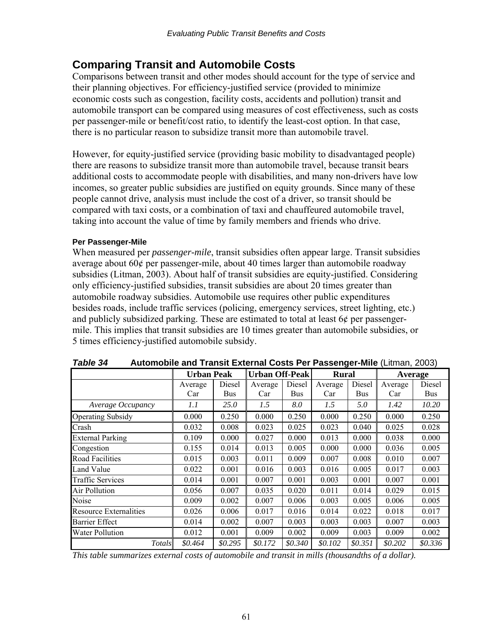# **Comparing Transit and Automobile Costs**

Comparisons between transit and other modes should account for the type of service and their planning objectives. For efficiency-justified service (provided to minimize economic costs such as congestion, facility costs, accidents and pollution) transit and automobile transport can be compared using measures of cost effectiveness, such as costs per passenger-mile or benefit/cost ratio, to identify the least-cost option. In that case, there is no particular reason to subsidize transit more than automobile travel.

However, for equity-justified service (providing basic mobility to disadvantaged people) there are reasons to subsidize transit more than automobile travel, because transit bears additional costs to accommodate people with disabilities, and many non-drivers have low incomes, so greater public subsidies are justified on equity grounds. Since many of these people cannot drive, analysis must include the cost of a driver, so transit should be compared with taxi costs, or a combination of taxi and chauffeured automobile travel, taking into account the value of time by family members and friends who drive.

### **Per Passenger-Mile**

When measured per *passenger-mile*, transit subsidies often appear large. Transit subsidies average about 60¢ per passenger-mile, about 40 times larger than automobile roadway subsidies (Litman, 2003). About half of transit subsidies are equity-justified. Considering only efficiency-justified subsidies, transit subsidies are about 20 times greater than automobile roadway subsidies. Automobile use requires other public expenditures besides roads, include traffic services (policing, emergency services, street lighting, etc.) and publicly subsidized parking. These are estimated to total at least 6¢ per passengermile. This implies that transit subsidies are 10 times greater than automobile subsidies, or 5 times efficiency-justified automobile subsidy.

|                               | <b>Urban Peak</b> |             | <b>Urban Off-Peak</b> |         | <b>Rural</b> |         | Average |         |
|-------------------------------|-------------------|-------------|-----------------------|---------|--------------|---------|---------|---------|
|                               | Average           | Diesel      | Average               | Diesel  | Average      | Diesel  | Average | Diesel  |
|                               | Car               | Bus         | Car                   | Bus     | Car          | Bus     | Car     | Bus     |
| Average Occupancy             | 1.1               | <i>25.0</i> | 1.5                   | 8.0     | 1.5          | 5.0     | 1.42    | 10.20   |
| <b>Operating Subsidy</b>      | 0.000             | 0.250       | 0.000                 | 0.250   | 0.000        | 0.250   | 0.000   | 0.250   |
| Crash                         | 0.032             | 0.008       | 0.023                 | 0.025   | 0.023        | 0.040   | 0.025   | 0.028   |
| <b>External Parking</b>       | 0.109             | 0.000       | 0.027                 | 0.000   | 0.013        | 0.000   | 0.038   | 0.000   |
| Congestion                    | 0.155             | 0.014       | 0.013                 | 0.005   | 0.000        | 0.000   | 0.036   | 0.005   |
| <b>Road Facilities</b>        | 0.015             | 0.003       | 0.011                 | 0.009   | 0.007        | 0.008   | 0.010   | 0.007   |
| Land Value                    | 0.022             | 0.001       | 0.016                 | 0.003   | 0.016        | 0.005   | 0.017   | 0.003   |
| <b>Traffic Services</b>       | 0.014             | 0.001       | 0.007                 | 0.001   | 0.003        | 0.001   | 0.007   | 0.001   |
| Air Pollution                 | 0.056             | 0.007       | 0.035                 | 0.020   | 0.011        | 0.014   | 0.029   | 0.015   |
| Noise                         | 0.009             | 0.002       | 0.007                 | 0.006   | 0.003        | 0.005   | 0.006   | 0.005   |
| <b>Resource Externalities</b> | 0.026             | 0.006       | 0.017                 | 0.016   | 0.014        | 0.022   | 0.018   | 0.017   |
| <b>Barrier Effect</b>         | 0.014             | 0.002       | 0.007                 | 0.003   | 0.003        | 0.003   | 0.007   | 0.003   |
| <b>Water Pollution</b>        | 0.012             | 0.001       | 0.009                 | 0.002   | 0.009        | 0.003   | 0.009   | 0.002   |
| Totals                        | \$0.464           | \$0.295     | \$0.172               | \$0.340 | \$0.102      | \$0.351 | \$0.202 | \$0.336 |

| Table 34 | Automobile and Transit External Costs Per Passenger-Mile (Litman, 2003) |  |
|----------|-------------------------------------------------------------------------|--|
|          |                                                                         |  |

*This table summarizes external costs of automobile and transit in mills (thousandths of a dollar).*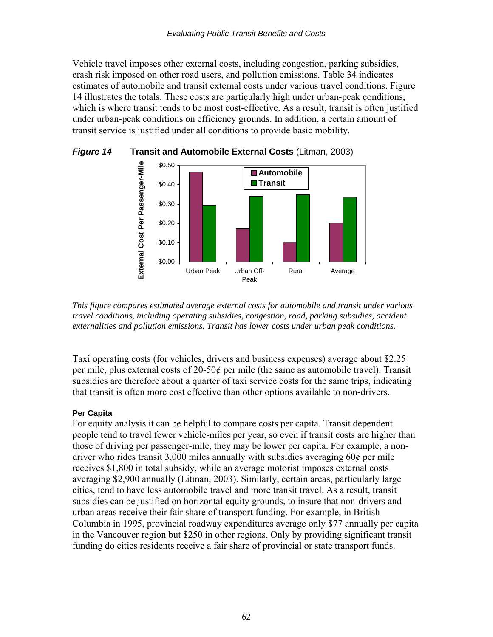Vehicle travel imposes other external costs, including congestion, parking subsidies, crash risk imposed on other road users, and pollution emissions. Table 34 indicates estimates of automobile and transit external costs under various travel conditions. Figure 14 illustrates the totals. These costs are particularly high under urban-peak conditions, which is where transit tends to be most cost-effective. As a result, transit is often justified under urban-peak conditions on efficiency grounds. In addition, a certain amount of transit service is justified under all conditions to provide basic mobility.





*This figure compares estimated average external costs for automobile and transit under various travel conditions, including operating subsidies, congestion, road, parking subsidies, accident externalities and pollution emissions. Transit has lower costs under urban peak conditions.* 

Taxi operating costs (for vehicles, drivers and business expenses) average about \$2.25 per mile, plus external costs of 20-50¢ per mile (the same as automobile travel). Transit subsidies are therefore about a quarter of taxi service costs for the same trips, indicating that transit is often more cost effective than other options available to non-drivers.

### **Per Capita**

For equity analysis it can be helpful to compare costs per capita. Transit dependent people tend to travel fewer vehicle-miles per year, so even if transit costs are higher than those of driving per passenger-mile, they may be lower per capita. For example, a nondriver who rides transit 3,000 miles annually with subsidies averaging 60¢ per mile receives \$1,800 in total subsidy, while an average motorist imposes external costs averaging \$2,900 annually (Litman, 2003). Similarly, certain areas, particularly large cities, tend to have less automobile travel and more transit travel. As a result, transit subsidies can be justified on horizontal equity grounds, to insure that non-drivers and urban areas receive their fair share of transport funding. For example, in British Columbia in 1995, provincial roadway expenditures average only \$77 annually per capita in the Vancouver region but \$250 in other regions. Only by providing significant transit funding do cities residents receive a fair share of provincial or state transport funds.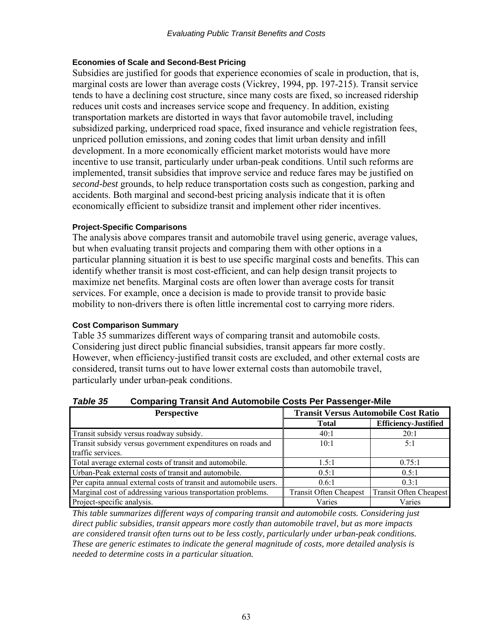#### **Economies of Scale and Second-Best Pricing**

Subsidies are justified for goods that experience economies of scale in production, that is, marginal costs are lower than average costs (Vickrey, 1994, pp. 197-215). Transit service tends to have a declining cost structure, since many costs are fixed, so increased ridership reduces unit costs and increases service scope and frequency. In addition, existing transportation markets are distorted in ways that favor automobile travel, including subsidized parking, underpriced road space, fixed insurance and vehicle registration fees, unpriced pollution emissions, and zoning codes that limit urban density and infill development. In a more economically efficient market motorists would have more incentive to use transit, particularly under urban-peak conditions. Until such reforms are implemented, transit subsidies that improve service and reduce fares may be justified on *second-best* grounds, to help reduce transportation costs such as congestion, parking and accidents. Both marginal and second-best pricing analysis indicate that it is often economically efficient to subsidize transit and implement other rider incentives.

#### **Project-Specific Comparisons**

The analysis above compares transit and automobile travel using generic, average values, but when evaluating transit projects and comparing them with other options in a particular planning situation it is best to use specific marginal costs and benefits. This can identify whether transit is most cost-efficient, and can help design transit projects to maximize net benefits. Marginal costs are often lower than average costs for transit services. For example, once a decision is made to provide transit to provide basic mobility to non-drivers there is often little incremental cost to carrying more riders.

#### **Cost Comparison Summary**

Table 35 summarizes different ways of comparing transit and automobile costs. Considering just direct public financial subsidies, transit appears far more costly. However, when efficiency-justified transit costs are excluded, and other external costs are considered, transit turns out to have lower external costs than automobile travel, particularly under urban-peak conditions.

### *Table 35* **Comparing Transit And Automobile Costs Per Passenger-Mile**

| <b>Perspective</b>                                                | <b>Transit Versus Automobile Cost Ratio</b> |                               |  |  |
|-------------------------------------------------------------------|---------------------------------------------|-------------------------------|--|--|
|                                                                   | <b>Total</b>                                | <b>Efficiency-Justified</b>   |  |  |
| Transit subsidy versus roadway subsidy.                           | 40:1                                        | 20:1                          |  |  |
| Transit subsidy versus government expenditures on roads and       | 10:1                                        | 5:1                           |  |  |
| traffic services.                                                 |                                             |                               |  |  |
| Total average external costs of transit and automobile.           | 1.5:1                                       | 0.75:1                        |  |  |
| Urban-Peak external costs of transit and automobile.              | $0.5 \cdot 1$                               | 0.5:1                         |  |  |
| Per capita annual external costs of transit and automobile users. | 0.6:1                                       | 0.3:1                         |  |  |
| Marginal cost of addressing various transportation problems.      | <b>Transit Often Cheapest</b>               | <b>Transit Often Cheapest</b> |  |  |
| Project-specific analysis.                                        | Varies                                      | Varies                        |  |  |

*This table summarizes different ways of comparing transit and automobile costs. Considering just direct public subsidies, transit appears more costly than automobile travel, but as more impacts are considered transit often turns out to be less costly, particularly under urban-peak conditions. These are generic estimates to indicate the general magnitude of costs, more detailed analysis is needed to determine costs in a particular situation.*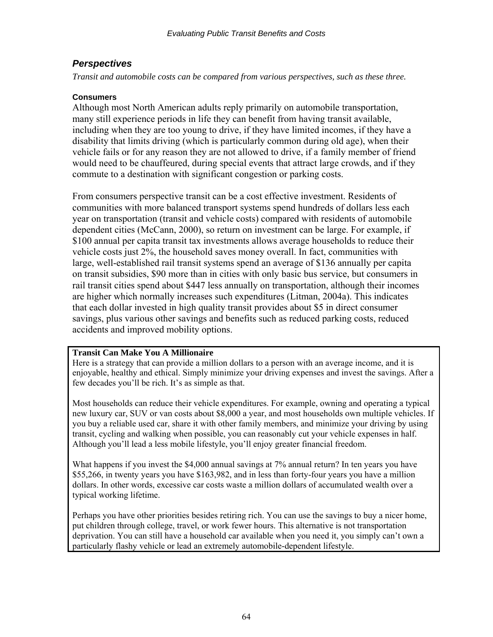### *Perspectives*

*Transit and automobile costs can be compared from various perspectives, such as these three.* 

### **Consumers**

Although most North American adults reply primarily on automobile transportation, many still experience periods in life they can benefit from having transit available, including when they are too young to drive, if they have limited incomes, if they have a disability that limits driving (which is particularly common during old age), when their vehicle fails or for any reason they are not allowed to drive, if a family member of friend would need to be chauffeured, during special events that attract large crowds, and if they commute to a destination with significant congestion or parking costs.

From consumers perspective transit can be a cost effective investment. Residents of communities with more balanced transport systems spend hundreds of dollars less each year on transportation (transit and vehicle costs) compared with residents of automobile dependent cities (McCann, 2000), so return on investment can be large. For example, if \$100 annual per capita transit tax investments allows average households to reduce their vehicle costs just 2%, the household saves money overall. In fact, communities with large, well-established rail transit systems spend an average of \$136 annually per capita on transit subsidies, \$90 more than in cities with only basic bus service, but consumers in rail transit cities spend about \$447 less annually on transportation, although their incomes are higher which normally increases such expenditures (Litman, 2004a). This indicates that each dollar invested in high quality transit provides about \$5 in direct consumer savings, plus various other savings and benefits such as reduced parking costs, reduced accidents and improved mobility options.

### **Transit Can Make You A Millionaire**

Here is a strategy that can provide a million dollars to a person with an average income, and it is enjoyable, healthy and ethical. Simply minimize your driving expenses and invest the savings. After a few decades you'll be rich. It's as simple as that.

Most households can reduce their vehicle expenditures. For example, owning and operating a typical new luxury car, SUV or van costs about \$8,000 a year, and most households own multiple vehicles. If you buy a reliable used car, share it with other family members, and minimize your driving by using transit, cycling and walking when possible, you can reasonably cut your vehicle expenses in half. Although you'll lead a less mobile lifestyle, you'll enjoy greater financial freedom.

What happens if you invest the \$4,000 annual savings at 7% annual return? In ten years you have \$55,266, in twenty years you have \$163,982, and in less than forty-four years you have a million dollars. In other words, excessive car costs waste a million dollars of accumulated wealth over a typical working lifetime.

Perhaps you have other priorities besides retiring rich. You can use the savings to buy a nicer home, put children through college, travel, or work fewer hours. This alternative is not transportation deprivation. You can still have a household car available when you need it, you simply can't own a particularly flashy vehicle or lead an extremely automobile-dependent lifestyle.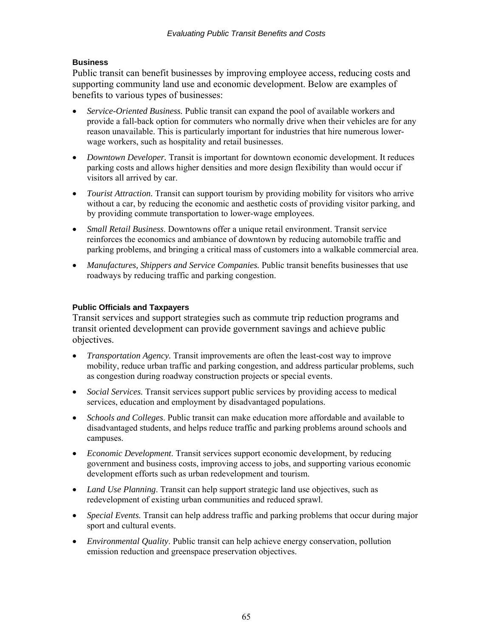### **Business**

Public transit can benefit businesses by improving employee access, reducing costs and supporting community land use and economic development. Below are examples of benefits to various types of businesses:

- *Service-Oriented Business.* Public transit can expand the pool of available workers and provide a fall-back option for commuters who normally drive when their vehicles are for any reason unavailable. This is particularly important for industries that hire numerous lowerwage workers, such as hospitality and retail businesses.
- *Downtown Developer*. Transit is important for downtown economic development. It reduces parking costs and allows higher densities and more design flexibility than would occur if visitors all arrived by car.
- *Tourist Attraction*. Transit can support tourism by providing mobility for visitors who arrive without a car, by reducing the economic and aesthetic costs of providing visitor parking, and by providing commute transportation to lower-wage employees.
- *Small Retail Business*. Downtowns offer a unique retail environment. Transit service reinforces the economics and ambiance of downtown by reducing automobile traffic and parking problems, and bringing a critical mass of customers into a walkable commercial area.
- *Manufactures, Shippers and Service Companies.* Public transit benefits businesses that use roadways by reducing traffic and parking congestion.

### **Public Officials and Taxpayers**

Transit services and support strategies such as commute trip reduction programs and transit oriented development can provide government savings and achieve public objectives.

- *Transportation Agency*. Transit improvements are often the least-cost way to improve mobility, reduce urban traffic and parking congestion, and address particular problems, such as congestion during roadway construction projects or special events.
- *Social Services.* Transit services support public services by providing access to medical services, education and employment by disadvantaged populations.
- *Schools and Colleges*. Public transit can make education more affordable and available to disadvantaged students, and helps reduce traffic and parking problems around schools and campuses.
- *Economic Development*. Transit services support economic development, by reducing government and business costs, improving access to jobs, and supporting various economic development efforts such as urban redevelopment and tourism.
- *Land Use Planning*. Transit can help support strategic land use objectives, such as redevelopment of existing urban communities and reduced sprawl.
- *Special Events.* Transit can help address traffic and parking problems that occur during major sport and cultural events.
- *Environmental Quality*. Public transit can help achieve energy conservation, pollution emission reduction and greenspace preservation objectives.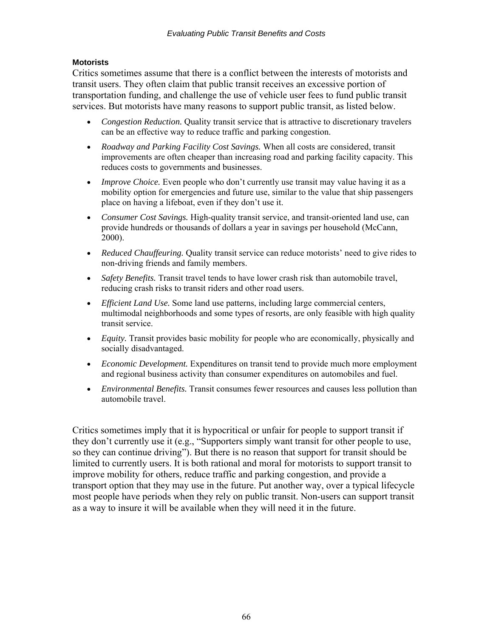### **Motorists**

Critics sometimes assume that there is a conflict between the interests of motorists and transit users. They often claim that public transit receives an excessive portion of transportation funding, and challenge the use of vehicle user fees to fund public transit services. But motorists have many reasons to support public transit, as listed below.

- *Congestion Reduction.* Quality transit service that is attractive to discretionary travelers can be an effective way to reduce traffic and parking congestion.
- *Roadway and Parking Facility Cost Savings.* When all costs are considered, transit improvements are often cheaper than increasing road and parking facility capacity. This reduces costs to governments and businesses.
- *Improve Choice*. Even people who don't currently use transit may value having it as a mobility option for emergencies and future use, similar to the value that ship passengers place on having a lifeboat, even if they don't use it.
- *Consumer Cost Savings.* High-quality transit service, and transit-oriented land use, can provide hundreds or thousands of dollars a year in savings per household (McCann, 2000).
- *Reduced Chauffeuring.* Quality transit service can reduce motorists' need to give rides to non-driving friends and family members.
- *Safety Benefits*. Transit travel tends to have lower crash risk than automobile travel, reducing crash risks to transit riders and other road users.
- *Efficient Land Use.* Some land use patterns, including large commercial centers, multimodal neighborhoods and some types of resorts, are only feasible with high quality transit service.
- *Equity*. Transit provides basic mobility for people who are economically, physically and socially disadvantaged.
- *Economic Development.* Expenditures on transit tend to provide much more employment and regional business activity than consumer expenditures on automobiles and fuel.
- *Environmental Benefits.* Transit consumes fewer resources and causes less pollution than automobile travel.

Critics sometimes imply that it is hypocritical or unfair for people to support transit if they don't currently use it (e.g., "Supporters simply want transit for other people to use, so they can continue driving"). But there is no reason that support for transit should be limited to currently users. It is both rational and moral for motorists to support transit to improve mobility for others, reduce traffic and parking congestion, and provide a transport option that they may use in the future. Put another way, over a typical lifecycle most people have periods when they rely on public transit. Non-users can support transit as a way to insure it will be available when they will need it in the future.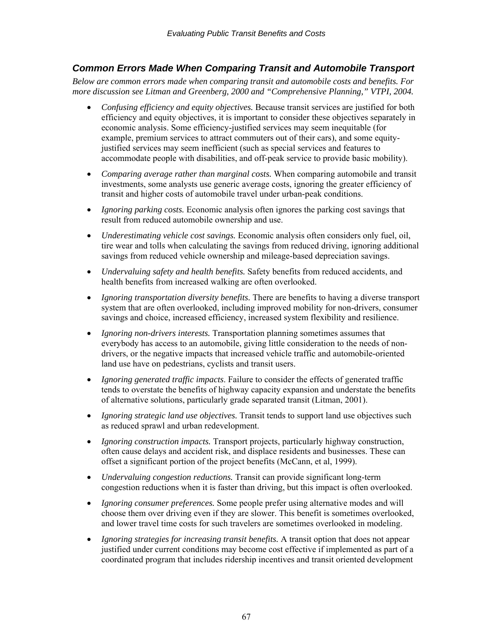## *Common Errors Made When Comparing Transit and Automobile Transport*

*Below are common errors made when comparing transit and automobile costs and benefits. For more discussion see Litman and Greenberg, 2000 and "Comprehensive Planning," VTPI, 2004.* 

- *Confusing efficiency and equity objectives.* Because transit services are justified for both efficiency and equity objectives, it is important to consider these objectives separately in economic analysis. Some efficiency-justified services may seem inequitable (for example, premium services to attract commuters out of their cars), and some equityjustified services may seem inefficient (such as special services and features to accommodate people with disabilities, and off-peak service to provide basic mobility).
- *Comparing average rather than marginal costs.* When comparing automobile and transit investments, some analysts use generic average costs, ignoring the greater efficiency of transit and higher costs of automobile travel under urban-peak conditions.
- *Ignoring parking costs.* Economic analysis often ignores the parking cost savings that result from reduced automobile ownership and use.
- *Underestimating vehicle cost savings.* Economic analysis often considers only fuel, oil, tire wear and tolls when calculating the savings from reduced driving, ignoring additional savings from reduced vehicle ownership and mileage-based depreciation savings.
- *Undervaluing safety and health benefits.* Safety benefits from reduced accidents, and health benefits from increased walking are often overlooked.
- *Ignoring transportation diversity benefits.* There are benefits to having a diverse transport system that are often overlooked, including improved mobility for non-drivers, consumer savings and choice, increased efficiency, increased system flexibility and resilience.
- *Ignoring non-drivers interests.* Transportation planning sometimes assumes that everybody has access to an automobile, giving little consideration to the needs of nondrivers, or the negative impacts that increased vehicle traffic and automobile-oriented land use have on pedestrians, cyclists and transit users.
- *Ignoring generated traffic impacts*. Failure to consider the effects of generated traffic tends to overstate the benefits of highway capacity expansion and understate the benefits of alternative solutions, particularly grade separated transit (Litman, 2001).
- *Ignoring strategic land use objectives*. Transit tends to support land use objectives such as reduced sprawl and urban redevelopment.
- *Ignoring construction impacts.* Transport projects, particularly highway construction, often cause delays and accident risk, and displace residents and businesses. These can offset a significant portion of the project benefits (McCann, et al, 1999).
- *Undervaluing congestion reductions.* Transit can provide significant long-term congestion reductions when it is faster than driving, but this impact is often overlooked.
- *Ignoring consumer preferences.* Some people prefer using alternative modes and will choose them over driving even if they are slower. This benefit is sometimes overlooked, and lower travel time costs for such travelers are sometimes overlooked in modeling.
- *Ignoring strategies for increasing transit benefits.* A transit option that does not appear justified under current conditions may become cost effective if implemented as part of a coordinated program that includes ridership incentives and transit oriented development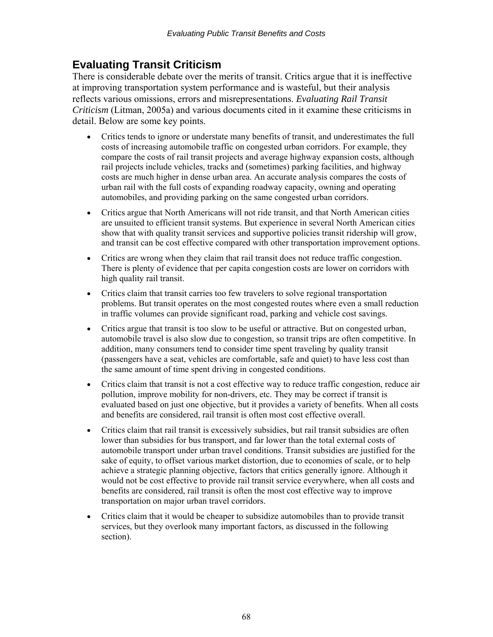# **Evaluating Transit Criticism**

There is considerable debate over the merits of transit. Critics argue that it is ineffective at improving transportation system performance and is wasteful, but their analysis reflects various omissions, errors and misrepresentations. *Evaluating Rail Transit Criticism* (Litman, 2005a) and various documents cited in it examine these criticisms in detail. Below are some key points.

- Critics tends to ignore or understate many benefits of transit, and underestimates the full costs of increasing automobile traffic on congested urban corridors. For example, they compare the costs of rail transit projects and average highway expansion costs, although rail projects include vehicles, tracks and (sometimes) parking facilities, and highway costs are much higher in dense urban area. An accurate analysis compares the costs of urban rail with the full costs of expanding roadway capacity, owning and operating automobiles, and providing parking on the same congested urban corridors.
- Critics argue that North Americans will not ride transit, and that North American cities are unsuited to efficient transit systems. But experience in several North American cities show that with quality transit services and supportive policies transit ridership will grow, and transit can be cost effective compared with other transportation improvement options.
- Critics are wrong when they claim that rail transit does not reduce traffic congestion. There is plenty of evidence that per capita congestion costs are lower on corridors with high quality rail transit.
- Critics claim that transit carries too few travelers to solve regional transportation problems. But transit operates on the most congested routes where even a small reduction in traffic volumes can provide significant road, parking and vehicle cost savings.
- Critics argue that transit is too slow to be useful or attractive. But on congested urban, automobile travel is also slow due to congestion, so transit trips are often competitive. In addition, many consumers tend to consider time spent traveling by quality transit (passengers have a seat, vehicles are comfortable, safe and quiet) to have less cost than the same amount of time spent driving in congested conditions.
- Critics claim that transit is not a cost effective way to reduce traffic congestion, reduce air pollution, improve mobility for non-drivers, etc. They may be correct if transit is evaluated based on just one objective, but it provides a variety of benefits. When all costs and benefits are considered, rail transit is often most cost effective overall.
- Critics claim that rail transit is excessively subsidies, but rail transit subsidies are often lower than subsidies for bus transport, and far lower than the total external costs of automobile transport under urban travel conditions. Transit subsidies are justified for the sake of equity, to offset various market distortion, due to economies of scale, or to help achieve a strategic planning objective, factors that critics generally ignore. Although it would not be cost effective to provide rail transit service everywhere, when all costs and benefits are considered, rail transit is often the most cost effective way to improve transportation on major urban travel corridors.
- Critics claim that it would be cheaper to subsidize automobiles than to provide transit services, but they overlook many important factors, as discussed in the following section).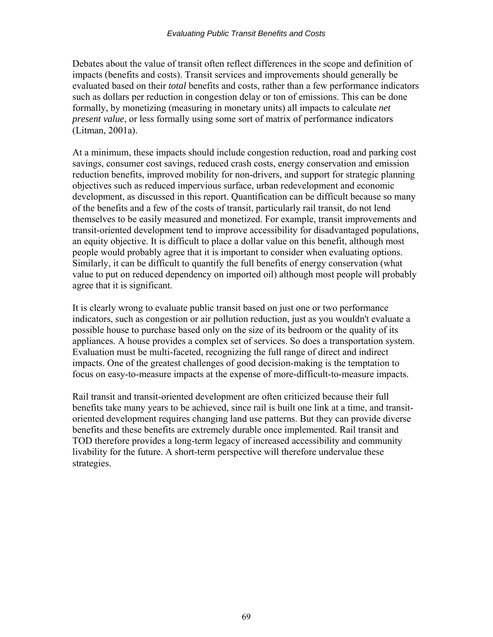Debates about the value of transit often reflect differences in the scope and definition of impacts (benefits and costs). Transit services and improvements should generally be evaluated based on their *total* benefits and costs, rather than a few performance indicators such as dollars per reduction in congestion delay or ton of emissions. This can be done formally, by monetizing (measuring in monetary units) all impacts to calculate *net present value*, or less formally using some sort of matrix of performance indicators (Litman, 2001a).

At a minimum, these impacts should include congestion reduction, road and parking cost savings, consumer cost savings, reduced crash costs, energy conservation and emission reduction benefits, improved mobility for non-drivers, and support for strategic planning objectives such as reduced impervious surface, urban redevelopment and economic development, as discussed in this report. Quantification can be difficult because so many of the benefits and a few of the costs of transit, particularly rail transit, do not lend themselves to be easily measured and monetized. For example, transit improvements and transit-oriented development tend to improve accessibility for disadvantaged populations, an equity objective. It is difficult to place a dollar value on this benefit, although most people would probably agree that it is important to consider when evaluating options. Similarly, it can be difficult to quantify the full benefits of energy conservation (what value to put on reduced dependency on imported oil) although most people will probably agree that it is significant.

It is clearly wrong to evaluate public transit based on just one or two performance indicators, such as congestion or air pollution reduction, just as you wouldn't evaluate a possible house to purchase based only on the size of its bedroom or the quality of its appliances. A house provides a complex set of services. So does a transportation system. Evaluation must be multi-faceted, recognizing the full range of direct and indirect impacts. One of the greatest challenges of good decision-making is the temptation to focus on easy-to-measure impacts at the expense of more-difficult-to-measure impacts.

Rail transit and transit-oriented development are often criticized because their full benefits take many years to be achieved, since rail is built one link at a time, and transitoriented development requires changing land use patterns. But they can provide diverse benefits and these benefits are extremely durable once implemented. Rail transit and TOD therefore provides a long-term legacy of increased accessibility and community livability for the future. A short-term perspective will therefore undervalue these strategies.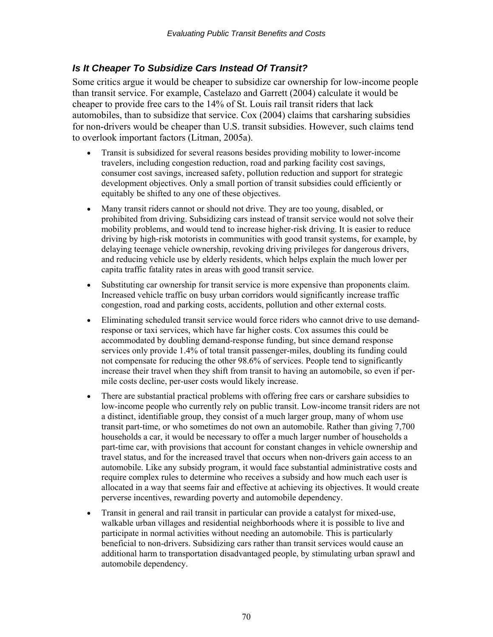# *Is It Cheaper To Subsidize Cars Instead Of Transit?*

Some critics argue it would be cheaper to subsidize car ownership for low-income people than transit service. For example, Castelazo and Garrett (2004) calculate it would be cheaper to provide free cars to the 14% of St. Louis rail transit riders that lack automobiles, than to subsidize that service. Cox (2004) claims that carsharing subsidies for non-drivers would be cheaper than U.S. transit subsidies. However, such claims tend to overlook important factors (Litman, 2005a).

- Transit is subsidized for several reasons besides providing mobility to lower-income travelers, including congestion reduction, road and parking facility cost savings, consumer cost savings, increased safety, pollution reduction and support for strategic development objectives. Only a small portion of transit subsidies could efficiently or equitably be shifted to any one of these objectives.
- Many transit riders cannot or should not drive. They are too young, disabled, or prohibited from driving. Subsidizing cars instead of transit service would not solve their mobility problems, and would tend to increase higher-risk driving. It is easier to reduce driving by high-risk motorists in communities with good transit systems, for example, by delaying teenage vehicle ownership, revoking driving privileges for dangerous drivers, and reducing vehicle use by elderly residents, which helps explain the much lower per capita traffic fatality rates in areas with good transit service.
- Substituting car ownership for transit service is more expensive than proponents claim. Increased vehicle traffic on busy urban corridors would significantly increase traffic congestion, road and parking costs, accidents, pollution and other external costs.
- Eliminating scheduled transit service would force riders who cannot drive to use demandresponse or taxi services, which have far higher costs. Cox assumes this could be accommodated by doubling demand-response funding, but since demand response services only provide 1.4% of total transit passenger-miles, doubling its funding could not compensate for reducing the other 98.6% of services. People tend to significantly increase their travel when they shift from transit to having an automobile, so even if permile costs decline, per-user costs would likely increase.
- There are substantial practical problems with offering free cars or carshare subsidies to low-income people who currently rely on public transit. Low-income transit riders are not a distinct, identifiable group, they consist of a much larger group, many of whom use transit part-time, or who sometimes do not own an automobile. Rather than giving 7,700 households a car, it would be necessary to offer a much larger number of households a part-time car, with provisions that account for constant changes in vehicle ownership and travel status, and for the increased travel that occurs when non-drivers gain access to an automobile. Like any subsidy program, it would face substantial administrative costs and require complex rules to determine who receives a subsidy and how much each user is allocated in a way that seems fair and effective at achieving its objectives. It would create perverse incentives, rewarding poverty and automobile dependency.
- Transit in general and rail transit in particular can provide a catalyst for mixed-use, walkable urban villages and residential neighborhoods where it is possible to live and participate in normal activities without needing an automobile. This is particularly beneficial to non-drivers. Subsidizing cars rather than transit services would cause an additional harm to transportation disadvantaged people, by stimulating urban sprawl and automobile dependency.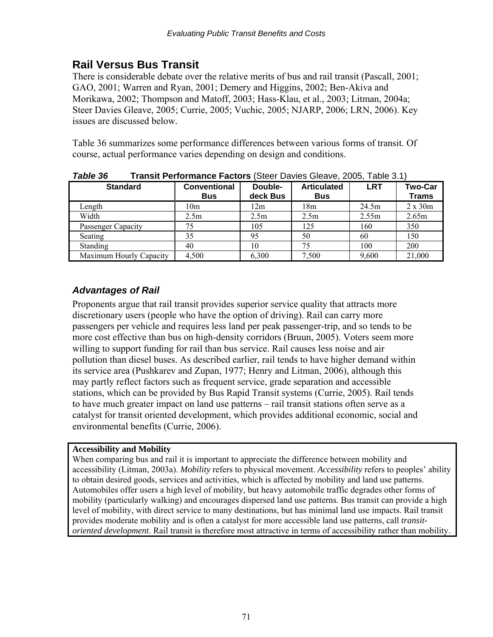# **Rail Versus Bus Transit**

There is considerable debate over the relative merits of bus and rail transit (Pascall, 2001; GAO, 2001; Warren and Ryan, 2001; Demery and Higgins, 2002; Ben-Akiva and Morikawa, 2002; Thompson and Matoff, 2003; Hass-Klau, et al., 2003; Litman, 2004a; Steer Davies Gleave, 2005; Currie, 2005; Vuchic, 2005; NJARP, 2006; LRN, 2006). Key issues are discussed below.

Table 36 summarizes some performance differences between various forms of transit. Of course, actual performance varies depending on design and conditions.

| I UNIC JU<br><b>Transit Ferrormance Factors</b> (Oloci Davics Oloavo, Z000, Tablo 0.1 |                                   |                     |                                  |            |                                |
|---------------------------------------------------------------------------------------|-----------------------------------|---------------------|----------------------------------|------------|--------------------------------|
| <b>Standard</b>                                                                       | <b>Conventional</b><br><b>Bus</b> | Double-<br>deck Bus | <b>Articulated</b><br><b>Bus</b> | <b>LRT</b> | <b>Two-Car</b><br><b>Trams</b> |
| Length                                                                                | 10 <sub>m</sub>                   | 12m                 | 18m                              | 24.5m      | $2 \times 30m$                 |
| Width                                                                                 | 2.5m                              | 2.5m                | 2.5m                             | 2.55m      | 2.65m                          |
| Passenger Capacity                                                                    | 75                                | 105                 | 125                              | 160        | 350                            |
| Seating                                                                               | 35                                | 95                  | 50                               | 60         | 150                            |
| <b>Standing</b>                                                                       | 40                                | 10                  | 75                               | 100        | 200                            |
| Maximum Hourly Capacity                                                               | 4,500                             | 6,300               | 7,500                            | 9,600      | 21,000                         |

*Table 36* **Transit Performance Factors** (Steer Davies Gleave, 2005, Table 3.1)

# *Advantages of Rail*

Proponents argue that rail transit provides superior service quality that attracts more discretionary users (people who have the option of driving). Rail can carry more passengers per vehicle and requires less land per peak passenger-trip, and so tends to be more cost effective than bus on high-density corridors (Bruun, 2005). Voters seem more willing to support funding for rail than bus service. Rail causes less noise and air pollution than diesel buses. As described earlier, rail tends to have higher demand within its service area (Pushkarev and Zupan, 1977; Henry and Litman, 2006), although this may partly reflect factors such as frequent service, grade separation and accessible stations, which can be provided by Bus Rapid Transit systems (Currie, 2005). Rail tends to have much greater impact on land use patterns – rail transit stations often serve as a catalyst for transit oriented development, which provides additional economic, social and environmental benefits (Currie, 2006).

### **Accessibility and Mobility**

When comparing bus and rail it is important to appreciate the difference between mobility and accessibility (Litman, 2003a). *Mobility* refers to physical movement. *Accessibility* refers to peoples' ability to obtain desired goods, services and activities, which is affected by mobility and land use patterns. Automobiles offer users a high level of mobility, but heavy automobile traffic degrades other forms of mobility (particularly walking) and encourages dispersed land use patterns. Bus transit can provide a high level of mobility, with direct service to many destinations, but has minimal land use impacts. Rail transit provides moderate mobility and is often a catalyst for more accessible land use patterns, call *transitoriented development*. Rail transit is therefore most attractive in terms of accessibility rather than mobility.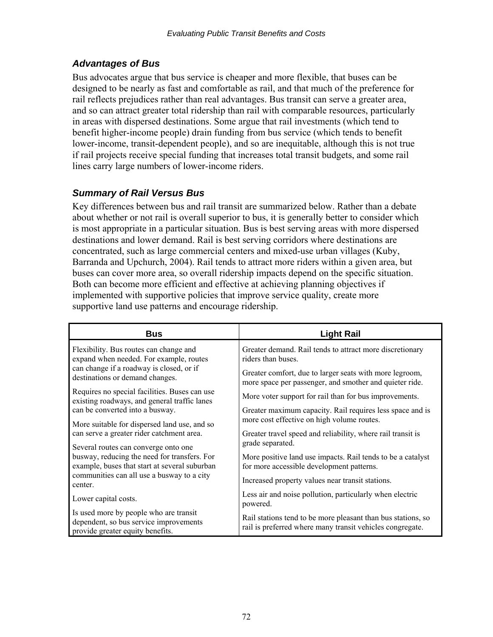### *Advantages of Bus*

Bus advocates argue that bus service is cheaper and more flexible, that buses can be designed to be nearly as fast and comfortable as rail, and that much of the preference for rail reflects prejudices rather than real advantages. Bus transit can serve a greater area, and so can attract greater total ridership than rail with comparable resources, particularly in areas with dispersed destinations. Some argue that rail investments (which tend to benefit higher-income people) drain funding from bus service (which tends to benefit lower-income, transit-dependent people), and so are inequitable, although this is not true if rail projects receive special funding that increases total transit budgets, and some rail lines carry large numbers of lower-income riders.

### *Summary of Rail Versus Bus*

Key differences between bus and rail transit are summarized below. Rather than a debate about whether or not rail is overall superior to bus, it is generally better to consider which is most appropriate in a particular situation. Bus is best serving areas with more dispersed destinations and lower demand. Rail is best serving corridors where destinations are concentrated, such as large commercial centers and mixed-use urban villages (Kuby, Barranda and Upchurch, 2004). Rail tends to attract more riders within a given area, but buses can cover more area, so overall ridership impacts depend on the specific situation. Both can become more efficient and effective at achieving planning objectives if implemented with supportive policies that improve service quality, create more supportive land use patterns and encourage ridership.

| <b>Bus</b>                                                                                                           | <b>Light Rail</b>                                                                                                         |
|----------------------------------------------------------------------------------------------------------------------|---------------------------------------------------------------------------------------------------------------------------|
| Flexibility. Bus routes can change and<br>expand when needed. For example, routes                                    | Greater demand. Rail tends to attract more discretionary<br>riders than buses.                                            |
| can change if a roadway is closed, or if<br>destinations or demand changes.                                          | Greater comfort, due to larger seats with more legroom,<br>more space per passenger, and smother and quieter ride.        |
| Requires no special facilities. Buses can use<br>existing roadways, and general traffic lanes                        | More voter support for rail than for bus improvements.                                                                    |
| can be converted into a busway.                                                                                      | Greater maximum capacity. Rail requires less space and is<br>more cost effective on high volume routes.                   |
| More suitable for dispersed land use, and so<br>can serve a greater rider catchment area.                            | Greater travel speed and reliability, where rail transit is                                                               |
| Several routes can converge onto one                                                                                 | grade separated.                                                                                                          |
| busway, reducing the need for transfers. For<br>example, buses that start at several suburban                        | More positive land use impacts. Rail tends to be a catalyst<br>for more accessible development patterns.                  |
| communities can all use a busway to a city<br>center.                                                                | Increased property values near transit stations.                                                                          |
| Lower capital costs.                                                                                                 | Less air and noise pollution, particularly when electric<br>powered.                                                      |
| Is used more by people who are transit<br>dependent, so bus service improvements<br>provide greater equity benefits. | Rail stations tend to be more pleasant than bus stations, so<br>rail is preferred where many transit vehicles congregate. |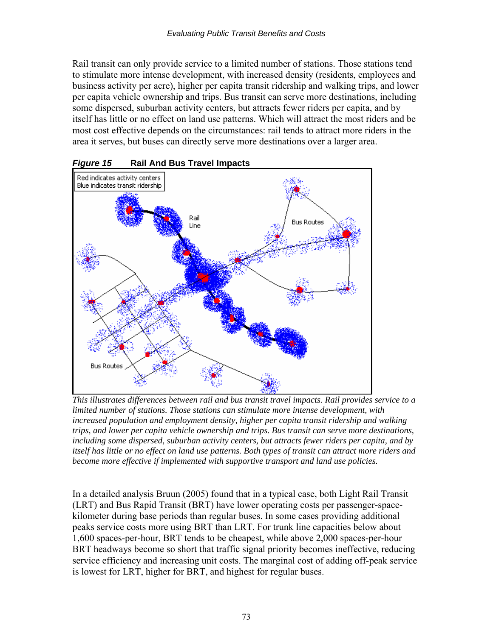Rail transit can only provide service to a limited number of stations. Those stations tend to stimulate more intense development, with increased density (residents, employees and business activity per acre), higher per capita transit ridership and walking trips, and lower per capita vehicle ownership and trips. Bus transit can serve more destinations, including some dispersed, suburban activity centers, but attracts fewer riders per capita, and by itself has little or no effect on land use patterns. Which will attract the most riders and be most cost effective depends on the circumstances: rail tends to attract more riders in the area it serves, but buses can directly serve more destinations over a larger area.



*Figure 15* **Rail And Bus Travel Impacts** 

*This illustrates differences between rail and bus transit travel impacts. Rail provides service to a limited number of stations. Those stations can stimulate more intense development, with increased population and employment density, higher per capita transit ridership and walking trips, and lower per capita vehicle ownership and trips. Bus transit can serve more destinations, including some dispersed, suburban activity centers, but attracts fewer riders per capita, and by itself has little or no effect on land use patterns. Both types of transit can attract more riders and become more effective if implemented with supportive transport and land use policies.* 

In a detailed analysis Bruun (2005) found that in a typical case, both Light Rail Transit (LRT) and Bus Rapid Transit (BRT) have lower operating costs per passenger-spacekilometer during base periods than regular buses. In some cases providing additional peaks service costs more using BRT than LRT. For trunk line capacities below about 1,600 spaces-per-hour, BRT tends to be cheapest, while above 2,000 spaces-per-hour BRT headways become so short that traffic signal priority becomes ineffective, reducing service efficiency and increasing unit costs. The marginal cost of adding off-peak service is lowest for LRT, higher for BRT, and highest for regular buses.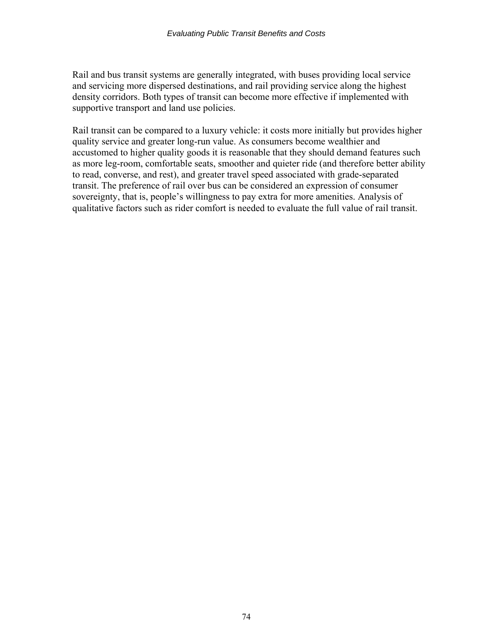Rail and bus transit systems are generally integrated, with buses providing local service and servicing more dispersed destinations, and rail providing service along the highest density corridors. Both types of transit can become more effective if implemented with supportive transport and land use policies.

Rail transit can be compared to a luxury vehicle: it costs more initially but provides higher quality service and greater long-run value. As consumers become wealthier and accustomed to higher quality goods it is reasonable that they should demand features such as more leg-room, comfortable seats, smoother and quieter ride (and therefore better ability to read, converse, and rest), and greater travel speed associated with grade-separated transit. The preference of rail over bus can be considered an expression of consumer sovereignty, that is, people's willingness to pay extra for more amenities. Analysis of qualitative factors such as rider comfort is needed to evaluate the full value of rail transit.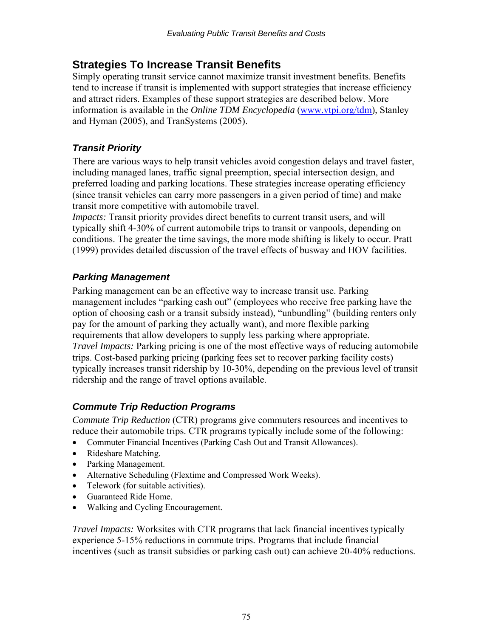## **Strategies To Increase Transit Benefits**

Simply operating transit service cannot maximize transit investment benefits. Benefits tend to increase if transit is implemented with support strategies that increase efficiency and attract riders. Examples of these support strategies are described below. More information is available in the *Online TDM Encyclopedia* [\(www.vtpi.org/tdm\)](http://www.vtpi.org/tdm), Stanley and Hyman (2005), and TranSystems (2005).

## *Transit Priority*

There are various ways to help transit vehicles avoid congestion delays and travel faster, including managed lanes, traffic signal preemption, special intersection design, and preferred loading and parking locations. These strategies increase operating efficiency (since transit vehicles can carry more passengers in a given period of time) and make transit more competitive with automobile travel.

*Impacts:* Transit priority provides direct benefits to current transit users, and will typically shift 4-30% of current automobile trips to transit or vanpools, depending on conditions. The greater the time savings, the more mode shifting is likely to occur. Pratt (1999) provides detailed discussion of the travel effects of busway and HOV facilities.

## *Parking Management*

Parking management can be an effective way to increase transit use. Parking management includes "parking cash out" (employees who receive free parking have the option of choosing cash or a transit subsidy instead), "unbundling" (building renters only pay for the amount of parking they actually want), and more flexible parking requirements that allow developers to supply less parking where appropriate. *Travel Impacts:* Parking pricing is one of the most effective ways of reducing automobile trips. Cost-based parking pricing (parking fees set to recover parking facility costs) typically increases transit ridership by 10-30%, depending on the previous level of transit ridership and the range of travel options available.

## *Commute Trip Reduction Programs*

*Commute Trip Reduction* (CTR) programs give commuters resources and incentives to reduce their automobile trips. CTR programs typically include some of the following:

- Commuter Financial Incentives (Parking Cash Out and Transit Allowances).
- Rideshare Matching.
- Parking Management.
- Alternative Scheduling (Flextime and Compressed Work Weeks).
- Telework (for suitable activities).
- Guaranteed Ride Home.
- Walking and Cycling Encouragement.

*Travel Impacts:* Worksites with CTR programs that lack financial incentives typically experience 5-15% reductions in commute trips. Programs that include financial incentives (such as transit subsidies or parking cash out) can achieve 20-40% reductions.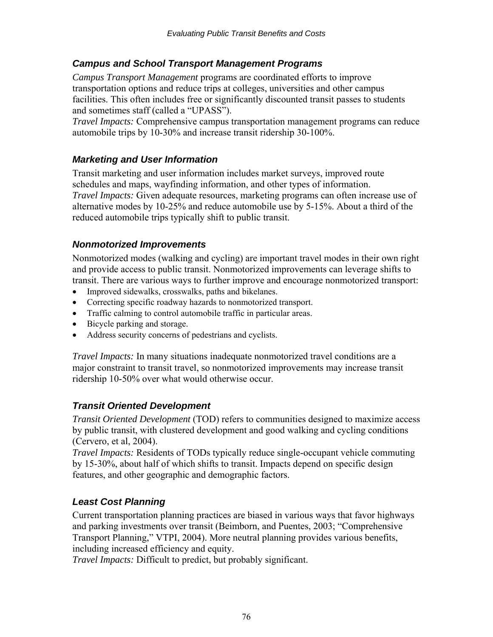#### *Campus and School Transport Management Programs*

*Campus Transport Management* programs are coordinated efforts to improve transportation options and reduce trips at colleges, universities and other campus facilities. This often includes free or significantly discounted transit passes to students and sometimes staff (called a "UPASS").

*Travel Impacts:* Comprehensive campus transportation management programs can reduce automobile trips by 10-30% and increase transit ridership 30-100%.

### *Marketing and User Information*

Transit marketing and user information includes market surveys, improved route schedules and maps, wayfinding information, and other types of information. *Travel Impacts:* Given adequate resources, marketing programs can often increase use of alternative modes by 10-25% and reduce automobile use by 5-15%. About a third of the reduced automobile trips typically shift to public transit.

#### *Nonmotorized Improvements*

Nonmotorized modes (walking and cycling) are important travel modes in their own right and provide access to public transit. Nonmotorized improvements can leverage shifts to transit. There are various ways to further improve and encourage nonmotorized transport:

- Improved sidewalks, crosswalks, paths and bikelanes.
- Correcting specific roadway hazards to nonmotorized transport.
- Traffic calming to control automobile traffic in particular areas.
- Bicycle parking and storage.
- Address security concerns of pedestrians and cyclists.

*Travel Impacts:* In many situations inadequate nonmotorized travel conditions are a major constraint to transit travel, so nonmotorized improvements may increase transit ridership 10-50% over what would otherwise occur.

#### *Transit Oriented Development*

*Transit Oriented Development* (TOD) refers to communities designed to maximize access by public transit, with clustered development and good walking and cycling conditions (Cervero, et al, 2004).

*Travel Impacts:* Residents of TODs typically reduce single-occupant vehicle commuting by 15-30%, about half of which shifts to transit. Impacts depend on specific design features, and other geographic and demographic factors.

## *Least Cost Planning*

Current transportation planning practices are biased in various ways that favor highways and parking investments over transit (Beimborn, and Puentes, 2003; "Comprehensive Transport Planning," VTPI, 2004). More neutral planning provides various benefits, including increased efficiency and equity.

*Travel Impacts:* Difficult to predict, but probably significant.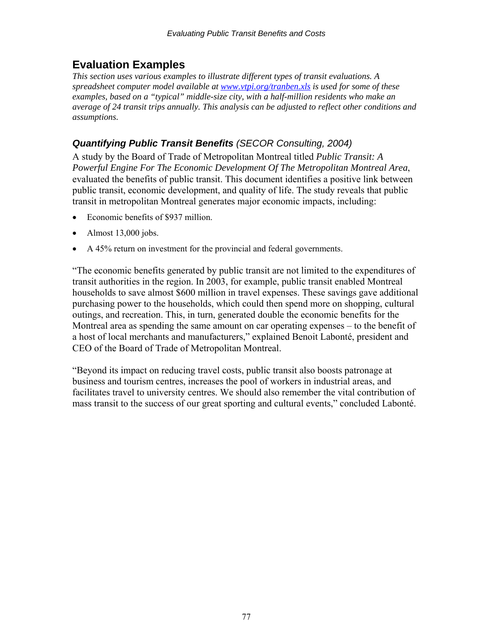## **Evaluation Examples**

*This section uses various examples to illustrate different types of transit evaluations. A spreadsheet computer model available at [www.vtpi.org/tranben.xls](http://www.vtpi.org/tranben.xls) is used for some of these examples, based on a "typical" middle-size city, with a half-million residents who make an average of 24 transit trips annually. This analysis can be adjusted to reflect other conditions and assumptions.* 

### *Quantifying Public Transit Benefits (SECOR Consulting, 2004)*

A study by the Board of Trade of Metropolitan Montreal titled *Public Transit: A Powerful Engine For The Economic Development Of The Metropolitan Montreal Area*, evaluated the benefits of public transit. This document identifies a positive link between public transit, economic development, and quality of life. The study reveals that public transit in metropolitan Montreal generates major economic impacts, including:

- Economic benefits of \$937 million.
- Almost 13,000 jobs.
- A 45% return on investment for the provincial and federal governments.

"The economic benefits generated by public transit are not limited to the expenditures of transit authorities in the region. In 2003, for example, public transit enabled Montreal households to save almost \$600 million in travel expenses. These savings gave additional purchasing power to the households, which could then spend more on shopping, cultural outings, and recreation. This, in turn, generated double the economic benefits for the Montreal area as spending the same amount on car operating expenses – to the benefit of a host of local merchants and manufacturers," explained Benoit Labonté, president and CEO of the Board of Trade of Metropolitan Montreal.

"Beyond its impact on reducing travel costs, public transit also boosts patronage at business and tourism centres, increases the pool of workers in industrial areas, and facilitates travel to university centres. We should also remember the vital contribution of mass transit to the success of our great sporting and cultural events," concluded Labonté.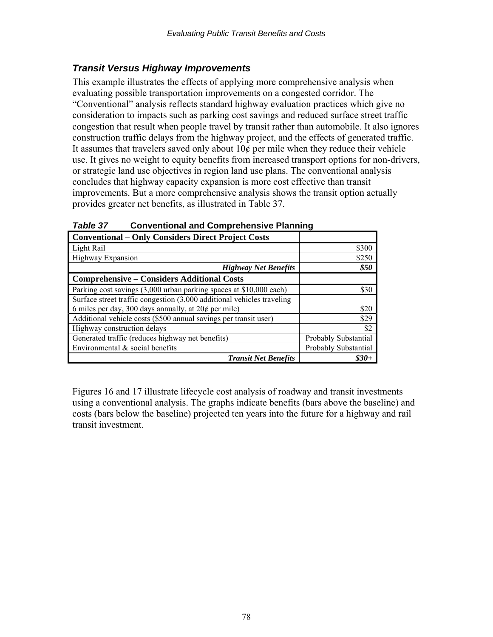#### *Transit Versus Highway Improvements*

This example illustrates the effects of applying more comprehensive analysis when evaluating possible transportation improvements on a congested corridor. The "Conventional" analysis reflects standard highway evaluation practices which give no consideration to impacts such as parking cost savings and reduced surface street traffic congestion that result when people travel by transit rather than automobile. It also ignores construction traffic delays from the highway project, and the effects of generated traffic. It assumes that travelers saved only about  $10¢$  per mile when they reduce their vehicle use. It gives no weight to equity benefits from increased transport options for non-drivers, or strategic land use objectives in region land use plans. The conventional analysis concludes that highway capacity expansion is more cost effective than transit improvements. But a more comprehensive analysis shows the transit option actually provides greater net benefits, as illustrated in Table 37.

| <b>Conventional – Only Considers Direct Project Costs</b>              |                      |
|------------------------------------------------------------------------|----------------------|
|                                                                        |                      |
| Light Rail                                                             | \$300                |
| Highway Expansion                                                      | \$250                |
| <b>Highway Net Benefits</b>                                            | \$50                 |
| <b>Comprehensive – Considers Additional Costs</b>                      |                      |
| Parking cost savings (3,000 urban parking spaces at \$10,000 each)     | \$30                 |
| Surface street traffic congestion (3,000 additional vehicles traveling |                      |
| 6 miles per day, 300 days annually, at $20¢$ per mile)                 | \$20                 |
| Additional vehicle costs (\$500 annual savings per transit user)       | \$29                 |
| Highway construction delays                                            | \$2                  |
| Generated traffic (reduces highway net benefits)                       | Probably Substantial |
| Environmental $\&$ social benefits                                     | Probably Substantial |
| <b>Transit Net Benefits</b>                                            | \$30+                |

*Table 37* **Conventional and Comprehensive Planning** 

Figures 16 and 17 illustrate lifecycle cost analysis of roadway and transit investments using a conventional analysis. The graphs indicate benefits (bars above the baseline) and costs (bars below the baseline) projected ten years into the future for a highway and rail transit investment.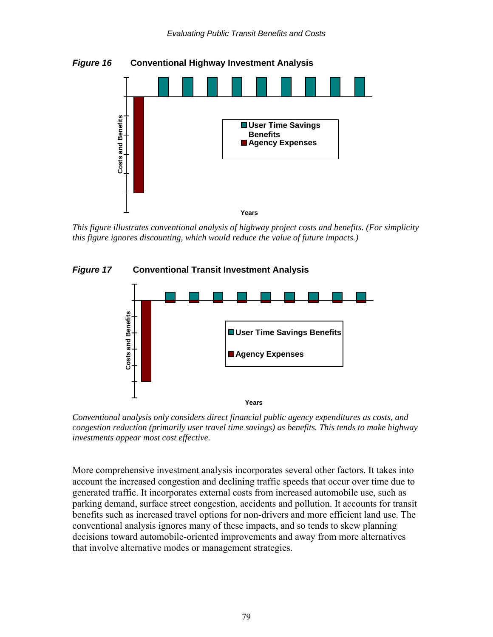

 *This figure illustrates conventional analysis of highway project costs and benefits. (For simplicity this figure ignores discounting, which would reduce the value of future impacts.)* 





*Conventional analysis only considers direct financial public agency expenditures as costs, and congestion reduction (primarily user travel time savings) as benefits. This tends to make highway investments appear most cost effective.* 

More comprehensive investment analysis incorporates several other factors. It takes into account the increased congestion and declining traffic speeds that occur over time due to generated traffic. It incorporates external costs from increased automobile use, such as parking demand, surface street congestion, accidents and pollution. It accounts for transit benefits such as increased travel options for non-drivers and more efficient land use. The conventional analysis ignores many of these impacts, and so tends to skew planning decisions toward automobile-oriented improvements and away from more alternatives that involve alternative modes or management strategies.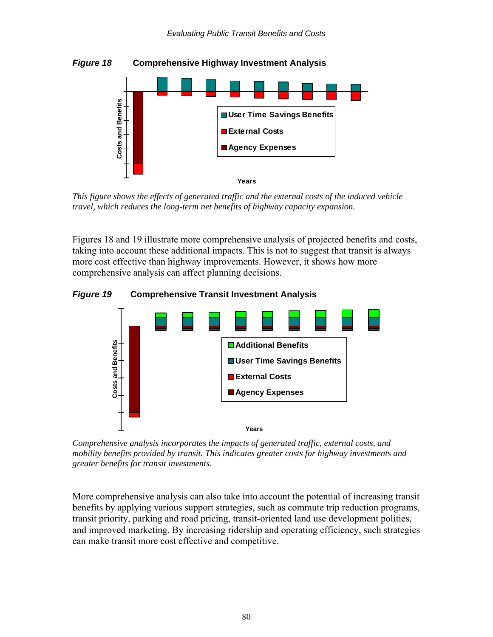

 *This figure shows the effects of generated traffic and the external costs of the induced vehicle travel, which reduces the long-term net benefits of highway capacity expansion.* 

Figures 18 and 19 illustrate more comprehensive analysis of projected benefits and costs, taking into account these additional impacts. This is not to suggest that transit is always more cost effective than highway improvements. However, it shows how more comprehensive analysis can affect planning decisions.





*Comprehensive analysis incorporates the impacts of generated traffic, external costs, and mobility benefits provided by transit. This indicates greater costs for highway investments and greater benefits for transit investments.* 

More comprehensive analysis can also take into account the potential of increasing transit benefits by applying various support strategies, such as commute trip reduction programs, transit priority, parking and road pricing, transit-oriented land use development polities, and improved marketing. By increasing ridership and operating efficiency, such strategies can make transit more cost effective and competitive.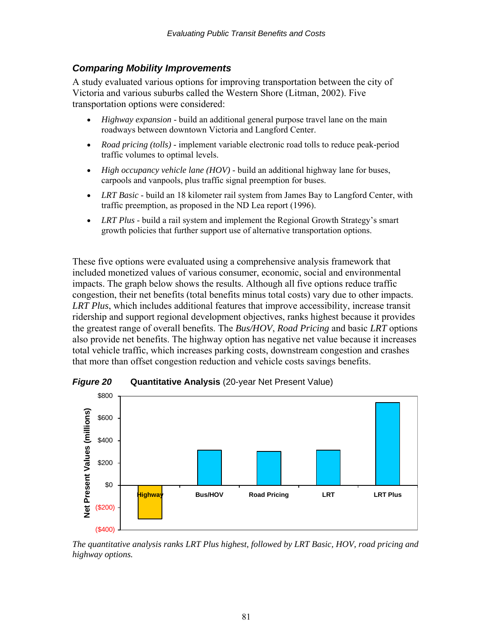#### *Comparing Mobility Improvements*

A study evaluated various options for improving transportation between the city of Victoria and various suburbs called the Western Shore (Litman, 2002). Five transportation options were considered:

- *Highway expansion* build an additional general purpose travel lane on the main roadways between downtown Victoria and Langford Center.
- *Road pricing (tolls)* implement variable electronic road tolls to reduce peak-period traffic volumes to optimal levels.
- *High occupancy vehicle lane (HOV)* build an additional highway lane for buses, carpools and vanpools, plus traffic signal preemption for buses.
- *LRT Basic* build an 18 kilometer rail system from James Bay to Langford Center, with traffic preemption, as proposed in the ND Lea report (1996).
- *LRT Plus* build a rail system and implement the Regional Growth Strategy's smart growth policies that further support use of alternative transportation options.

These five options were evaluated using a comprehensive analysis framework that included monetized values of various consumer, economic, social and environmental impacts. The graph below shows the results. Although all five options reduce traffic congestion, their net benefits (total benefits minus total costs) vary due to other impacts. *LRT Plus*, which includes additional features that improve accessibility, increase transit ridership and support regional development objectives, ranks highest because it provides the greatest range of overall benefits. The *Bus/HOV*, *Road Pricing* and basic *LRT* options also provide net benefits. The highway option has negative net value because it increases total vehicle traffic, which increases parking costs, downstream congestion and crashes that more than offset congestion reduction and vehicle costs savings benefits.



*Figure 20* **Quantitative Analysis** (20-year Net Present Value)

*The quantitative analysis ranks LRT Plus highest, followed by LRT Basic, HOV, road pricing and highway options.*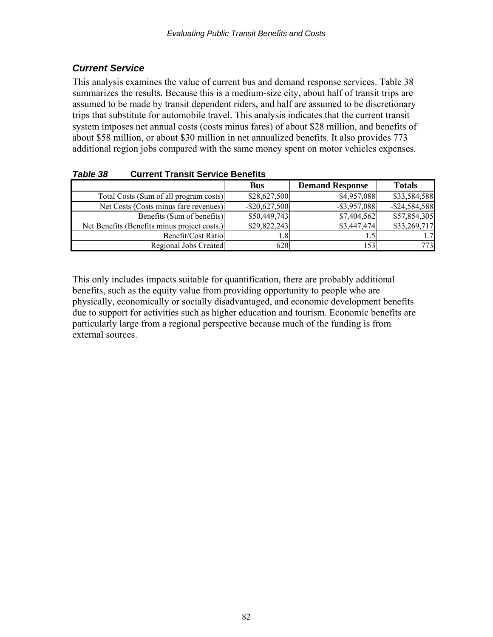## *Current Service*

This analysis examines the value of current bus and demand response services. Table 38 summarizes the results. Because this is a medium-size city, about half of transit trips are assumed to be made by transit dependent riders, and half are assumed to be discretionary trips that substitute for automobile travel. This analysis indicates that the current transit system imposes net annual costs (costs minus fares) of about \$28 million, and benefits of about \$58 million, or about \$30 million in net annualized benefits. It also provides 773 additional region jobs compared with the same money spent on motor vehicles expenses.

|                                              | <b>Bus</b>       | <b>Demand Response</b> | <b>Totals</b>    |
|----------------------------------------------|------------------|------------------------|------------------|
| Total Costs (Sum of all program costs)       | \$28,627,500     | \$4,957,088            | \$33,584,588     |
| Net Costs (Costs minus fare revenues)        | $-$ \$20,627,500 | $-$ \$3,957,088        | $-$ \$24,584,588 |
| Benefits (Sum of benefits)                   | \$50,449,743     | \$7,404,562            | \$57,854,305     |
| Net Benefits (Benefits minus project costs.) | \$29,822,243     | \$3,447,474            | \$33,269,717     |
| Benefit/Cost Ratio                           | ا 8 ت            |                        | 1.7              |
| <b>Regional Jobs Created</b>                 | 6201             | 53                     | 773              |

*Table 38* **Current Transit Service Benefits** 

This only includes impacts suitable for quantification, there are probably additional benefits, such as the equity value from providing opportunity to people who are physically, economically or socially disadvantaged, and economic development benefits due to support for activities such as higher education and tourism. Economic benefits are particularly large from a regional perspective because much of the funding is from external sources.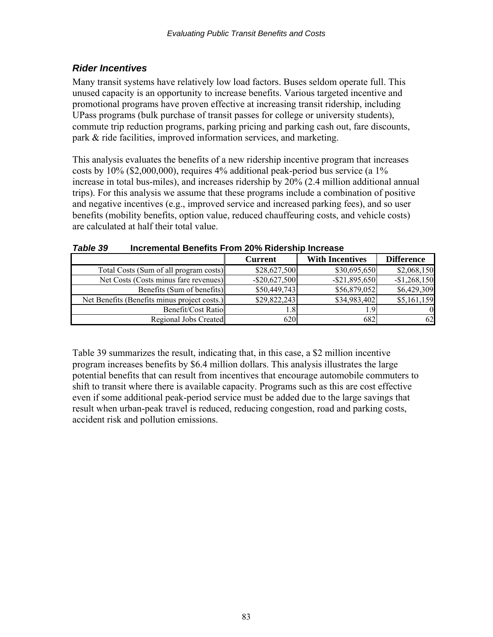## *Rider Incentives*

Many transit systems have relatively low load factors. Buses seldom operate full. This unused capacity is an opportunity to increase benefits. Various targeted incentive and promotional programs have proven effective at increasing transit ridership, including UPass programs (bulk purchase of transit passes for college or university students), commute trip reduction programs, parking pricing and parking cash out, fare discounts, park & ride facilities, improved information services, and marketing.

This analysis evaluates the benefits of a new ridership incentive program that increases costs by 10% (\$2,000,000), requires 4% additional peak-period bus service (a 1% increase in total bus-miles), and increases ridership by 20% (2.4 million additional annual trips). For this analysis we assume that these programs include a combination of positive and negative incentives (e.g., improved service and increased parking fees), and so user benefits (mobility benefits, option value, reduced chauffeuring costs, and vehicle costs) are calculated at half their total value.

|                                              | <b>Current</b>   | <b>With Incentives</b> | <b>Difference</b> |
|----------------------------------------------|------------------|------------------------|-------------------|
| Total Costs (Sum of all program costs)       | \$28,627,500     | \$30,695,650           | \$2,068,150       |
| Net Costs (Costs minus fare revenues)        | $-$ \$20,627,500 | $-$ \$21,895,650       | $-$1,268,150$     |
| Benefits (Sum of benefits)                   | \$50,449,743     | \$56,879,052           | \$6,429,309       |
| Net Benefits (Benefits minus project costs.) | \$29,822,243     | \$34,983,402           | \$5,161,159       |
| Benefit/Cost Ratio                           | $.8\,$           | , 9                    | $\Omega$          |
| Regional Jobs Created                        | 620              | 682                    | 62                |

#### *Table 39* **Incremental Benefits From 20% Ridership Increase**

Table 39 summarizes the result, indicating that, in this case, a \$2 million incentive program increases benefits by \$6.4 million dollars. This analysis illustrates the large potential benefits that can result from incentives that encourage automobile commuters to shift to transit where there is available capacity. Programs such as this are cost effective even if some additional peak-period service must be added due to the large savings that result when urban-peak travel is reduced, reducing congestion, road and parking costs, accident risk and pollution emissions.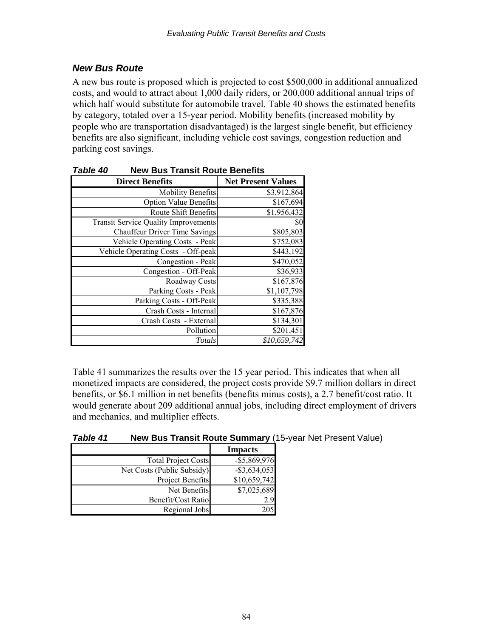### *New Bus Route*

A new bus route is proposed which is projected to cost \$500,000 in additional annualized costs, and would to attract about 1,000 daily riders, or 200,000 additional annual trips of which half would substitute for automobile travel. Table 40 shows the estimated benefits by category, totaled over a 15-year period. Mobility benefits (increased mobility by people who are transportation disadvantaged) is the largest single benefit, but efficiency benefits are also significant, including vehicle cost savings, congestion reduction and parking cost savings.

| יד טושטו<br>בוסיוסים בומחסת הסמנט בסופח     |                           |  |
|---------------------------------------------|---------------------------|--|
| <b>Direct Benefits</b>                      | <b>Net Present Values</b> |  |
| <b>Mobility Benefits</b>                    | \$3,912,864               |  |
| <b>Option Value Benefits</b>                | \$167,694                 |  |
| Route Shift Benefits                        | \$1,956,432               |  |
| <b>Transit Service Quality Improvements</b> | \$0                       |  |
| <b>Chauffeur Driver Time Savings</b>        | \$805,803                 |  |
| Vehicle Operating Costs - Peak              | \$752,083                 |  |
| Vehicle Operating Costs - Off-peak          | \$443,192                 |  |
| Congestion - Peak                           | \$470,052                 |  |
| Congestion - Off-Peak                       | \$36,933                  |  |
| Roadway Costs                               | \$167,876                 |  |
| Parking Costs - Peak                        | \$1,107,798               |  |
| Parking Costs - Off-Peak                    | \$335,388                 |  |
| Crash Costs - Internal                      | \$167,876                 |  |
| Crash Costs - External                      | \$134,301                 |  |
| Pollution                                   | \$201,451                 |  |
| Totals                                      | \$10,659,742              |  |

| <b>Table 40</b> | <b>New Bus Transit Route Benefits</b> |
|-----------------|---------------------------------------|
|-----------------|---------------------------------------|

Table 41 summarizes the results over the 15 year period. This indicates that when all monetized impacts are considered, the project costs provide \$9.7 million dollars in direct benefits, or \$6.1 million in net benefits (benefits minus costs), a 2.7 benefit/cost ratio. It would generate about 209 additional annual jobs, including direct employment of drivers and mechanics, and multiplier effects.

| Table 41 | New Bus Transit Route Summary (15-year Net Present Value) |
|----------|-----------------------------------------------------------|
|          |                                                           |

|                            | <b>Impacts</b>  |
|----------------------------|-----------------|
| <b>Total Project Costs</b> | $-$ \$5,869,976 |
| Net Costs (Public Subsidy) | $-$ \$3,634,053 |
| Project Benefits           | \$10,659,742    |
| Net Benefits               | \$7,025,689     |
| Benefit/Cost Ratio         | 2.9             |
| Regional Jobs              | 205             |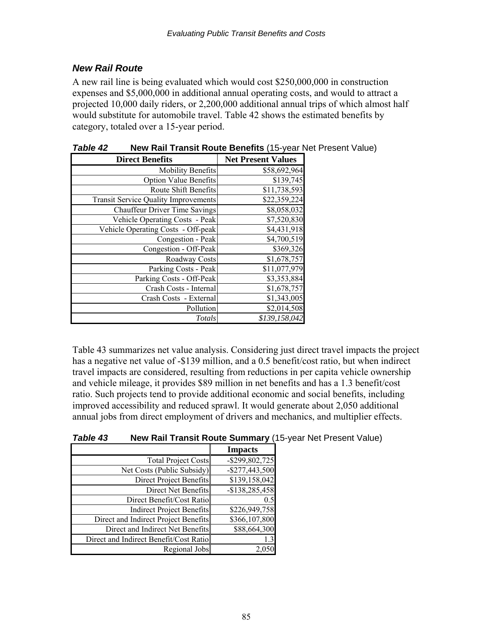### *New Rail Route*

A new rail line is being evaluated which would cost \$250,000,000 in construction expenses and \$5,000,000 in additional annual operating costs, and would to attract a projected 10,000 daily riders, or 2,200,000 additional annual trips of which almost half would substitute for automobile travel. Table 42 shows the estimated benefits by category, totaled over a 15-year period.

| <b>Direct Benefits</b>                      | <b>Net Present Values</b> |
|---------------------------------------------|---------------------------|
| <b>Mobility Benefits</b>                    | \$58,692,964              |
| <b>Option Value Benefits</b>                | \$139,745                 |
| Route Shift Benefits                        | \$11,738,593              |
| <b>Transit Service Quality Improvements</b> | $\overline{$}22,359,224$  |
| <b>Chauffeur Driver Time Savings</b>        | $\overline{$8,058,032}$   |
| Vehicle Operating Costs - Peak              | \$7,520,830               |
| Vehicle Operating Costs - Off-peak          | \$4,431,918               |
| Congestion - Peak                           | \$4,700,519               |
| Congestion - Off-Peak                       | \$369,326                 |
| Roadway Costs                               | \$1,678,757               |
| Parking Costs - Peak                        | \$11,077,979              |
| Parking Costs - Off-Peak                    | \$3,353,884               |
| Crash Costs - Internal                      | \$1,678,757               |
| Crash Costs - External                      | \$1,343,005               |
| Pollution                                   | \$2,014,508               |
| Totals                                      | \$139,158,042             |

*Table 42* **New Rail Transit Route Benefits** (15-year Net Present Value)

Table 43 summarizes net value analysis. Considering just direct travel impacts the project has a negative net value of -\$139 million, and a 0.5 benefit/cost ratio, but when indirect travel impacts are considered, resulting from reductions in per capita vehicle ownership and vehicle mileage, it provides \$89 million in net benefits and has a 1.3 benefit/cost ratio. Such projects tend to provide additional economic and social benefits, including improved accessibility and reduced sprawl. It would generate about 2,050 additional annual jobs from direct employment of drivers and mechanics, and multiplier effects.

| <b>Table 43</b> | <b>New Rail Transit Route Summary (15-year Net Present Value)</b> |
|-----------------|-------------------------------------------------------------------|
|                 |                                                                   |

|                                        | <b>Impacts</b>            |
|----------------------------------------|---------------------------|
| <b>Total Project Costs</b>             | $-$ \$299,802,725         |
| Net Costs (Public Subsidy)             | $-$ \$277,443,500         |
| Direct Project Benefits                | $\overline{$}139,158,042$ |
| Direct Net Benefits                    | $-$138,285,458$           |
| Direct Benefit/Cost Ratio              | 0.5                       |
| <b>Indirect Project Benefits</b>       | \$226,949,758             |
| Direct and Indirect Project Benefits   | \$366,107,800             |
| Direct and Indirect Net Benefits       | \$88,664,300              |
| Direct and Indirect Benefit/Cost Ratio | 1.3                       |
| Regional Jobs                          |                           |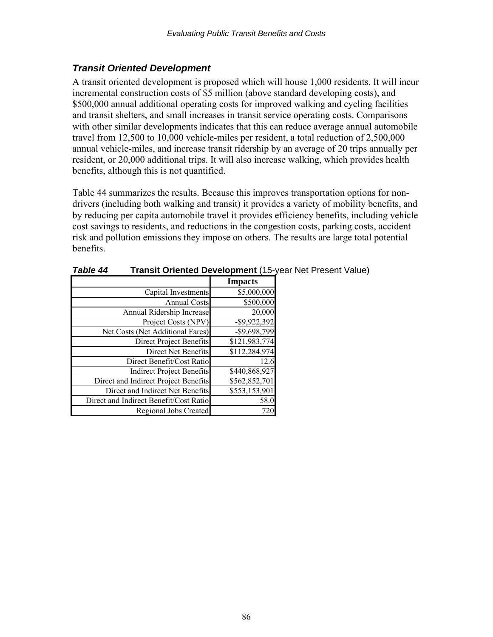### *Transit Oriented Development*

A transit oriented development is proposed which will house 1,000 residents. It will incur incremental construction costs of \$5 million (above standard developing costs), and \$500,000 annual additional operating costs for improved walking and cycling facilities and transit shelters, and small increases in transit service operating costs. Comparisons with other similar developments indicates that this can reduce average annual automobile travel from 12,500 to 10,000 vehicle-miles per resident, a total reduction of 2,500,000 annual vehicle-miles, and increase transit ridership by an average of 20 trips annually per resident, or 20,000 additional trips. It will also increase walking, which provides health benefits, although this is not quantified.

Table 44 summarizes the results. Because this improves transportation options for nondrivers (including both walking and transit) it provides a variety of mobility benefits, and by reducing per capita automobile travel it provides efficiency benefits, including vehicle cost savings to residents, and reductions in the congestion costs, parking costs, accident risk and pollution emissions they impose on others. The results are large total potential benefits.

|                                        | <b>Impacts</b>  |
|----------------------------------------|-----------------|
| Capital Investments                    | \$5,000,000     |
| <b>Annual Costs</b>                    | \$500,000       |
| Annual Ridership Increase              | 20,000          |
| Project Costs (NPV)                    | $-$ \$9,922,392 |
| Net Costs (Net Additional Fares)       | $-$ \$9,698,799 |
| Direct Project Benefits                | \$121,983,774   |
| Direct Net Benefits                    | \$112,284,974   |
| Direct Benefit/Cost Ratio              | 12.6            |
| <b>Indirect Project Benefits</b>       | \$440,868,927   |
| Direct and Indirect Project Benefits   | \$562,852,701   |
| Direct and Indirect Net Benefits       | \$553,153,901   |
| Direct and Indirect Benefit/Cost Ratio | 58.0            |
| <b>Regional Jobs Created</b>           |                 |

*Table 44* **Transit Oriented Development** (15-year Net Present Value)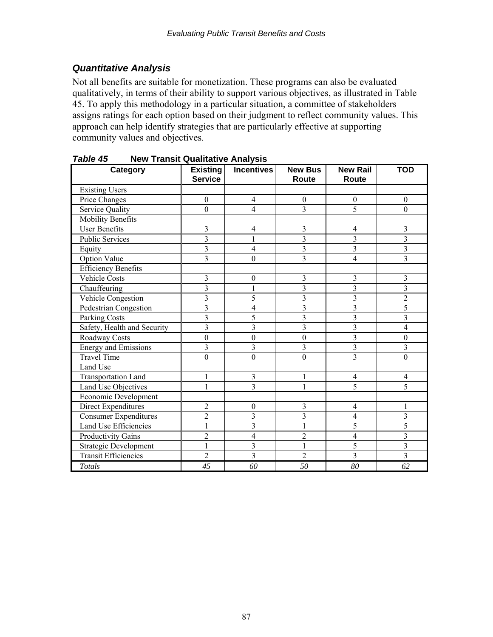#### *Quantitative Analysis*

Not all benefits are suitable for monetization. These programs can also be evaluated qualitatively, in terms of their ability to support various objectives, as illustrated in Table 45. To apply this methodology in a particular situation, a committee of stakeholders assigns ratings for each option based on their judgment to reflect community values. This approach can help identify strategies that are particularly effective at supporting community values and objectives.

| Category                    | <b>Existing</b><br><b>Service</b> | <b>Incentives</b> | <b>New Bus</b><br>Route | <b>New Rail</b><br>Route | <b>TOD</b>               |
|-----------------------------|-----------------------------------|-------------------|-------------------------|--------------------------|--------------------------|
| <b>Existing Users</b>       |                                   |                   |                         |                          |                          |
| Price Changes               | $\boldsymbol{0}$                  | $\overline{4}$    | $\boldsymbol{0}$        | $\overline{0}$           | $\boldsymbol{0}$         |
| Service Quality             | $\mathbf{0}$                      | 4                 | $\overline{3}$          | 5                        | $\theta$                 |
| <b>Mobility Benefits</b>    |                                   |                   |                         |                          |                          |
| <b>User Benefits</b>        | 3                                 | 4                 | 3                       | $\overline{4}$           | 3                        |
| <b>Public Services</b>      | $\overline{3}$                    | $\overline{1}$    | $\overline{3}$          | $\overline{3}$           | $\overline{3}$           |
| Equity                      | $\overline{3}$                    | 4                 | $\overline{\mathbf{3}}$ | 3                        | $\overline{\mathbf{3}}$  |
| <b>Option Value</b>         | 3                                 | $\boldsymbol{0}$  | $\overline{3}$          | 4                        | $\overline{3}$           |
| <b>Efficiency Benefits</b>  |                                   |                   |                         |                          |                          |
| <b>Vehicle Costs</b>        | 3                                 | $\boldsymbol{0}$  | 3                       | 3                        | 3                        |
| Chauffeuring                | $\overline{3}$                    | 1                 | $\overline{3}$          | $\overline{3}$           | $\overline{\mathbf{3}}$  |
| Vehicle Congestion          | 3                                 | 5                 | $\overline{3}$          | $\overline{3}$           | $\overline{2}$           |
| Pedestrian Congestion       | $\overline{\mathbf{3}}$           | 4                 | $\overline{\mathbf{3}}$ | $\overline{\mathbf{3}}$  | 5                        |
| Parking Costs               | $\overline{\mathbf{3}}$           | 5                 | $\overline{3}$          | 3                        | $\overline{\mathbf{3}}$  |
| Safety, Health and Security | $\overline{3}$                    | 3                 | $\overline{3}$          | $\overline{\mathbf{3}}$  | $\overline{4}$           |
| Roadway Costs               | $\boldsymbol{0}$                  | $\boldsymbol{0}$  | $\boldsymbol{0}$        | $\overline{3}$           | $\boldsymbol{0}$         |
| <b>Energy and Emissions</b> | $\overline{3}$                    | $\overline{3}$    | $\overline{3}$          | $\overline{3}$           | $\overline{3}$           |
| <b>Travel Time</b>          | $\mathbf{0}$                      | $\mathbf{0}$      | $\overline{0}$          | $\overline{3}$           | $\mathbf{0}$             |
| Land Use                    |                                   |                   |                         |                          |                          |
| <b>Transportation Land</b>  | 1                                 | $\overline{3}$    | 1                       | $\overline{4}$           | $\overline{\mathcal{A}}$ |
| Land Use Objectives         | $\mathbf{1}$                      | $\overline{3}$    | $\mathbf{1}$            | 5                        | 5                        |
| Economic Development        |                                   |                   |                         |                          |                          |
| Direct Expenditures         | $\overline{2}$                    | $\boldsymbol{0}$  | 3                       | 4                        | 1                        |
| Consumer Expenditures       | $\overline{2}$                    | 3                 | $\overline{3}$          | $\overline{4}$           | $\overline{\mathbf{3}}$  |
| Land Use Efficiencies       | $\mathbf{1}$                      | $\overline{3}$    | 1                       | 5                        | 5                        |
| Productivity Gains          | $\overline{2}$                    | $\overline{4}$    | $\overline{2}$          | $\overline{4}$           | $\overline{\mathbf{3}}$  |
| Strategic Development       | $\mathbf{1}$                      | $\overline{3}$    | 1                       | 5                        | $\overline{3}$           |
| Transit Efficiencies        | $\overline{2}$                    | $\overline{3}$    | $\overline{2}$          | $\overline{3}$           | $\overline{3}$           |
| Totals                      | 45                                | 60                | 50                      | 80                       | 62                       |

*Table 45* **New Transit Qualitative Analysis**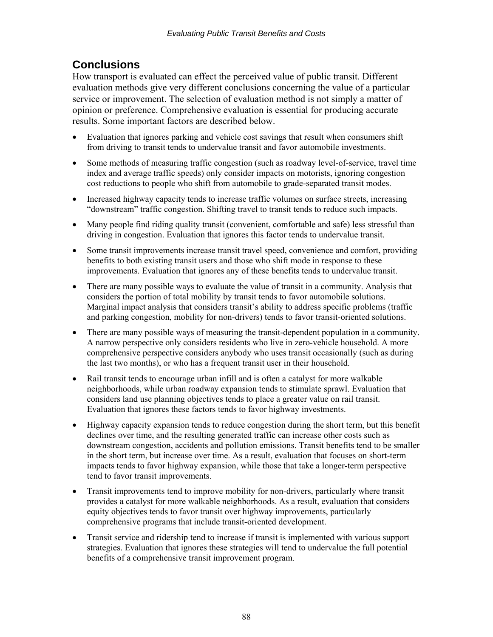# **Conclusions**

How transport is evaluated can effect the perceived value of public transit. Different evaluation methods give very different conclusions concerning the value of a particular service or improvement. The selection of evaluation method is not simply a matter of opinion or preference. Comprehensive evaluation is essential for producing accurate results. Some important factors are described below.

- Evaluation that ignores parking and vehicle cost savings that result when consumers shift from driving to transit tends to undervalue transit and favor automobile investments.
- Some methods of measuring traffic congestion (such as roadway level-of-service, travel time index and average traffic speeds) only consider impacts on motorists, ignoring congestion cost reductions to people who shift from automobile to grade-separated transit modes.
- Increased highway capacity tends to increase traffic volumes on surface streets, increasing "downstream" traffic congestion. Shifting travel to transit tends to reduce such impacts.
- Many people find riding quality transit (convenient, comfortable and safe) less stressful than driving in congestion. Evaluation that ignores this factor tends to undervalue transit.
- Some transit improvements increase transit travel speed, convenience and comfort, providing benefits to both existing transit users and those who shift mode in response to these improvements. Evaluation that ignores any of these benefits tends to undervalue transit.
- There are many possible ways to evaluate the value of transit in a community. Analysis that considers the portion of total mobility by transit tends to favor automobile solutions. Marginal impact analysis that considers transit's ability to address specific problems (traffic and parking congestion, mobility for non-drivers) tends to favor transit-oriented solutions.
- There are many possible ways of measuring the transit-dependent population in a community. A narrow perspective only considers residents who live in zero-vehicle household. A more comprehensive perspective considers anybody who uses transit occasionally (such as during the last two months), or who has a frequent transit user in their household.
- Rail transit tends to encourage urban infill and is often a catalyst for more walkable neighborhoods, while urban roadway expansion tends to stimulate sprawl. Evaluation that considers land use planning objectives tends to place a greater value on rail transit. Evaluation that ignores these factors tends to favor highway investments.
- Highway capacity expansion tends to reduce congestion during the short term, but this benefit declines over time, and the resulting generated traffic can increase other costs such as downstream congestion, accidents and pollution emissions. Transit benefits tend to be smaller in the short term, but increase over time. As a result, evaluation that focuses on short-term impacts tends to favor highway expansion, while those that take a longer-term perspective tend to favor transit improvements.
- Transit improvements tend to improve mobility for non-drivers, particularly where transit provides a catalyst for more walkable neighborhoods. As a result, evaluation that considers equity objectives tends to favor transit over highway improvements, particularly comprehensive programs that include transit-oriented development.
- Transit service and ridership tend to increase if transit is implemented with various support strategies. Evaluation that ignores these strategies will tend to undervalue the full potential benefits of a comprehensive transit improvement program.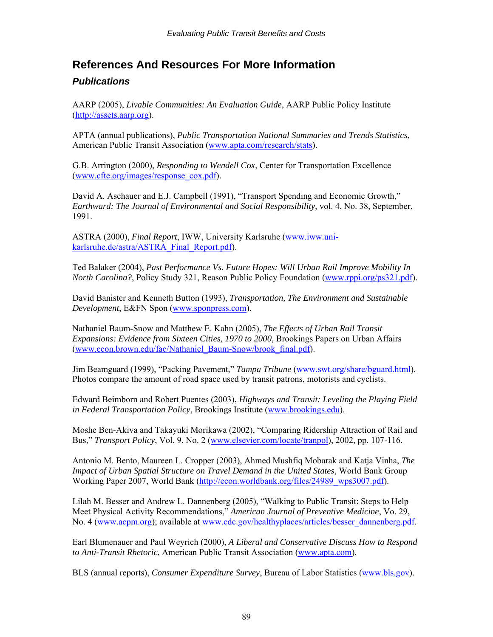## **References And Resources For More Information**

#### *Publications*

AARP (2005), *Livable Communities: An Evaluation Guide*, AARP Public Policy Institute ([http://assets.aarp.org\)](http://assets.aarp.org/).

APTA (annual publications), *Public Transportation National Summaries and Trends Statistics*, American Public Transit Association [\(www.apta.com/research/stats](http://www.apta.com/research/stats)).

G.B. Arrington (2000), *Responding to Wendell Cox*, Center for Transportation Excellence ([www.cfte.org/images/response\\_cox.pdf\)](http://www.cfte.org/images/response_cox.pdf).

David A. Aschauer and E.J. Campbell (1991), "Transport Spending and Economic Growth," *Earthward: The Journal of Environmental and Social Responsibility*, vol. 4, No. 38, September, 1991.

ASTRA (2000), *Final Report*, IWW, University Karlsruhe ([www.iww.uni](http://www.iww.uni-karlsruhe.de/astra/ASTRA_Final_Report.pdf)[karlsruhe.de/astra/ASTRA\\_Final\\_Report.pdf\)](http://www.iww.uni-karlsruhe.de/astra/ASTRA_Final_Report.pdf).

Ted Balaker (2004), *Past Performance Vs. Future Hopes: Will Urban Rail Improve Mobility In North Carolina?*, Policy Study 321, Reason Public Policy Foundation ([www.rppi.org/ps321.pdf](http://www.rppi.org/ps321.pdf)).

David Banister and Kenneth Button (1993), *Transportation, The Environment and Sustainable Development*, E&FN Spon ([www.sponpress.com](http://www.sponpress.com/)).

Nathaniel Baum-Snow and Matthew E. Kahn (2005), *The Effects of Urban Rail Transit Expansions: Evidence from Sixteen Cities, 1970 to 2000*, Brookings Papers on Urban Affairs ([www.econ.brown.edu/fac/Nathaniel\\_Baum-Snow/brook\\_final.pdf](http://www.econ.brown.edu/fac/Nathaniel_Baum-Snow/brook_final.pdf)).

Jim Beamguard (1999), "Packing Pavement," *Tampa Tribune* [\(www.swt.org/share/bguard.html](http://www.swt.org/share/bguard.html)). Photos compare the amount of road space used by transit patrons, motorists and cyclists.

Edward Beimborn and Robert Puentes (2003), *Highways and Transit: Leveling the Playing Field in Federal Transportation Policy*, Brookings Institute ([www.brookings.edu](http://www.brookings.edu/)).

Moshe Ben-Akiva and Takayuki Morikawa (2002), "Comparing Ridership Attraction of Rail and Bus," *Transport Policy*, Vol. 9. No. 2 ([www.elsevier.com/locate/tranpol\)](http://www.elsevier.com/locate/tranpol), 2002, pp. 107-116.

Antonio M. Bento, Maureen L. Cropper (2003), Ahmed Mushfiq Mobarak and Katja Vinha, *The Impact of Urban Spatial Structure on Travel Demand in the United States*, World Bank Group Working Paper 2007, World Bank ([http://econ.worldbank.org/files/24989\\_wps3007.pdf\)](http://econ.worldbank.org/files/24989_wps3007.pdf).

Lilah M. Besser and Andrew L. Dannenberg (2005), "Walking to Public Transit: Steps to Help Meet Physical Activity Recommendations," *American Journal of Preventive Medicine*, Vo. 29, No. 4 ([www.acpm.org\)](http://www.acpm.org/); available at [www.cdc.gov/healthyplaces/articles/besser\\_dannenberg.pdf.](http://www.cdc.gov/healthyplaces/articles/besser_dannenberg.pdf)

Earl Blumenauer and Paul Weyrich (2000), *A Liberal and Conservative Discuss How to Respond to Anti-Transit Rhetoric*, American Public Transit Association [\(www.apta.com\)](http://www.apta.com/).

BLS (annual reports), *Consumer Expenditure Survey*, Bureau of Labor Statistics ([www.bls.gov\)](http://www.bls.gov/).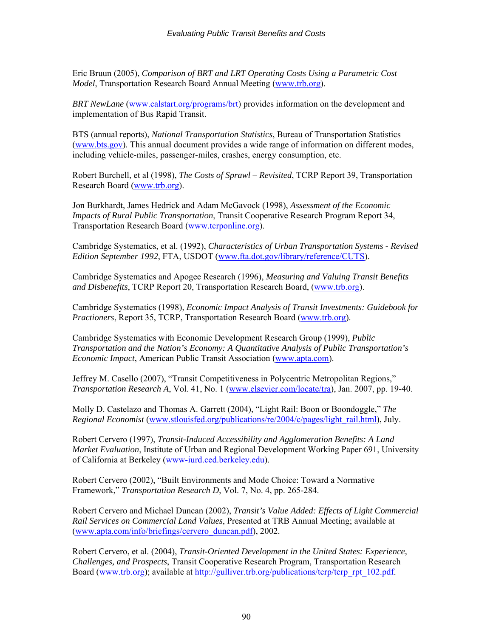Eric Bruun (2005), *Comparison of BRT and LRT Operating Costs Using a Parametric Cost Model*, Transportation Research Board Annual Meeting [\(www.trb.org](http://www.trb.org/)).

*BRT NewLane* [\(www.calstart.org/programs/brt\)](http://www.calstart.org/programs/brt) provides information on the development and implementation of Bus Rapid Transit.

BTS (annual reports), *National Transportation Statistics*, Bureau of Transportation Statistics ([www.bts.gov](http://www.bts.gov/)). This annual document provides a wide range of information on different modes, including vehicle-miles, passenger-miles, crashes, energy consumption, etc.

Robert Burchell, et al (1998), *The Costs of Sprawl – Revisited*, TCRP Report 39, Transportation Research Board [\(www.trb.org\)](http://www.trb.org/).

Jon Burkhardt, James Hedrick and Adam McGavock (1998), *Assessment of the Economic Impacts of Rural Public Transportation*, Transit Cooperative Research Program Report 34, Transportation Research Board ([www.tcrponline.org](http://www.tcrponline.org/)).

Cambridge Systematics, et al. (1992), *Characteristics of Urban Transportation Systems - Revised Edition September 1992*, FTA, USDOT [\(www.fta.dot.gov/library/reference/CUTS\)](http://www.fta.dot.gov/library/reference/CUTS).

Cambridge Systematics and Apogee Research (1996), *Measuring and Valuing Transit Benefits and Disbenefits*, TCRP Report 20, Transportation Research Board, [\(www.trb.org](http://www.trb.org/)).

Cambridge Systematics (1998), *Economic Impact Analysis of Transit Investments: Guidebook for Practioners*, Report 35, TCRP, Transportation Research Board [\(www.trb.org\)](http://www.trb.org/).

Cambridge Systematics with Economic Development Research Group (1999), *Public Transportation and the Nation's Economy: A Quantitative Analysis of Public Transportation's Economic Impact*, American Public Transit Association [\(www.apta.com\)](http://www.apta.com/).

Jeffrey M. Casello (2007), "Transit Competitiveness in Polycentric Metropolitan Regions," *Transportation Research A*, Vol. 41, No. 1 ([www.elsevier.com/locate/tra](http://www.elsevier.com/locate/tra)), Jan. 2007, pp. 19-40.

Molly D. Castelazo and Thomas A. Garrett (2004), "Light Rail: Boon or Boondoggle," *The Regional Economist* [\(www.stlouisfed.org/publications/re/2004/c/pages/light\\_rail.html\)](http://www.stlouisfed.org/publications/re/2004/c/pages/light_rail.html), July.

Robert Cervero (1997), *Transit-Induced Accessibility and Agglomeration Benefits: A Land Market Evaluation*, Institute of Urban and Regional Development Working Paper 691, University of California at Berkeley [\(www-iurd.ced.berkeley.edu\)](http://www-iurd.ced.berkeley.edu/).

Robert Cervero (2002), "Built Environments and Mode Choice: Toward a Normative Framework," *Transportation Research D*, Vol. 7, No. 4, pp. 265-284.

Robert Cervero and Michael Duncan (2002), *Transit's Value Added: Effects of Light Commercial Rail Services on Commercial Land Values*, Presented at TRB Annual Meeting; available at ([www.apta.com/info/briefings/cervero\\_duncan.pdf\)](http://www.apta.com/info/briefings/cervero_duncan.pdf), 2002.

Robert Cervero, et al. (2004), *Transit-Oriented Development in the United States: Experience, Challenges, and Prospects*, Transit Cooperative Research Program, Transportation Research Board [\(www.trb.org\)](http://www.trb.org/); available at [http://gulliver.trb.org/publications/tcrp/tcrp\\_rpt\\_102.pdf](http://gulliver.trb.org/publications/tcrp/tcrp_rpt_102.pdf).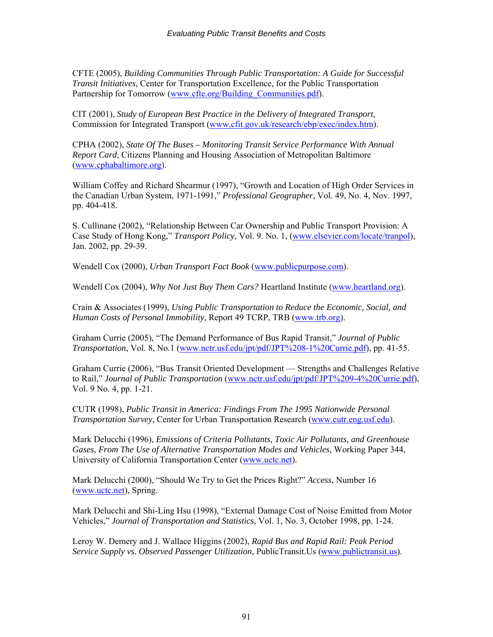CFTE (2005), *Building Communities Through Public Transportation: A Guide for Successful Transit Initiatives*, Center for Transportation Excellence, for the Public Transportation Partnership for Tomorrow ([www.cfte.org/Building\\_Communities.pdf](http://www.cfte.org/Building_Communities.pdf)).

CIT (2001), *Study of European Best Practice in the Delivery of Integrated Transport*, Commission for Integrated Transport [\(www.cfit.gov.uk/research/ebp/exec/index.htm\)](http://www.cfit.gov.uk/research/ebp/exec/index.htm).

CPHA (2002)*, State Of The Buses – Monitoring Transit Service Performance With Annual Report Card*, Citizens Planning and Housing Association of Metropolitan Baltimore ([www.cphabaltimore.org\)](http://www.cphabaltimore.org/).

William Coffey and Richard Shearmur (1997), "Growth and Location of High Order Services in the Canadian Urban System, 1971-1991," *Professional Geographer*, Vol. 49, No. 4, Nov. 1997, pp. 404-418.

S. Cullinane (2002), "Relationship Between Car Ownership and Public Transport Provision: A Case Study of Hong Kong," *Transport Policy*, Vol. 9. No. 1, [\(www.elsevier.com/locate/tranpol](http://www.elsevier.com/locate/tranpol)), Jan. 2002, pp. 29-39.

Wendell Cox (2000), *Urban Transport Fact Book* [\(www.publicpurpose.com\)](http://www.publicpurpose.com/).

Wendell Cox (2004), *Why Not Just Buy Them Cars?* Heartland Institute ([www.heartland.org](http://www.heartland.org/)).

Crain & Associates (1999), *Using Public Transportation to Reduce the Economic, Social, and Human Costs of Personal Immobility*, Report 49 TCRP, TRB [\(www.trb.org\)](http://www.trb.org/).

Graham Currie (2005), "The Demand Performance of Bus Rapid Transit," *Journal of Public Transportation*, Vol. 8, No.1 [\(www.nctr.usf.edu/jpt/pdf/JPT%208-1%20Currie.pdf\)](http://www.nctr.usf.edu/jpt/pdf/JPT%208-1%20Currie.pdf), pp. 41-55.

Graham Currie (2006), "Bus Transit Oriented Development — Strengths and Challenges Relative to Rail," *Journal of Public Transportation* ([www.nctr.usf.edu/jpt/pdf/JPT%209-4%20Currie.pdf](http://www.nctr.usf.edu/jpt/pdf/JPT%209-4%20Currie.pdf)), Vol. 9 No. 4, pp. 1-21.

CUTR (1998), *Public Transit in America: Findings From The 1995 Nationwide Personal Transportation Survey*, Center for Urban Transportation Research [\(www.cutr.eng.usf.edu](http://www.cutr.eng.usf.edu/)).

Mark Delucchi (1996), *Emissions of Criteria Pollutants, Toxic Air Pollutants, and Greenhouse Gases, From The Use of Alternative Transportation Modes and Vehicles*, Working Paper 344, University of California Transportation Center ([www.uctc.net\)](http://www.uctc.net/).

Mark Delucchi (2000), "Should We Try to Get the Prices Right?" *Access*, Number 16 ([www.uctc.net\)](http://www.uctc.net/), Spring.

Mark Delucchi and Shi-Ling Hsu (1998), "External Damage Cost of Noise Emitted from Motor Vehicles," *Journal of Transportation and Statistics*, Vol. 1, No. 3, October 1998, pp. 1-24.

Leroy W. Demery and J. Wallace Higgins (2002), *Rapid Bus and Rapid Rail: Peak Period Service Supply vs. Observed Passenger Utilization*, PublicTransit.Us [\(www.publictransit.us](http://www.publictransit.us/)).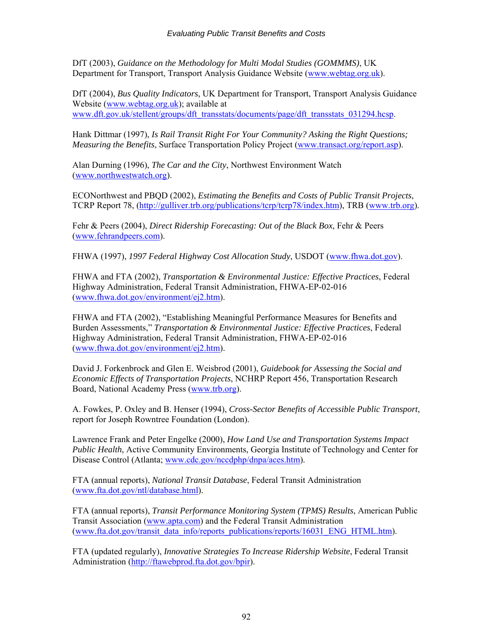DfT (2003), *Guidance on the Methodology for Multi Modal Studies (GOMMMS)*, UK Department for Transport, Transport Analysis Guidance Website ([www.webtag.org.uk](http://www.webtag.org.uk/)).

DfT (2004), *Bus Quality Indicators*, UK Department for Transport, Transport Analysis Guidance Website [\(www.webtag.org.uk\)](http://www.webtag.org.uk/); available at [www.dft.gov.uk/stellent/groups/dft\\_transstats/documents/page/dft\\_transstats\\_031294.hcsp.](http://www.dft.gov.uk/stellent/groups/dft_transstats/documents/page/dft_transstats_031294.hcsp)

Hank Dittmar (1997), *Is Rail Transit Right For Your Community? Asking the Right Questions; Measuring the Benefits*, Surface Transportation Policy Project ([www.transact.org/report.asp\)](http://www.transact.org/report.asp).

Alan Durning (1996), *The Car and the City*, Northwest Environment Watch ([www.northwestwatch.org](http://www.northwestwatch.org/)).

ECONorthwest and PBQD (2002), *Estimating the Benefits and Costs of Public Transit Projects*, TCRP Report 78, [\(http://gulliver.trb.org/publications/tcrp/tcrp78/index.htm\)](http://gulliver.trb.org/publications/tcrp/tcrp78/index.htm), TRB [\(www.trb.org\)](http://www.trb.org/).

Fehr & Peers (2004), *Direct Ridership Forecasting: Out of the Black Box*, Fehr & Peers ([www.fehrandpeers.com\)](http://www.fehrandpeers.com/).

FHWA (1997), *1997 Federal Highway Cost Allocation Study*, USDOT [\(www.fhwa.dot.gov\)](http://www.ota.fhwa.dot.gov/hcas/final).

FHWA and FTA (2002), *Transportation & Environmental Justice: Effective Practices*, Federal Highway Administration, Federal Transit Administration, FHWA-EP-02-016 ([www.fhwa.dot.gov/environment/ej2.htm](http://www.fhwa.dot.gov/environment/ej2.htm)).

FHWA and FTA (2002), "Establishing Meaningful Performance Measures for Benefits and Burden Assessments," *Transportation & Environmental Justice: Effective Practices*, Federal Highway Administration, Federal Transit Administration, FHWA-EP-02-016 ([www.fhwa.dot.gov/environment/ej2.htm](http://www.fhwa.dot.gov/environment/ej2.htm)).

David J. Forkenbrock and Glen E. Weisbrod (2001), *Guidebook for Assessing the Social and Economic Effects of Transportation Projects*, NCHRP Report 456, Transportation Research Board, National Academy Press [\(www.trb.org\)](http://www.trb.org/).

A. Fowkes, P. Oxley and B. Henser (1994), *Cross-Sector Benefits of Accessible Public Transport*, report for Joseph Rowntree Foundation (London).

Lawrence Frank and Peter Engelke (2000), *How Land Use and Transportation Systems Impact Public Health*, Active Community Environments, Georgia Institute of Technology and Center for Disease Control (Atlanta; [www.cdc.gov/nccdphp/dnpa/aces.htm\)](http://www.cdc.gov/nccdphp/dnpa/aces.htm).

FTA (annual reports), *National Transit Database*, Federal Transit Administration ([www.fta.dot.gov/ntl/database.html](http://www.fta.dot.gov/ntl/database.html)).

FTA (annual reports), *Transit Performance Monitoring System (TPMS) Results*, American Public Transit Association [\(www.apta.com\)](http://www.apta.com/) and the Federal Transit Administration ([www.fta.dot.gov/transit\\_data\\_info/reports\\_publications/reports/16031\\_ENG\\_HTML.htm\)](http://www.fta.dot.gov/transit_data_info/reports_publications/reports/16031_ENG_HTML.htm).

FTA (updated regularly), *Innovative Strategies To Increase Ridership Website*, Federal Transit Administration [\(http://ftawebprod.fta.dot.gov/bpir\)](http://ftawebprod.fta.dot.gov/bpir).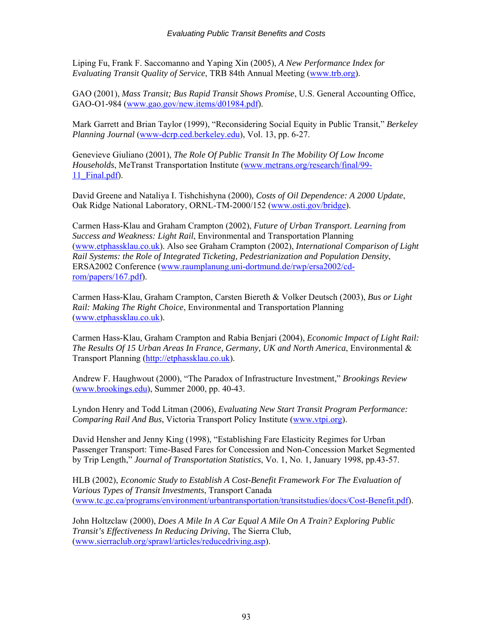Liping Fu, Frank F. Saccomanno and Yaping Xin (2005), *A New Performance Index for Evaluating Transit Quality of Service*, TRB 84th Annual Meeting [\(www.trb.org](http://www.trb.org/)).

GAO (2001), *Mass Transit; Bus Rapid Transit Shows Promise*, U.S. General Accounting Office, GAO-O1-984 ([www.gao.gov/new.items/d01984.pdf\)](http://www.gao.gov/new.items/d01984.pdf).

Mark Garrett and Brian Taylor (1999), "Reconsidering Social Equity in Public Transit," *Berkeley Planning Journal* (www-dcrp.ced.berkeley.edu), Vol. 13, pp. 6-27.

Genevieve Giuliano (2001), *The Role Of Public Transit In The Mobility Of Low Income Households*, MeTranst Transportation Institute ([www.metrans.org/research/final/99-](http://www.metrans.org/research/final/99-11_Final.pdf) 11 Final.pdf).

David Greene and Nataliya I. Tishchishyna (2000)*, Costs of Oil Dependence: A 2000 Update*, Oak Ridge National Laboratory, ORNL-TM-2000/152 ([www.osti.gov/bridge\)](http://www.osti.gov/bridge).

Carmen Hass-Klau and Graham Crampton (2002), *Future of Urban Transport. Learning from Success and Weakness: Light Rail*, Environmental and Transportation Planning ([www.etphassklau.co.uk](http://www.etphassklau.co.uk/)). Also see Graham Crampton (2002), *International Comparison of Light Rail Systems: the Role of Integrated Ticketing, Pedestrianization and Population Density*, ERSA2002 Conference ([www.raumplanung.uni-dortmund.de/rwp/ersa2002/cd](http://www.raumplanung.uni-dortmund.de/rwp/ersa2002/cd-rom/papers/167.pdf)[rom/papers/167.pdf](http://www.raumplanung.uni-dortmund.de/rwp/ersa2002/cd-rom/papers/167.pdf)).

Carmen Hass-Klau, Graham Crampton, Carsten Biereth & Volker Deutsch (2003), *Bus or Light Rail: Making The Right Choice*, Environmental and Transportation Planning ([www.etphassklau.co.uk](http://www.etphassklau.co.uk/)).

Carmen Hass-Klau, Graham Crampton and Rabia Benjari (2004), *Economic Impact of Light Rail: The Results Of 15 Urban Areas In France, Germany, UK and North America*, Environmental & Transport Planning [\(http://etphassklau.co.uk\)](http://etphassklau.co.uk/economic%20impact.htm).

Andrew F. Haughwout (2000), "The Paradox of Infrastructure Investment," *Brookings Review* ([www.brookings.edu\)](http://www.brookings.edu/), Summer 2000, pp. 40-43.

Lyndon Henry and Todd Litman (2006), *Evaluating New Start Transit Program Performance: Comparing Rail And Bus*, Victoria Transport Policy Institute [\(www.vtpi.org](http://www.vtpi.org/)).

David Hensher and Jenny King (1998), "Establishing Fare Elasticity Regimes for Urban Passenger Transport: Time-Based Fares for Concession and Non-Concession Market Segmented by Trip Length," *Journal of Transportation Statistics*, Vo. 1, No. 1, January 1998, pp.43-57.

HLB (2002), *Economic Study to Establish A Cost-Benefit Framework For The Evaluation of Various Types of Transit Investments*, Transport Canada ([www.tc.gc.ca/programs/environment/urbantransportation/transitstudies/docs/Cost-Benefit.pdf](http://www.tc.gc.ca/programs/environment/urbantransportation/transitstudies/docs/Cost-Benefit.pdf)).

John Holtzclaw (2000), *Does A Mile In A Car Equal A Mile On A Train? Exploring Public Transit's Effectiveness In Reducing Driving*, The Sierra Club, ([www.sierraclub.org/sprawl/articles/reducedriving.asp\)](http://www.sierraclub.org/sprawl/articles/reducedriving.asp).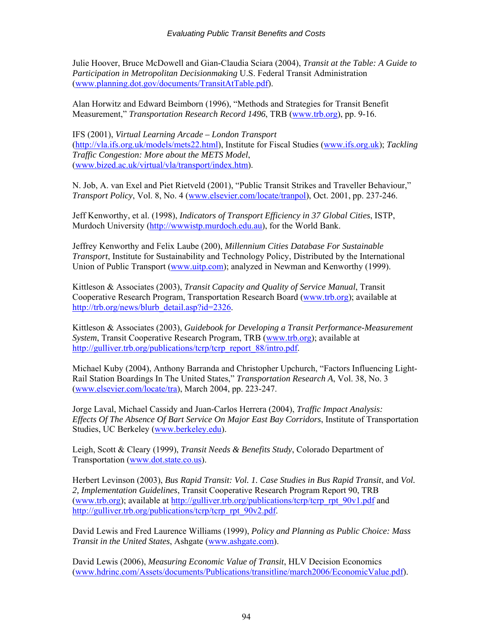Julie Hoover, Bruce McDowell and Gian-Claudia Sciara (2004), *Transit at the Table: A Guide to Participation in Metropolitan Decisionmaking* U.S. Federal Transit Administration ([www.planning.dot.gov/documents/TransitAtTable.pdf](http://www.planning.dot.gov/documents/TransitAtTable.pdf)).

Alan Horwitz and Edward Beimborn (1996), "Methods and Strategies for Transit Benefit Measurement," *Transportation Research Record 1496*, TRB [\(www.trb.org](http://www.trb.org/)), pp. 9-16.

IFS (2001), *Virtual Learning Arcade – London Transport* ([http://vla.ifs.org.uk/models/mets22.html\)](http://vla.ifs.org.uk/models/mets22.html), Institute for Fiscal Studies [\(www.ifs.org.uk](http://www.ifs.org.uk/)); *Tackling Traffic Congestion: More about the METS Model*, ([www.bized.ac.uk/virtual/vla/transport/index.htm](http://www.bized.ac.uk/virtual/vla/transport/index.htm)).

N. Job, A. van Exel and Piet Rietveld (2001), "Public Transit Strikes and Traveller Behaviour," *Transport Policy*, Vol. 8, No. 4 [\(www.elsevier.com/locate/tranpol](http://www.elsevier.com/locate/tranpol)), Oct. 2001, pp. 237-246.

Jeff Kenworthy, et al. (1998), *Indicators of Transport Efficiency in 37 Global Cities*, ISTP, Murdoch University [\(http://wwwistp.murdoch.edu.au\)](http://wwwistp.murdoch.edu.au/), for the World Bank.

Jeffrey Kenworthy and Felix Laube (200), *Millennium Cities Database For Sustainable Transport*, Institute for Sustainability and Technology Policy, Distributed by the International Union of Public Transport [\(www.uitp.com\)](http://www.uitp.com/); analyzed in Newman and Kenworthy (1999).

Kittleson & Associates (2003), *Transit Capacity and Quality of Service Manual*, Transit Cooperative Research Program, Transportation Research Board ([www.trb.org\)](http://www.trb.org/); available at [http://trb.org/news/blurb\\_detail.asp?id=2326.](http://trb.org/news/blurb_detail.asp?id=2326)

Kittleson & Associates (2003), *Guidebook for Developing a Transit Performance-Measurement System*, Transit Cooperative Research Program, TRB ([www.trb.org\)](http://www.trb.org/); available at [http://gulliver.trb.org/publications/tcrp/tcrp\\_report\\_88/intro.pdf.](http://gulliver.trb.org/publications/tcrp/tcrp_report_88/intro.pdf)

Michael Kuby (2004), Anthony Barranda and Christopher Upchurch, "Factors Influencing Light-Rail Station Boardings In The United States," *Transportation Research A*, Vol. 38, No. 3 ([www.elsevier.com/locate/tra](http://www.elsevier.com/locate/tra)), March 2004, pp. 223-247.

Jorge Laval, Michael Cassidy and Juan-Carlos Herrera (2004), *Traffic Impact Analysis: Effects Of The Absence Of Bart Service On Major East Bay Corridors*, Institute of Transportation Studies, UC Berkeley [\(www.berkeley.edu](http://www.berkeley.edu/)).

Leigh, Scott & Cleary (1999), *Transit Needs & Benefits Study*, Colorado Department of Transportation [\(www.dot.state.co.us](http://www.dot.state.co.us/)).

Herbert Levinson (2003), *Bus Rapid Transit: Vol. 1. Case Studies in Bus Rapid Transit*, and *Vol. 2, Implementation Guidelines*, Transit Cooperative Research Program Report 90, TRB ([www.trb.org\)](http://www.trb.org/); available at [http://gulliver.trb.org/publications/tcrp/tcrp\\_rpt\\_90v1.pdf](http://gulliver.trb.org/publications/tcrp/tcrp_rpt_90v1.pdf) and [http://gulliver.trb.org/publications/tcrp/tcrp\\_rpt\\_90v2.pdf.](http://gulliver.trb.org/publications/tcrp/tcrp_rpt_90v2.pdf)

David Lewis and Fred Laurence Williams (1999), *Policy and Planning as Public Choice: Mass Transit in the United States*, Ashgate ([www.ashgate.com](http://www.ashgate.com/)).

David Lewis (2006), *Measuring Economic Value of Transit*, HLV Decision Economics ([www.hdrinc.com/Assets/documents/Publications/transitline/march2006/EconomicValue.pdf\)](http://www.hdrinc.com/Assets/documents/Publications/transitline/march2006/EconomicValue.pdf).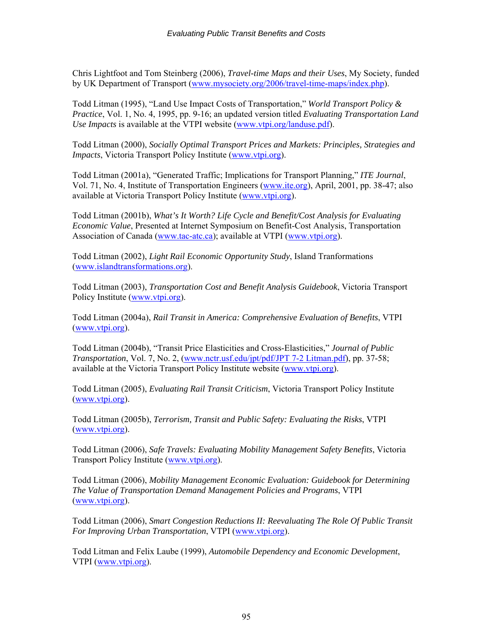Chris Lightfoot and Tom Steinberg (2006), *Travel-time Maps and their Uses*, My Society, funded by UK Department of Transport [\(www.mysociety.org/2006/travel-time-maps/index.php](http://www.mysociety.org/2006/travel-time-maps/index.php)).

Todd Litman (1995), "Land Use Impact Costs of Transportation," *World Transport Policy & Practice*, Vol. 1, No. 4, 1995, pp. 9-16; an updated version titled *Evaluating Transportation Land Use Impacts* is available at the VTPI website [\(www.vtpi.org/landuse.pdf](http://www.vtpi.org/landuse.pdf)).

Todd Litman (2000), *Socially Optimal Transport Prices and Markets: Principles, Strategies and Impacts*, Victoria Transport Policy Institute (www.ytpi.org).

Todd Litman (2001a), "Generated Traffic; Implications for Transport Planning," *ITE Journal*, Vol. 71, No. 4, Institute of Transportation Engineers [\(www.ite.org](http://www.ite.org/)), April, 2001, pp. 38-47; also available at Victoria Transport Policy Institute ([www.vtpi.org\)](http://www.vtpi.org/).

Todd Litman (2001b), *What's It Worth? Life Cycle and Benefit/Cost Analysis for Evaluating Economic Value*, Presented at Internet Symposium on Benefit-Cost Analysis, Transportation Association of Canada ([www.tac-atc.ca](http://www.tac-atc.ca/)); available at VTPI ([www.vtpi.org\)](http://www.vtpi.org/).

Todd Litman (2002), *Light Rail Economic Opportunity Study*, Island Tranformations ([www.islandtransformations.org\)](http://www.islandtransformations.org/).

Todd Litman (2003), *Transportation Cost and Benefit Analysis Guidebook*, Victoria Transport Policy Institute [\(www.vtpi.org](http://www.vtpi.org/)).

Todd Litman (2004a), *Rail Transit in America: Comprehensive Evaluation of Benefits*, VTPI ([www.vtpi.org\)](http://www.vtpi.org/).

Todd Litman (2004b), "Transit Price Elasticities and Cross-Elasticities," *Journal of Public Transportation*, Vol. 7, No. 2, ([www.nctr.usf.edu/jpt/pdf/JPT 7-2 Litman.pdf](http://www.nctr.usf.edu/jpt/pdf/JPT%207-2%20Litman.pdf)), pp. 37-58; available at the Victoria Transport Policy Institute website [\(www.vtpi.org](http://www.vtpi.org/)).

Todd Litman (2005), *Evaluating Rail Transit Criticism*, Victoria Transport Policy Institute ([www.vtpi.org\)](http://www.vtpi.org/).

Todd Litman (2005b), *Terrorism, Transit and Public Safety: Evaluating the Risks*, VTPI ([www.vtpi.org\)](http://www.vtpi.org/).

Todd Litman (2006), *Safe Travels: Evaluating Mobility Management Safety Benefits*, Victoria Transport Policy Institute ([www.vtpi.org\)](http://www.vtpi.org/).

Todd Litman (2006), *Mobility Management Economic Evaluation: Guidebook for Determining The Value of Transportation Demand Management Policies and Programs*, VTPI ([www.vtpi.org\)](http://www.vtpi.org/).

Todd Litman (2006), *Smart Congestion Reductions II: Reevaluating The Role Of Public Transit For Improving Urban Transportation*, VTPI [\(www.vtpi.org](http://www.vtpi.org/)).

Todd Litman and Felix Laube (1999), *Automobile Dependency and Economic Development*, VTPI ([www.vtpi.org\)](http://www.vtpi.org/).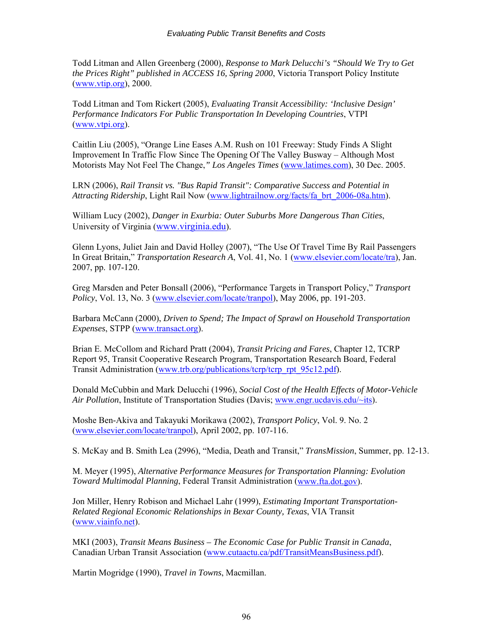Todd Litman and Allen Greenberg (2000), *Response to Mark Delucchi's "Should We Try to Get the Prices Right" published in ACCESS 16, Spring 2000*, Victoria Transport Policy Institute ([www.vtip.org\)](http://www.vtip.org/), 2000.

Todd Litman and Tom Rickert (2005), *Evaluating Transit Accessibility: 'Inclusive Design' Performance Indicators For Public Transportation In Developing Countries*, VTPI ([www.vtpi.org\)](http://www.islandnet.com/%7Elitman).

Caitlin Liu (2005), "Orange Line Eases A.M. Rush on 101 Freeway: Study Finds A Slight Improvement In Traffic Flow Since The Opening Of The Valley Busway – Although Most Motorists May Not Feel The Change,*" Los Angeles Times* ([www.latimes.com\)](http://www.latimes.com/), 30 Dec. 2005.

LRN (2006), *Rail Transit vs. "Bus Rapid Transit": Comparative Success and Potential in Attracting Ridership*, Light Rail Now [\(www.lightrailnow.org/facts/fa\\_brt\\_2006-08a.htm\)](http://www.lightrailnow.org/facts/fa_brt_2006-08a.htm).

William Lucy (2002), *Danger in Exurbia: Outer Suburbs More Dangerous Than Cities*, University of Virginia [\(www.virginia.edu\)](http://www.virginia.edu/).

Glenn Lyons, Juliet Jain and David Holley (2007), "The Use Of Travel Time By Rail Passengers In Great Britain," *Transportation Research A*, Vol. 41, No. 1 ([www.elsevier.com/locate/tra\)](http://www.elsevier.com/locate/tra), Jan. 2007, pp. 107-120.

Greg Marsden and Peter Bonsall (2006), "Performance Targets in Transport Policy," *Transport Policy*, Vol. 13, No. 3 [\(www.elsevier.com/locate/tranpol\)](http://www.elsevier.com/locate/tranpol), May 2006, pp. 191-203.

Barbara McCann (2000), *Driven to Spend; The Impact of Sprawl on Household Transportation Expenses*, STPP ([www.transact.org](http://www.transact.org/)).

Brian E. McCollom and Richard Pratt (2004), *Transit Pricing and Fares*, Chapter 12, TCRP Report 95, Transit Cooperative Research Program, Transportation Research Board, Federal Transit Administration [\(www.trb.org/publications/tcrp/tcrp\\_rpt\\_95c12.pdf\)](http://www.trb.org/publications/tcrp/tcrp_rpt_95c12.pdf).

Donald McCubbin and Mark Delucchi (1996), *Social Cost of the Health Effects of Motor-Vehicle Air Pollution*, Institute of Transportation Studies (Davis; [www.engr.ucdavis.edu/~its](http://www.engr.ucdavis.edu/%7Eits)).

Moshe Ben-Akiva and Takayuki Morikawa (2002), *Transport Policy*, Vol. 9. No. 2 ([www.elsevier.com/locate/tranpol\)](http://www.elsevier.com/locate/tranpol), April 2002, pp. 107-116.

S. McKay and B. Smith Lea (2996), "Media, Death and Transit," *TransMission*, Summer, pp. 12-13.

M. Meyer (1995), *Alternative Performance Measures for Transportation Planning: Evolution Toward Multimodal Planning*, Federal Transit Administration ([www.fta.dot.gov\)](http://www.fta.dot.gov/).

Jon Miller, Henry Robison and Michael Lahr (1999), *Estimating Important Transportation-Related Regional Economic Relationships in Bexar County, Texas*, VIA Transit ([www.viainfo.net\)](http://www.viainfo.net/).

MKI (2003), *Transit Means Business – The Economic Case for Public Transit in Canada*, Canadian Urban Transit Association ([www.cutaactu.ca/pdf/TransitMeansBusiness.pdf](http://www.cutaactu.ca/pdf/TransitMeansBusiness.pdf)).

Martin Mogridge (1990), *Travel in Towns*, Macmillan.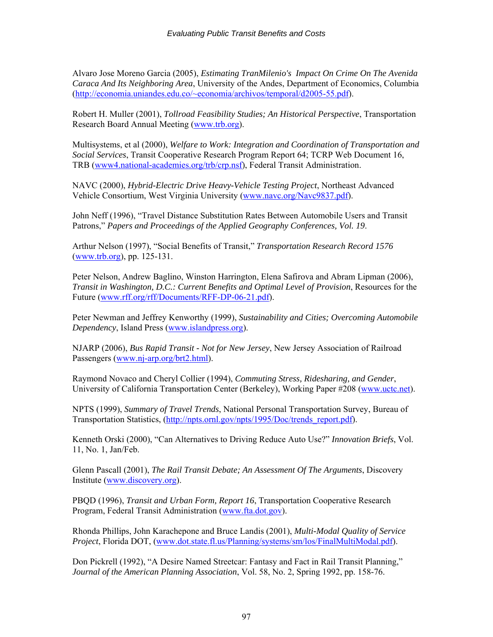Alvaro Jose Moreno Garcia (2005), *Estimating TranMilenio's Impact On Crime On The Avenida Caraca And Its Neighboring Area*, University of the Andes, Department of Economics, Columbia ([http://economia.uniandes.edu.co/~economia/archivos/temporal/d2005-55.pdf](http://economia.uniandes.edu.co/%7Eeconomia/archivos/temporal/d2005-55.pdf)).

Robert H. Muller (2001), *Tollroad Feasibility Studies; An Historical Perspective*, Transportation Research Board Annual Meeting ([www.trb.org](http://www.trb.org/)).

Multisystems, et al (2000), *Welfare to Work: Integration and Coordination of Transportation and Social Services*, Transit Cooperative Research Program Report 64; TCRP Web Document 16, TRB (www4.national-academies.org/trb/crp.nsf), Federal Transit Administration.

NAVC (2000), *Hybrid-Electric Drive Heavy-Vehicle Testing Project*, Northeast Advanced Vehicle Consortium, West Virginia University [\(www.navc.org/Navc9837.pdf](http://www.navc.org/Navc9837.pdf)).

John Neff (1996), "Travel Distance Substitution Rates Between Automobile Users and Transit Patrons," *Papers and Proceedings of the Applied Geography Conferences, Vol. 19*.

Arthur Nelson (1997), "Social Benefits of Transit," *Transportation Research Record 1576* ([www.trb.org\)](http://www.trb.org/), pp. 125-131.

Peter Nelson, Andrew Baglino, Winston Harrington, Elena Safirova and Abram Lipman (2006), *Transit in Washington, D.C.: Current Benefits and Optimal Level of Provision*, Resources for the Future [\(www.rff.org/rff/Documents/RFF-DP-06-21.pdf](http://www.rff.org/rff/Documents/RFF-DP-06-21.pdf)).

Peter Newman and Jeffrey Kenworthy (1999), *Sustainability and Cities; Overcoming Automobile Dependency*, Island Press [\(www.islandpress.org](http://www.islandpress.org)/)).

NJARP (2006), *Bus Rapid Transit - Not for New Jersey*, New Jersey Association of Railroad Passengers ([www.nj-arp.org/brt2.html\)](http://www.nj-arp.org/brt2.html).

Raymond Novaco and Cheryl Collier (1994), *Commuting Stress, Ridesharing, and Gender*, University of California Transportation Center (Berkeley), Working Paper #208 ([www.uctc.net\)](http://www.uctc.net/).

NPTS (1999), *Summary of Travel Trends*, National Personal Transportation Survey, Bureau of Transportation Statistics, [\(http://npts.ornl.gov/npts/1995/Doc/trends\\_report.pdf\)](http://npts.ornl.gov/npts/1995/Doc/trends_report.pdf).

Kenneth Orski (2000), "Can Alternatives to Driving Reduce Auto Use?" *Innovation Briefs*, Vol. 11, No. 1, Jan/Feb.

Glenn Pascall (2001), *The Rail Transit Debate; An Assessment Of The Arguments*, Discovery Institute [\(www.discovery.org](http://www.discovery.org/)).

PBQD (1996), *Transit and Urban Form, Report 16*, Transportation Cooperative Research Program, Federal Transit Administration [\(www.fta.dot.gov](http://www.fta.dot.gov/)).

Rhonda Phillips, John Karachepone and Bruce Landis (2001), *Multi-Modal Quality of Service Project*, Florida DOT, [\(www.dot.state.fl.us/Planning/systems/sm/los/FinalMultiModal.pdf\)](http://www.dot.state.fl.us/Planning/systems/sm/los/FinalMultiModal.pdf).

Don Pickrell (1992), "A Desire Named Streetcar: Fantasy and Fact in Rail Transit Planning," *Journal of the American Planning Association*, Vol. 58, No. 2, Spring 1992, pp. 158-76.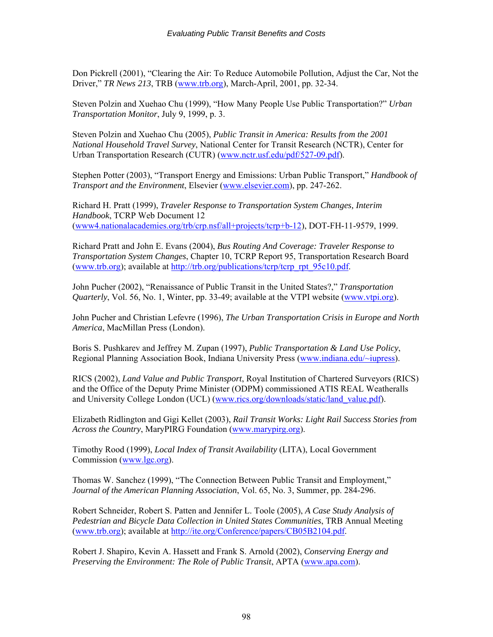Don Pickrell (2001), "Clearing the Air: To Reduce Automobile Pollution, Adjust the Car, Not the Driver," *TR News 213*, TRB [\(www.trb.org](http://www.trb.org/)), March-April, 2001, pp. 32-34.

Steven Polzin and Xuehao Chu (1999), "How Many People Use Public Transportation?" *Urban Transportation Monitor*, July 9, 1999, p. 3.

Steven Polzin and Xuehao Chu (2005), *Public Transit in America: Results from the 2001 National Household Travel Survey*, National Center for Transit Research (NCTR), Center for Urban Transportation Research (CUTR) ([www.nctr.usf.edu/pdf/527-09.pdf\)](http://www.nctr.usf.edu/pdf/527-09.pdf).

Stephen Potter (2003), "Transport Energy and Emissions: Urban Public Transport," *Handbook of Transport and the Environment*, Elsevier [\(www.elsevier.com\)](http://www.elsevier.com/), pp. 247-262.

Richard H. Pratt (1999), *Traveler Response to Transportation System Changes, Interim Handbook*, TCRP Web Document 12 ([www4.nationalacademies.org/trb/crp.nsf/all+projects/tcrp+b-12](http://www4.nationalacademies.org/trb/crp.nsf/all+projects/tcrp+b-12)), DOT-FH-11-9579, 1999.

Richard Pratt and John E. Evans (2004), *Bus Routing And Coverage: Traveler Response to Transportation System Changes*, Chapter 10, TCRP Report 95, Transportation Research Board ([www.trb.org\)](http://www.trb.org/); available at [http://trb.org/publications/tcrp/tcrp\\_rpt\\_95c10.pdf](http://trb.org/publications/tcrp/tcrp_rpt_95c10.pdf).

John Pucher (2002), "Renaissance of Public Transit in the United States?," *Transportation Quarterly*, Vol. 56, No. 1, Winter, pp. 33-49; available at the VTPI website ([www.vtpi.org](http://www.vtpi.org/)).

John Pucher and Christian Lefevre (1996), *The Urban Transportation Crisis in Europe and North America*, MacMillan Press (London).

Boris S. Pushkarev and Jeffrey M. Zupan (1997), *Public Transportation & Land Use Policy*, Regional Planning Association Book, Indiana University Press ([www.indiana.edu/~iupress\)](http://www.indiana.edu/%7Eiupress).

RICS (2002), *Land Value and Public Transport*, Royal Institution of Chartered Surveyors (RICS) and the Office of the Deputy Prime Minister (ODPM) commissioned ATIS REAL Weatheralls and University College London (UCL) [\(www.rics.org/downloads/static/land\\_value.pdf](http://www.rics.org/downloads/static/land_value.pdf)).

Elizabeth Ridlington and Gigi Kellet (2003), *Rail Transit Works: Light Rail Success Stories from Across the Country*, MaryPIRG Foundation ([www.marypirg.org\)](http://www.marypirg.org/).

Timothy Rood (1999), *Local Index of Transit Availability* (LITA), Local Government Commission [\(www.lgc.org](http://www.lgc.org/)).

Thomas W. Sanchez (1999), "The Connection Between Public Transit and Employment," *Journal of the American Planning Association*, Vol. 65, No. 3, Summer, pp. 284-296.

Robert Schneider, Robert S. Patten and Jennifer L. Toole (2005), *A Case Study Analysis of Pedestrian and Bicycle Data Collection in United States Communities*, TRB Annual Meeting ([www.trb.org\)](http://www.trb.org/); available at <http://ite.org/Conference/papers/CB05B2104.pdf>.

Robert J. Shapiro, Kevin A. Hassett and Frank S. Arnold (2002), *Conserving Energy and Preserving the Environment: The Role of Public Transit*, APTA ([www.apa.com](http://www.apa.com/)).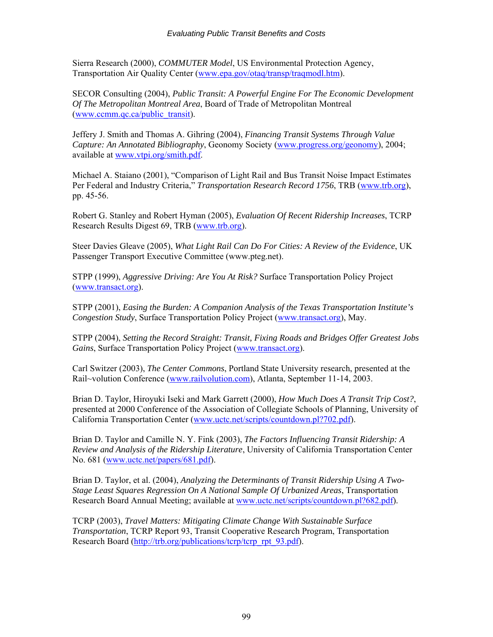Sierra Research (2000), *COMMUTER Model*, US Environmental Protection Agency, Transportation Air Quality Center [\(www.epa.gov/otaq/transp/traqmodl.htm](http://www.epa.gov/otaq/transp/traqmodl.htm)).

SECOR Consulting (2004), *Public Transit: A Powerful Engine For The Economic Development Of The Metropolitan Montreal Area*, Board of Trade of Metropolitan Montreal ([www.ccmm.qc.ca/public\\_transit](http://www.ccmm.qc.ca/public_transit)).

Jeffery J. Smith and Thomas A. Gihring (2004), *Financing Transit Systems Through Value Capture: An Annotated Bibliography*, Geonomy Society [\(www.progress.org/geonomy\)](http://www.progress.org/geonomy), 2004; available at [www.vtpi.org/smith.pdf](http://www.vtpi.org/smith.pdf).

Michael A. Staiano (2001), "Comparison of Light Rail and Bus Transit Noise Impact Estimates Per Federal and Industry Criteria," *Transportation Research Record 1756*, TRB ([www.trb.org](http://www.trb.org/)), pp. 45-56.

Robert G. Stanley and Robert Hyman (2005), *Evaluation Of Recent Ridership Increases*, TCRP Research Results Digest 69, TRB ([www.trb.org](http://www.trb.org/)).

Steer Davies Gleave (2005), *What Light Rail Can Do For Cities: A Review of the Evidence*, UK Passenger Transport Executive Committee (www.pteg.net).

STPP (1999), *Aggressive Driving: Are You At Risk?* Surface Transportation Policy Project ([www.transact.org\)](http://www.transact.org)/).

STPP (2001), *Easing the Burden: A Companion Analysis of the Texas Transportation Institute's Congestion Study*, Surface Transportation Policy Project [\(www.transact.org](http://www.transact.org/)), May.

STPP (2004), *Setting the Record Straight: Transit, Fixing Roads and Bridges Offer Greatest Jobs Gains*, Surface Transportation Policy Project [\(www.transact.org](http://www.transact.org/)).

Carl Switzer (2003), *The Center Commons*, Portland State University research, presented at the Rail~volution Conference ([www.railvolution.com](http://www.railvolution.com/)), Atlanta, September 11-14, 2003.

Brian D. Taylor, Hiroyuki Iseki and Mark Garrett (2000), *How Much Does A Transit Trip Cost?*, presented at 2000 Conference of the Association of Collegiate Schools of Planning, University of California Transportation Center ([www.uctc.net/scripts/countdown.pl?702.pdf\)](http://www.uctc.net/scripts/countdown.pl?702.pdf).

Brian D. Taylor and Camille N. Y. Fink (2003), *The Factors Influencing Transit Ridership: A Review and Analysis of the Ridership Literature*, University of California Transportation Center No. 681 ([www.uctc.net/papers/681.pdf\)](http://www.uctc.net/papers/681.pdf).

Brian D. Taylor, et al. (2004), *Analyzing the Determinants of Transit Ridership Using A Two-Stage Least Squares Regression On A National Sample Of Urbanized Areas*, Transportation Research Board Annual Meeting; available at [www.uctc.net/scripts/countdown.pl?682.pdf](http://www.uctc.net/scripts/countdown.pl?682.pdf)).

TCRP (2003), *Travel Matters: Mitigating Climate Change With Sustainable Surface Transportation*, TCRP Report 93, Transit Cooperative Research Program, Transportation Research Board [\(http://trb.org/publications/tcrp/tcrp\\_rpt\\_93.pdf](http://trb.org/publications/tcrp/tcrp_rpt_93.pdf)).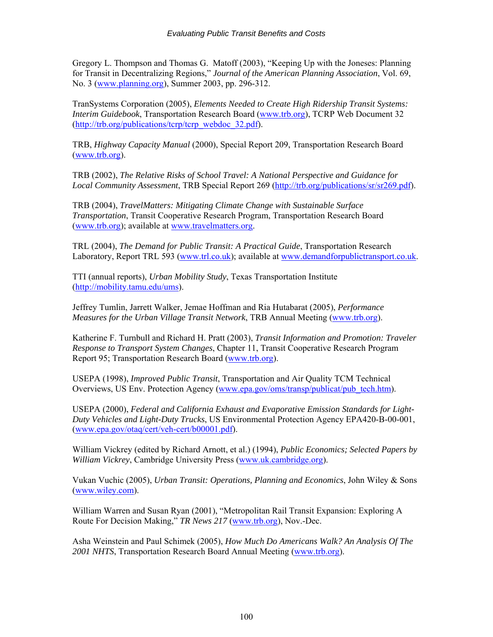Gregory L. Thompson and Thomas G. Matoff (2003), "Keeping Up with the Joneses: Planning for Transit in Decentralizing Regions," *Journal of the American Planning Association*, Vol. 69, No. 3 ([www.planning.org](http://www.planning.org/)), Summer 2003, pp. 296-312.

TranSystems Corporation (2005), *Elements Needed to Create High Ridership Transit Systems: Interim Guidebook*, Transportation Research Board ([www.trb.org](http://www.trb.org/)), TCRP Web Document 32 ([http://trb.org/publications/tcrp/tcrp\\_webdoc\\_32.pdf](http://trb.org/publications/tcrp/tcrp_webdoc_32.pdf))).

TRB, *Highway Capacity Manual* (2000), Special Report 209, Transportation Research Board ([www.trb.org\)](http://www.trb.org/).

TRB (2002), *The Relative Risks of School Travel: A National Perspective and Guidance for Local Community Assessment*, TRB Special Report 269 (<http://trb.org/publications/sr/sr269.pdf>).

TRB (2004), *TravelMatters: Mitigating Climate Change with Sustainable Surface Transportation*, Transit Cooperative Research Program, Transportation Research Board ([www.trb.org\)](http://www.trb.org/); available at [www.travelmatters.org.](http://www.travelmatters.org/)

TRL (2004), *The Demand for Public Transit: A Practical Guide*, Transportation Research Laboratory, Report TRL 593 ([www.trl.co.uk\)](http://www.trl.co.uk/); available at [www.demandforpublictransport.co.uk.](http://www.demandforpublictransport.co.uk/)

TTI (annual reports), *Urban Mobility Study*, Texas Transportation Institute ([http://mobility.tamu.edu/ums\)](http://mobility.tamu.edu/ums).

Jeffrey Tumlin, Jarrett Walker, Jemae Hoffman and Ria Hutabarat (2005), *Performance Measures for the Urban Village Transit Network*, TRB Annual Meeting ([www.trb.org](http://www.trb.org/)).

Katherine F. Turnbull and Richard H. Pratt (2003), *Transit Information and Promotion: Traveler Response to Transport System Changes*, Chapter 11, Transit Cooperative Research Program Report 95; Transportation Research Board [\(www.trb.org\)](http://www.trb.org/).

USEPA (1998), *Improved Public Transit*, Transportation and Air Quality TCM Technical Overviews, US Env. Protection Agency ([www.epa.gov/oms/transp/publicat/pub\\_tech.htm\)](http://www.epa.gov/oms/transp/publicat/pub_tech.htm).

USEPA (2000), *Federal and California Exhaust and Evaporative Emission Standards for Light-Duty Vehicles and Light-Duty Trucks*, US Environmental Protection Agency EPA420-B-00-001, ([www.epa.gov/otaq/cert/veh-cert/b00001.pdf\)](http://www.epa.gov/otaq/cert/veh-cert/b00001.pdf).

William Vickrey (edited by Richard Arnott, et al.) (1994), *Public Economics; Selected Papers by William Vickrey*, Cambridge University Press [\(www.uk.cambridge.org](http://www.uk.cambridge.org/)).

Vukan Vuchic (2005), *Urban Transit: Operations, Planning and Economics*, John Wiley & Sons ([www.wiley.com](http://www.wiley.com/)).

William Warren and Susan Ryan (2001), "Metropolitan Rail Transit Expansion: Exploring A Route For Decision Making," *TR News 217* ([www.trb.org\)](http://www.trb.org/), Nov.-Dec.

Asha Weinstein and Paul Schimek (2005), *How Much Do Americans Walk? An Analysis Of The 2001 NHTS*, Transportation Research Board Annual Meeting ([www.trb.org\)](http://www.trb.org/).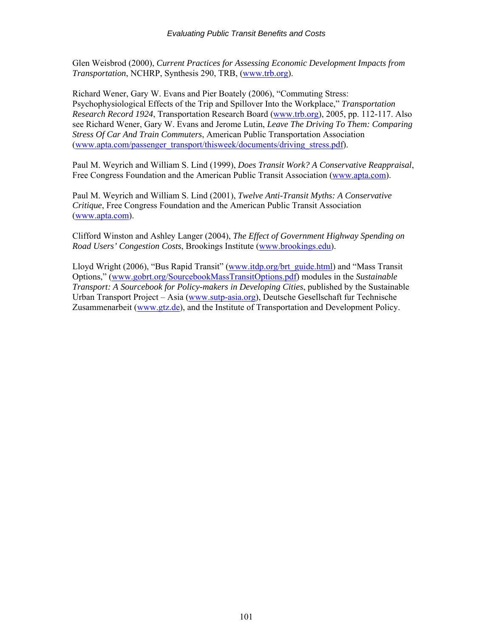Glen Weisbrod (2000), *Current Practices for Assessing Economic Development Impacts from Transportation*, NCHRP, Synthesis 290, TRB, ([www.trb.org\)](http://www.trb.org/).

Richard Wener, Gary W. Evans and Pier Boately (2006), "Commuting Stress: Psychophysiological Effects of the Trip and Spillover Into the Workplace," *Transportation Research Record 1924*, Transportation Research Board ([www.trb.org\)](http://www.trb.org/), 2005, pp. 112-117. Also see Richard Wener, Gary W. Evans and Jerome Lutin, *Leave The Driving To Them: Comparing Stress Of Car And Train Commuters*, American Public Transportation Association ([www.apta.com/passenger\\_transport/thisweek/documents/driving\\_stress.pdf](http://www.apta.com/passenger_transport/thisweek/documents/driving_stress.pdf)).

Paul M. Weyrich and William S. Lind (1999), *Does Transit Work? A Conservative Reappraisal*, Free Congress Foundation and the American Public Transit Association [\(www.apta.com\)](http://www.apta.com)/).

Paul M. Weyrich and William S. Lind (2001), *Twelve Anti-Transit Myths: A Conservative Critique*, Free Congress Foundation and the American Public Transit Association ([www.apta.com](http://www.apta.com)/)).

Clifford Winston and Ashley Langer (2004), *The Effect of Government Highway Spending on Road Users' Congestion Costs*, Brookings Institute ([www.brookings.edu](http://www.brookings.edu/)).

Lloyd Wright (2006), "Bus Rapid Transit" [\(www.itdp.org/brt\\_guide.html](http://www.itdp.org/brt_guide.html)) and "Mass Transit Options," ([www.gobrt.org/SourcebookMassTransitOptions.pdf](http://www.gobrt.org/SourcebookMassTransitOptions.pdf)) modules in the *Sustainable Transport: A Sourcebook for Policy-makers in Developing Cities*, published by the Sustainable Urban Transport Project – Asia [\(www.sutp-asia.org\)](http://www.sutp-asia.org/), Deutsche Gesellschaft fur Technische Zusammenarbeit [\(www.gtz.de](http://www.gtz.de/)), and the Institute of Transportation and Development Policy.